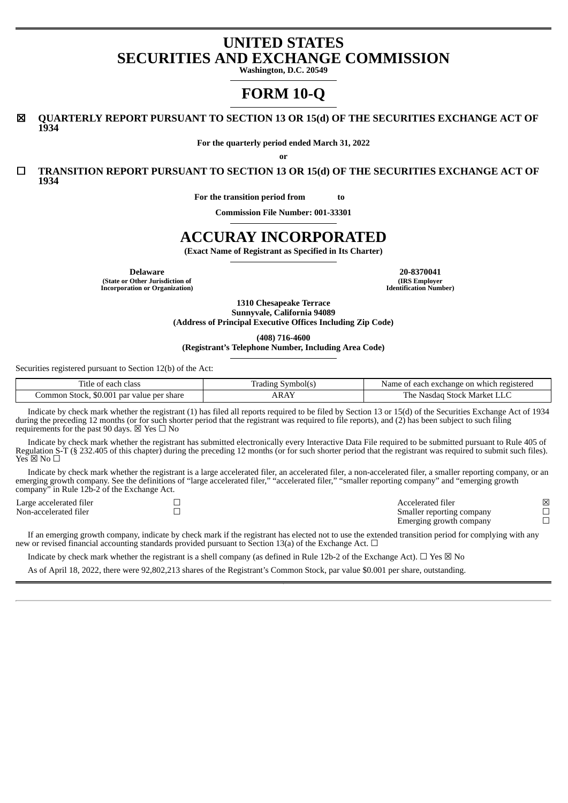# **UNITED STATES SECURITIES AND EXCHANGE COMMISSION**

**Washington, D.C. 20549**

# **FORM 10-Q**

☒ **QUARTERLY REPORT PURSUANT TO SECTION 13 OR 15(d) OF THE SECURITIES EXCHANGE ACT OF 1934**

**For the quarterly period ended March 31, 2022**

**or**

☐ **TRANSITION REPORT PURSUANT TO SECTION 13 OR 15(d) OF THE SECURITIES EXCHANGE ACT OF 1934**

**For the transition period from to**

**Commission File Number: 001-33301**

# **ACCURAY INCORPORATED**

**(Exact Name of Registrant as Specified in Its Charter)**

**(State or Other Jurisdiction of Incorporation or Organization)**

**Delaware 20-8370041 (IRS Employer Identification Number)**

> **1310 Chesapeake Terrace Sunnyvale, California 94089 (Address of Principal Executive Offices Including Zip Code)**

> > **(408) 716-4600**

**(Registrant's Telephone Number, Including Area Code)**

Securities registered pursuant to Section 12(b) of the Act:

| e of each class ?<br>Litle                | : Symbol(s<br>radıng | Name of each exchange on which registered                              |
|-------------------------------------------|----------------------|------------------------------------------------------------------------|
| Common Stock, \$0.001 par value per share | <b>ARAY</b>          | $\mathbf{r}$ $\mathbf{r}$<br>The<br>Stock Market<br>Nasdad<br>بالملط ا |

Indicate by check mark whether the registrant (1) has filed all reports required to be filed by Section 13 or 15(d) of the Securities Exchange Act of 1934 during the preceding 12 months (or for such shorter period that the registrant was required to file reports), and (2) has been subject to such filing requirements for the past 90 days.  $\boxtimes$  Yes  $\Box$  No

Indicate by check mark whether the registrant has submitted electronically every Interactive Data File required to be submitted pursuant to Rule 405 of Regulation S-T (§ 232.405 of this chapter) during the preceding 12 months (or for such shorter period that the registrant was required to submit such files). Yes  $\boxtimes$  No  $\Box$ 

Indicate by check mark whether the registrant is a large accelerated filer, an accelerated filer, a non-accelerated filer, a smaller reporting company, or an emerging growth company. See the definitions of "large accelerated filer," "accelerated filer," "smaller reporting company" and "emerging growth company" in Rule 12b-2 of the Exchange Act.

| Large accelerated filer | Accelerated filer         | 冈 |
|-------------------------|---------------------------|---|
| Non-accelerated filer   | Smaller reporting company |   |
|                         | Emerging growth company   |   |

If an emerging growth company, indicate by check mark if the registrant has elected not to use the extended transition period for complying with any new or revised financial accounting standards provided pursuant to Section 13(a) of the Exchange Act.  $\Box$ 

Indicate by check mark whether the registrant is a shell company (as defined in Rule 12b-2 of the Exchange Act).  $\Box$  Yes  $\boxtimes$  No

As of April 18, 2022, there were 92,802,213 shares of the Registrant's Common Stock, par value \$0.001 per share, outstanding.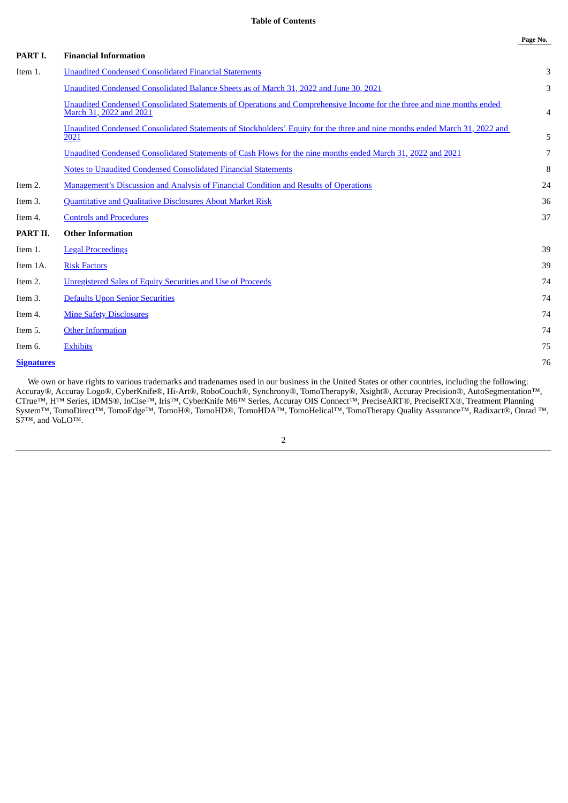| PART I.           | <b>Financial Information</b>                                                                                                                      |                |
|-------------------|---------------------------------------------------------------------------------------------------------------------------------------------------|----------------|
| Item 1.           | <b>Unaudited Condensed Consolidated Financial Statements</b>                                                                                      | 3              |
|                   | Unaudited Condensed Consolidated Balance Sheets as of March 31, 2022 and June 30, 2021                                                            | 3              |
|                   | Unaudited Condensed Consolidated Statements of Operations and Comprehensive Income for the three and nine months ended<br>March 31, 2022 and 2021 | $\overline{4}$ |
|                   | Unaudited Condensed Consolidated Statements of Stockholders' Equity for the three and nine months ended March 31, 2022 and<br>2021                | 5              |
|                   | Unaudited Condensed Consolidated Statements of Cash Flows for the nine months ended March 31, 2022 and 2021                                       | 7              |
|                   | <b>Notes to Unaudited Condensed Consolidated Financial Statements</b>                                                                             | 8              |
| Item 2.           | <b>Management's Discussion and Analysis of Financial Condition and Results of Operations</b>                                                      | 24             |
| Item 3.           | <b>Quantitative and Qualitative Disclosures About Market Risk</b>                                                                                 | 36             |
| Item 4.           | <b>Controls and Procedures</b>                                                                                                                    | 37             |
| PART II.          | <b>Other Information</b>                                                                                                                          |                |
| Item 1.           | <b>Legal Proceedings</b>                                                                                                                          | 39             |
| Item 1A.          | <b>Risk Factors</b>                                                                                                                               | 39             |
| Item 2.           | <b>Unregistered Sales of Equity Securities and Use of Proceeds</b>                                                                                | 74             |
| Item 3.           | <b>Defaults Upon Senior Securities</b>                                                                                                            | 74             |
| Item 4.           | <b>Mine Safety Disclosures</b>                                                                                                                    | 74             |
| Item 5.           | <b>Other Information</b>                                                                                                                          | 74             |
| Item 6.           | <b>Exhibits</b>                                                                                                                                   | 75             |
| <b>Signatures</b> |                                                                                                                                                   | 76             |

We own or have rights to various trademarks and tradenames used in our business in the United States or other countries, including the following: Accuray®, Accuray Logo®, CyberKnife®, Hi‑Art®, RoboCouch®, Synchrony®, TomoTherapy®, Xsight®, Accuray Precision®, AutoSegmentation™, CTrue™, H™ Series, iDMS®, InCise™, Iris™, CyberKnife M6™ Series, Accuray OIS Connect™, PreciseART®, PreciseRTX®, Treatment Planning System™, TomoDirect™, TomoEdge™, TomoH®, TomoHD®, TomoHDA™, TomoHelical™, TomoTherapy Quality Assurance™, Radixact®, Onrad ™, S<sub>7™</sub>, and VoLO<sup>™.</sup>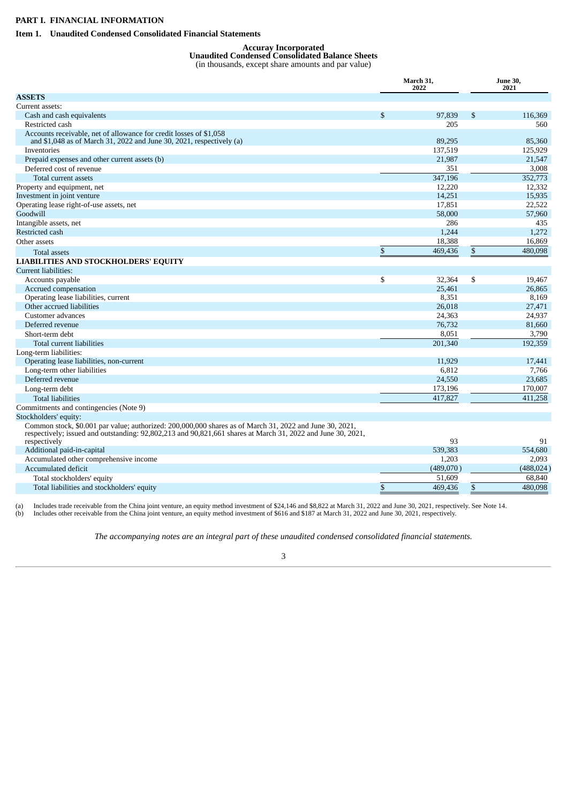# **PART I. FINANCIAL INFORMATION**

# <span id="page-2-1"></span><span id="page-2-0"></span>**Item 1. Unaudited Condensed Consolidated Financial Statements**

#### **Accuray Incorporated Unaudited Condensed Consolidated Balance Sheets**

(in thousands, except share amounts and par value)

|                                                                                                                                                                                                                                        | March 31,<br>2022 | June 30,<br>2021 |            |  |
|----------------------------------------------------------------------------------------------------------------------------------------------------------------------------------------------------------------------------------------|-------------------|------------------|------------|--|
| <b>ASSETS</b>                                                                                                                                                                                                                          |                   |                  |            |  |
| Current assets:                                                                                                                                                                                                                        |                   |                  |            |  |
| Cash and cash equivalents                                                                                                                                                                                                              | \$<br>97,839      | $\mathfrak{S}$   | 116,369    |  |
| Restricted cash                                                                                                                                                                                                                        | 205               |                  | 560        |  |
| Accounts receivable, net of allowance for credit losses of \$1,058<br>and $$1,048$ as of March 31, 2022 and June 30, 2021, respectively (a)                                                                                            | 89.295            |                  | 85,360     |  |
| Inventories                                                                                                                                                                                                                            | 137,519           |                  | 125,929    |  |
| Prepaid expenses and other current assets (b)                                                                                                                                                                                          | 21,987            |                  | 21,547     |  |
| Deferred cost of revenue                                                                                                                                                                                                               | 351               |                  | 3,008      |  |
| Total current assets                                                                                                                                                                                                                   | 347,196           |                  | 352,773    |  |
| Property and equipment, net                                                                                                                                                                                                            | 12,220            |                  | 12,332     |  |
| Investment in joint venture                                                                                                                                                                                                            | 14,251            |                  | 15,935     |  |
| Operating lease right-of-use assets, net                                                                                                                                                                                               | 17,851            |                  | 22,522     |  |
| Goodwill                                                                                                                                                                                                                               | 58,000            |                  | 57,960     |  |
| Intangible assets, net                                                                                                                                                                                                                 | 286               |                  | 435        |  |
| Restricted cash                                                                                                                                                                                                                        | 1,244             |                  | 1,272      |  |
| Other assets                                                                                                                                                                                                                           | 18,388            |                  | 16,869     |  |
| <b>Total assets</b>                                                                                                                                                                                                                    | \$<br>469,436     | $\mathfrak{s}$   | 480,098    |  |
| <b>LIABILITIES AND STOCKHOLDERS' EQUITY</b>                                                                                                                                                                                            |                   |                  |            |  |
| Current liabilities:                                                                                                                                                                                                                   |                   |                  |            |  |
| Accounts payable                                                                                                                                                                                                                       | \$<br>32,364      | \$               | 19,467     |  |
| Accrued compensation                                                                                                                                                                                                                   | 25,461            |                  | 26,865     |  |
| Operating lease liabilities, current                                                                                                                                                                                                   | 8,351             |                  | 8,169      |  |
| Other accrued liabilities                                                                                                                                                                                                              | 26,018            |                  | 27,471     |  |
| Customer advances                                                                                                                                                                                                                      | 24,363            |                  | 24,937     |  |
| Deferred revenue                                                                                                                                                                                                                       | 76,732            |                  | 81,660     |  |
| Short-term debt                                                                                                                                                                                                                        | 8,051             |                  | 3,790      |  |
| <b>Total current liabilities</b>                                                                                                                                                                                                       | 201,340           |                  | 192,359    |  |
| Long-term liabilities:                                                                                                                                                                                                                 |                   |                  |            |  |
| Operating lease liabilities, non-current                                                                                                                                                                                               | 11,929            |                  | 17,441     |  |
| Long-term other liabilities                                                                                                                                                                                                            | 6,812             |                  | 7,766      |  |
| Deferred revenue                                                                                                                                                                                                                       | 24,550            |                  | 23,685     |  |
| Long-term debt                                                                                                                                                                                                                         | 173,196           |                  | 170,007    |  |
| <b>Total liabilities</b>                                                                                                                                                                                                               | 417,827           |                  | 411,258    |  |
| Commitments and contingencies (Note 9)                                                                                                                                                                                                 |                   |                  |            |  |
| Stockholders' equity:                                                                                                                                                                                                                  |                   |                  |            |  |
| Common stock, \$0.001 par value; authorized: 200,000,000 shares as of March 31, 2022 and June 30, 2021,<br>respectively; issued and outstanding: 92,802,213 and 90,821,661 shares at March 31, 2022 and June 30, 2021,<br>respectively | 93                |                  | 91         |  |
| Additional paid-in-capital                                                                                                                                                                                                             | 539.383           |                  | 554,680    |  |
| Accumulated other comprehensive income                                                                                                                                                                                                 | 1,203             |                  | 2,093      |  |
| Accumulated deficit                                                                                                                                                                                                                    | (489,070)         |                  | (488, 024) |  |
| Total stockholders' equity                                                                                                                                                                                                             | 51,609            |                  | 68.840     |  |
| Total liabilities and stockholders' equity                                                                                                                                                                                             | \$<br>469,436     | \$               | 480,098    |  |

(a) Includes trade receivable from the China joint venture, an equity method investment of \$24,146 and \$8,822 at March 31, 2022 and June 30, 2021, respectively. See Note 14. (b) Includes other receivable from the China joint venture, an equity method investment of \$616 and \$187 at March 31, 2022 and June 30, 2021, respectively.

*The accompanying notes are an integral part of these unaudited condensed consolidated financial statements.*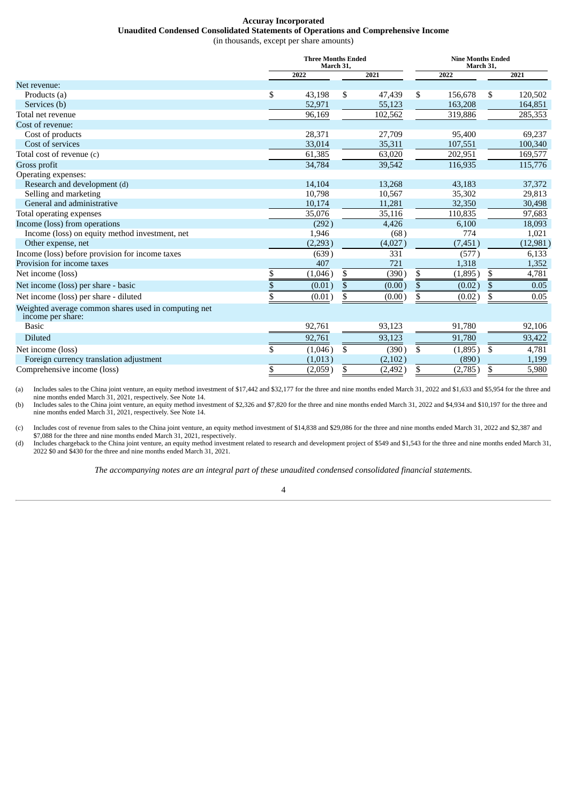# **Accuray Incorporated Unaudited Condensed Consolidated Statements of Operations and Comprehensive Income** (in thousands, except per share amounts)

<span id="page-3-0"></span>

|                                                                           | <b>Three Months Ended</b><br>March 31, |    |          | <b>Nine Months Ended</b><br>March 31, |          |    |          |
|---------------------------------------------------------------------------|----------------------------------------|----|----------|---------------------------------------|----------|----|----------|
|                                                                           | 2022                                   |    | 2021     |                                       | 2022     |    | 2021     |
| Net revenue:                                                              |                                        |    |          |                                       |          |    |          |
| Products (a)                                                              | \$<br>43,198                           | \$ | 47,439   | \$                                    | 156,678  | \$ | 120,502  |
| Services (b)                                                              | 52,971                                 |    | 55,123   |                                       | 163,208  |    | 164,851  |
| Total net revenue                                                         | 96,169                                 |    | 102,562  |                                       | 319,886  |    | 285,353  |
| Cost of revenue:                                                          |                                        |    |          |                                       |          |    |          |
| Cost of products                                                          | 28,371                                 |    | 27,709   |                                       | 95,400   |    | 69,237   |
| Cost of services                                                          | 33,014                                 |    | 35,311   |                                       | 107,551  |    | 100,340  |
| Total cost of revenue (c)                                                 | 61,385                                 |    | 63,020   |                                       | 202,951  |    | 169,577  |
| Gross profit                                                              | 34,784                                 |    | 39,542   |                                       | 116,935  |    | 115,776  |
| Operating expenses:                                                       |                                        |    |          |                                       |          |    |          |
| Research and development (d)                                              | 14,104                                 |    | 13,268   |                                       | 43,183   |    | 37,372   |
| Selling and marketing                                                     | 10,798                                 |    | 10,567   |                                       | 35,302   |    | 29,813   |
| General and administrative                                                | 10,174                                 |    | 11,281   |                                       | 32,350   |    | 30,498   |
| Total operating expenses                                                  | 35,076                                 |    | 35,116   |                                       | 110,835  |    | 97,683   |
| Income (loss) from operations                                             | (292)                                  |    | 4,426    |                                       | 6,100    |    | 18,093   |
| Income (loss) on equity method investment, net                            | 1,946                                  |    | (68)     |                                       | 774      |    | 1,021    |
| Other expense, net                                                        | (2,293)                                |    | (4,027)  |                                       | (7, 451) |    | (12,981) |
| Income (loss) before provision for income taxes                           | (639)                                  |    | 331      |                                       | (577)    |    | 6,133    |
| Provision for income taxes                                                | 407                                    |    | 721      |                                       | 1,318    |    | 1,352    |
| Net income (loss)                                                         | \$<br>(1,046)                          | \$ | (390)    | \$                                    | (1,895)  | \$ | 4,781    |
| Net income (loss) per share - basic                                       | \$<br>(0.01)                           | \$ | (0.00)   | \$                                    | (0.02)   | \$ | 0.05     |
| Net income (loss) per share - diluted                                     | (0.01)                                 | \$ | (0.00)   | \$                                    | (0.02)   | \$ | 0.05     |
| Weighted average common shares used in computing net<br>income per share: |                                        |    |          |                                       |          |    |          |
| <b>Basic</b>                                                              | 92,761                                 |    | 93,123   |                                       | 91,780   |    | 92,106   |
| <b>Diluted</b>                                                            | 92,761                                 |    | 93,123   |                                       | 91,780   |    | 93,422   |
| Net income (loss)                                                         | \$<br>(1,046)                          | \$ | (390)    | \$                                    | (1,895)  | \$ | 4,781    |
| Foreign currency translation adjustment                                   | (1,013)                                |    | (2, 102) |                                       | (890)    |    | 1,199    |
| Comprehensive income (loss)                                               | \$<br>(2,059)                          | \$ | (2, 492) | \$                                    | (2,785)  | \$ | 5,980    |

(a) Includes sales to the China joint venture, an equity method investment of \$17,442 and \$32,177 for the three and nine months ended March 31, 2022 and \$1,633 and \$5,954 for the three and nine months ended March 31, 2021, respectively. See Note 14.

(b) Includes sales to the China joint venture, an equity method investment of \$2,326 and \$7,820 for the three and nine months ended March 31, 2022 and \$4,934 and \$10,197 for the three and nine months ended March 31, 2021, respectively. See Note 14.

(c) Includes cost of revenue from sales to the China joint venture, an equity method investment of \$14,838 and \$29,086 for the three and nine months ended March 31, 2022 and \$2,387 and \$7,088 for the three and nine months ended March 31, 2021, respectively.

(d) Includes chargeback to the China joint venture, an equity method investment related to research and development project of \$549 and \$1,543 for the three and nine months ended March 31, 2022 \$0 and \$430 for the three and nine months ended March 31, 2021.

*The accompanying notes are an integral part of these unaudited condensed consolidated financial statements.*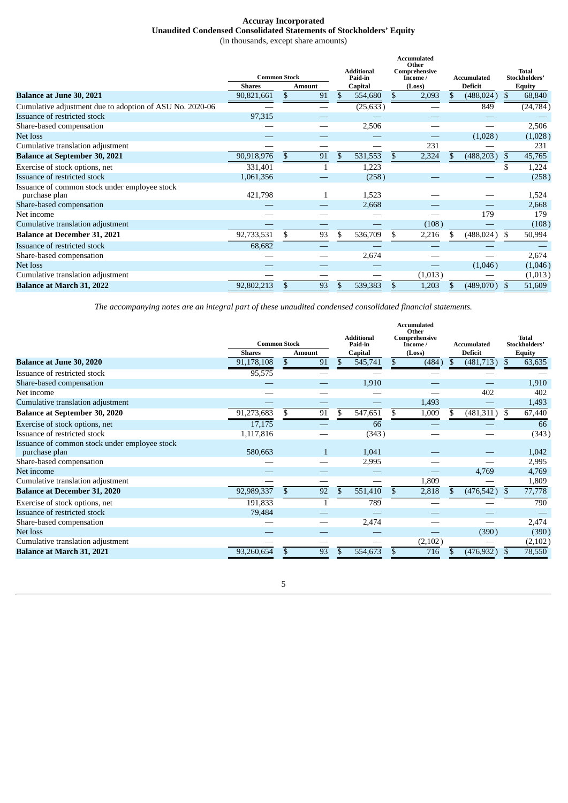# **Accuray Incorporated Unaudited Condensed Consolidated Statements of Stockholders' Equity**

(in thousands, except share amounts)

<span id="page-4-0"></span>

|                                                                | <b>Common Stock</b> |     |               | Additional         |              | Accumulated<br>Other<br>Comprehensive |                               |            |                         | <b>Total</b> |
|----------------------------------------------------------------|---------------------|-----|---------------|--------------------|--------------|---------------------------------------|-------------------------------|------------|-------------------------|--------------|
|                                                                | <b>Shares</b>       |     | <b>Amount</b> | Paid-in<br>Capital |              | Income /<br>(Loss)                    | Accumulated<br><b>Deficit</b> |            | Stockholders'<br>Equity |              |
| <b>Balance at June 30, 2021</b>                                | 90,821,661          | \$  | 91            | \$<br>554,680      | $\mathbb{S}$ | 2,093                                 | \$                            | (488, 024) | \$                      | 68,840       |
| Cumulative adjustment due to adoption of ASU No. 2020-06       |                     |     |               | (25, 633)          |              |                                       |                               | 849        |                         | (24, 784)    |
| Issuance of restricted stock                                   | 97,315              |     |               |                    |              |                                       |                               |            |                         |              |
| Share-based compensation                                       |                     |     |               | 2,506              |              |                                       |                               |            |                         | 2,506        |
| Net loss                                                       |                     |     |               |                    |              |                                       |                               | (1,028)    |                         | (1,028)      |
| Cumulative translation adjustment                              |                     |     |               |                    |              | 231                                   |                               |            |                         | 231          |
| <b>Balance at September 30, 2021</b>                           | 90,918,976          | \$  | 91            | \$<br>531,553      |              | 2,324                                 |                               | (488, 203) | \$                      | 45,765       |
| Exercise of stock options, net                                 | 331,401             |     |               | 1,223              |              |                                       |                               |            | \$.                     | 1,224        |
| Issuance of restricted stock                                   | 1,061,356           |     |               | (258)              |              |                                       |                               |            |                         | (258)        |
| Issuance of common stock under employee stock<br>purchase plan | 421,798             |     |               | 1,523              |              |                                       |                               |            |                         | 1,524        |
| Share-based compensation                                       |                     |     |               | 2,668              |              |                                       |                               |            |                         | 2,668        |
| Net income                                                     |                     |     |               |                    |              |                                       |                               | 179        |                         | 179          |
| Cumulative translation adjustment                              |                     |     |               |                    |              | (108)                                 |                               |            |                         | (108)        |
| <b>Balance at December 31, 2021</b>                            | 92,733,531          | \$. | 93            | \$<br>536,709      |              | 2,216                                 |                               | (488, 024) | S                       | 50,994       |
| Issuance of restricted stock                                   | 68,682              |     |               |                    |              |                                       |                               |            |                         |              |
| Share-based compensation                                       |                     |     |               | 2,674              |              |                                       |                               |            |                         | 2,674        |
| Net loss                                                       |                     |     |               |                    |              |                                       |                               | (1,046)    |                         | (1,046)      |
| Cumulative translation adjustment                              |                     |     |               |                    |              | (1,013)                               |                               |            |                         | (1,013)      |
| <b>Balance at March 31, 2022</b>                               | 92,802,213          | \$  | 93            | \$<br>539,383      |              | 1,203                                 |                               | (489,070)  | S                       | 51,609       |

*The accompanying notes are an integral part of these unaudited condensed consolidated financial statements.*

|                                                                |               |                     |              |                              |               | <b>Accumulated</b><br>Other |                  |     |                               |
|----------------------------------------------------------------|---------------|---------------------|--------------|------------------------------|---------------|-----------------------------|------------------|-----|-------------------------------|
|                                                                |               | <b>Common Stock</b> |              | <b>Additional</b><br>Paid-in |               | Comprehensive<br>Income /   | Accumulated      |     | <b>Total</b><br>Stockholders' |
|                                                                | <b>Shares</b> |                     | Amount       | Capital                      |               | (Loss)                      | <b>Deficit</b>   |     | Equity                        |
| <b>Balance at June 30, 2020</b>                                | 91,178,108    |                     | 91           | \$<br>545,741                | <sup>\$</sup> | (484)                       | \$<br>(481, 713) | \$  | 63,635                        |
| Issuance of restricted stock                                   | 95,575        |                     |              |                              |               |                             |                  |     |                               |
| Share-based compensation                                       |               |                     |              | 1,910                        |               |                             |                  |     | 1,910                         |
| Net income                                                     |               |                     |              |                              |               |                             | 402              |     | 402                           |
| Cumulative translation adjustment                              |               |                     |              |                              |               | 1,493                       |                  |     | 1,493                         |
| <b>Balance at September 30, 2020</b>                           | 91,273,683    | S.                  | 91           | \$<br>547,651                | £.            | 1,009                       | (481, 311)       | \$  | 67,440                        |
| Exercise of stock options, net                                 | 17,175        |                     |              | 66                           |               |                             |                  |     | 66                            |
| Issuance of restricted stock                                   | 1,117,816     |                     |              | (343)                        |               |                             |                  |     | (343)                         |
| Issuance of common stock under employee stock<br>purchase plan | 580,663       |                     | $\mathbf{1}$ | 1,041                        |               |                             |                  |     | 1,042                         |
| Share-based compensation                                       |               |                     |              | 2,995                        |               |                             |                  |     | 2,995                         |
| Net income                                                     |               |                     |              |                              |               |                             | 4,769            |     | 4,769                         |
| Cumulative translation adjustment                              |               |                     |              |                              |               | 1,809                       |                  |     | 1,809                         |
| <b>Balance at December 31, 2020</b>                            | 92,989,337    |                     | 92           | \$<br>551,410                |               | 2,818                       | (476, 542)       | \$. | 77,778                        |
| Exercise of stock options, net                                 | 191,833       |                     |              | 789                          |               |                             |                  |     | 790                           |
| Issuance of restricted stock                                   | 79,484        |                     |              |                              |               |                             |                  |     |                               |
| Share-based compensation                                       |               |                     |              | 2,474                        |               |                             |                  |     | 2,474                         |
| Net loss                                                       |               |                     |              |                              |               |                             | (390)            |     | (390)                         |
| Cumulative translation adjustment                              |               |                     |              |                              |               | (2,102)                     |                  |     | (2,102)                       |
| <b>Balance at March 31, 2021</b>                               | 93,260,654    |                     | 93           | \$<br>554,673                |               | 716                         | (476, 932)       |     | 78,550                        |
|                                                                |               |                     |              |                              |               |                             |                  |     |                               |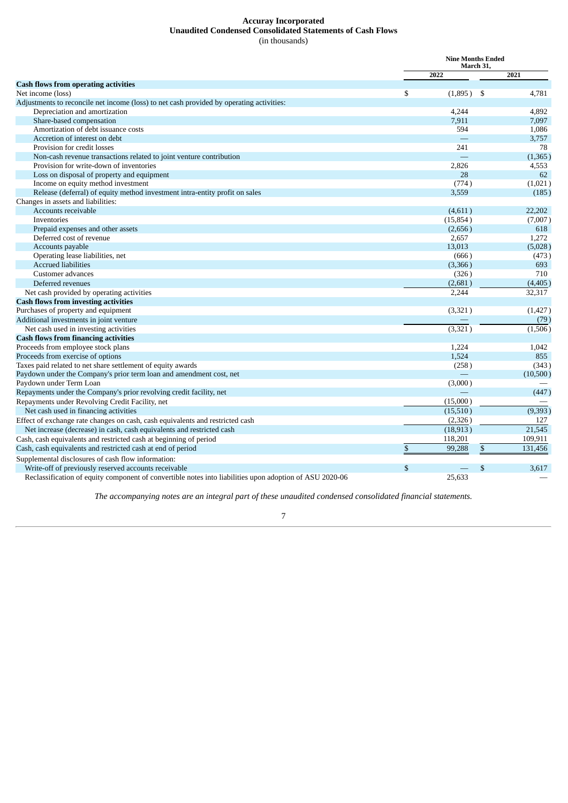# **Accuray Incorporated Unaudited Condensed Consolidated Statements of Cash Flows** (in thousands)

<span id="page-6-0"></span>

|                                                                                                         | <b>Nine Months Ended</b><br>March 31, |           |      |          |
|---------------------------------------------------------------------------------------------------------|---------------------------------------|-----------|------|----------|
|                                                                                                         |                                       | 2022      |      | 2021     |
| <b>Cash flows from operating activities</b>                                                             |                                       |           |      |          |
| Net income (loss)                                                                                       | \$                                    | (1,895)   | - \$ | 4,781    |
| Adjustments to reconcile net income (loss) to net cash provided by operating activities:                |                                       |           |      |          |
| Depreciation and amortization                                                                           |                                       | 4,244     |      | 4,892    |
| Share-based compensation                                                                                |                                       | 7,911     |      | 7,097    |
| Amortization of debt issuance costs                                                                     |                                       | 594       |      | 1,086    |
| Accretion of interest on debt                                                                           |                                       | ÷,        |      | 3,757    |
| Provision for credit losses                                                                             |                                       | 241       |      | 78       |
| Non-cash revenue transactions related to joint venture contribution                                     |                                       |           |      | (1,365)  |
| Provision for write-down of inventories                                                                 |                                       | 2,826     |      | 4,553    |
| Loss on disposal of property and equipment                                                              |                                       | 28        |      | 62       |
| Income on equity method investment                                                                      |                                       | (774)     |      | (1,021)  |
| Release (deferral) of equity method investment intra-entity profit on sales                             |                                       | 3.559     |      | (185)    |
| Changes in assets and liabilities:                                                                      |                                       |           |      |          |
| Accounts receivable                                                                                     |                                       | (4,611)   |      | 22,202   |
| Inventories                                                                                             |                                       | (15, 854) |      | (7,007)  |
| Prepaid expenses and other assets                                                                       |                                       | (2,656)   |      | 618      |
| Deferred cost of revenue                                                                                |                                       | 2,657     |      | 1,272    |
| Accounts payable                                                                                        |                                       | 13,013    |      | (5,028)  |
| Operating lease liabilities, net                                                                        |                                       | (666)     |      | (473)    |
| <b>Accrued liabilities</b>                                                                              |                                       | (3,366)   |      | 693      |
| Customer advances                                                                                       |                                       | (326)     |      | 710      |
| Deferred revenues                                                                                       |                                       | (2,681)   |      | (4, 405) |
| Net cash provided by operating activities                                                               |                                       | 2,244     |      | 32,317   |
| <b>Cash flows from investing activities</b>                                                             |                                       |           |      |          |
| Purchases of property and equipment                                                                     |                                       | (3, 321)  |      | (1, 427) |
| Additional investments in joint venture                                                                 |                                       |           |      | (79)     |
| Net cash used in investing activities                                                                   |                                       | (3, 321)  |      | (1,506)  |
| <b>Cash flows from financing activities</b>                                                             |                                       |           |      |          |
| Proceeds from employee stock plans                                                                      |                                       | 1,224     |      | 1,042    |
| Proceeds from exercise of options                                                                       |                                       | 1,524     |      | 855      |
| Taxes paid related to net share settlement of equity awards                                             |                                       | (258)     |      | (343)    |
| Paydown under the Company's prior term loan and amendment cost, net                                     |                                       |           |      | (10,500) |
| Paydown under Term Loan                                                                                 |                                       | (3,000)   |      |          |
| Repayments under the Company's prior revolving credit facility, net                                     |                                       |           |      | (447)    |
| Repayments under Revolving Credit Facility, net                                                         |                                       | (15,000)  |      |          |
| Net cash used in financing activities                                                                   |                                       | (15,510)  |      | (9, 393) |
| Effect of exchange rate changes on cash, cash equivalents and restricted cash                           |                                       | (2,326)   |      | 127      |
| Net increase (decrease) in cash, cash equivalents and restricted cash                                   |                                       | (18, 913) |      | 21,545   |
| Cash, cash equivalents and restricted cash at beginning of period                                       |                                       | 118,201   |      | 109,911  |
| Cash, cash equivalents and restricted cash at end of period                                             | \$                                    | 99,288    | \$   | 131,456  |
|                                                                                                         |                                       |           |      |          |
| Supplemental disclosures of cash flow information:                                                      |                                       |           |      |          |
| Write-off of previously reserved accounts receivable                                                    | \$                                    |           | \$   | 3.617    |
| Reclassification of equity component of convertible notes into liabilities upon adoption of ASU 2020-06 |                                       | 25,633    |      |          |

*The accompanying notes are an integral part of these unaudited condensed consolidated financial statements.*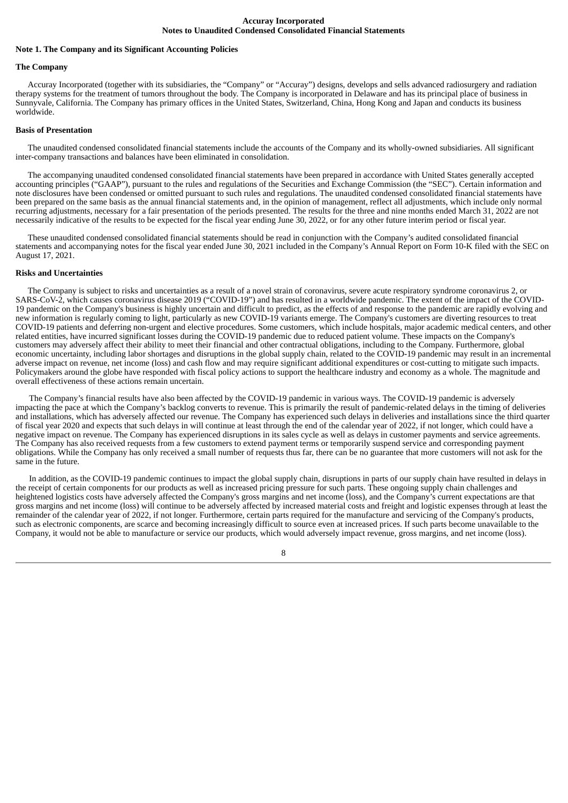#### **Accuray Incorporated Notes to Unaudited Condensed Consolidated Financial Statements**

# <span id="page-7-0"></span>**Note 1. The Company and its Significant Accounting Policies**

# **The Company**

Accuray Incorporated (together with its subsidiaries, the "Company" or "Accuray") designs, develops and sells advanced radiosurgery and radiation therapy systems for the treatment of tumors throughout the body. The Company is incorporated in Delaware and has its principal place of business in Sunnyvale, California. The Company has primary offices in the United States, Switzerland, China, Hong Kong and Japan and conducts its business worldwide.

#### **Basis of Presentation**

The unaudited condensed consolidated financial statements include the accounts of the Company and its wholly-owned subsidiaries. All significant inter-company transactions and balances have been eliminated in consolidation.

The accompanying unaudited condensed consolidated financial statements have been prepared in accordance with United States generally accepted accounting principles ("GAAP"), pursuant to the rules and regulations of the Securities and Exchange Commission (the "SEC"). Certain information and note disclosures have been condensed or omitted pursuant to such rules and regulations. The unaudited condensed consolidated financial statements have been prepared on the same basis as the annual financial statements and, in the opinion of management, reflect all adjustments, which include only normal recurring adjustments, necessary for a fair presentation of the periods presented. The results for the three and nine months ended March 31, 2022 are not necessarily indicative of the results to be expected for the fiscal year ending June 30, 2022, or for any other future interim period or fiscal year.

These unaudited condensed consolidated financial statements should be read in conjunction with the Company's audited consolidated financial statements and accompanying notes for the fiscal year ended June 30, 2021 included in the Company's Annual Report on Form 10-K filed with the SEC on August 17, 2021.

# **Risks and Uncertainties**

The Company is subject to risks and uncertainties as a result of a novel strain of coronavirus, severe acute respiratory syndrome coronavirus 2, or SARS-CoV-2, which causes coronavirus disease 2019 ("COVID-19") and has resulted in a worldwide pandemic. The extent of the impact of the COVID-19 pandemic on the Company's business is highly uncertain and difficult to predict, as the effects of and response to the pandemic are rapidly evolving and new information is regularly coming to light, particularly as new COVID-19 variants emerge. The Company's customers are diverting resources to treat COVID-19 patients and deferring non-urgent and elective procedures. Some customers, which include hospitals, major academic medical centers, and other related entities, have incurred significant losses during the COVID-19 pandemic due to reduced patient volume. These impacts on the Company's customers may adversely affect their ability to meet their financial and other contractual obligations, including to the Company. Furthermore, global economic uncertainty, including labor shortages and disruptions in the global supply chain, related to the COVID-19 pandemic may result in an incremental adverse impact on revenue, net income (loss) and cash flow and may require significant additional expenditures or cost-cutting to mitigate such impacts. Policymakers around the globe have responded with fiscal policy actions to support the healthcare industry and economy as a whole. The magnitude and overall effectiveness of these actions remain uncertain.

The Company's financial results have also been affected by the COVID-19 pandemic in various ways. The COVID-19 pandemic is adversely impacting the pace at which the Company's backlog converts to revenue. This is primarily the result of pandemic-related delays in the timing of deliveries and installations, which has adversely affected our revenue. The Company has experienced such delays in deliveries and installations since the third quarter of fiscal year 2020 and expects that such delays in will continue at least through the end of the calendar year of 2022, if not longer, which could have a negative impact on revenue. The Company has experienced disruptions in its sales cycle as well as delays in customer payments and service agreements. The Company has also received requests from a few customers to extend payment terms or temporarily suspend service and corresponding payment obligations. While the Company has only received a small number of requests thus far, there can be no guarantee that more customers will not ask for the same in the future.

In addition, as the COVID-19 pandemic continues to impact the global supply chain, disruptions in parts of our supply chain have resulted in delays in the receipt of certain components for our products as well as increased pricing pressure for such parts. These ongoing supply chain challenges and heightened logistics costs have adversely affected the Company's gross margins and net income (loss), and the Company's current expectations are that gross margins and net income (loss) will continue to be adversely affected by increased material costs and freight and logistic expenses through at least the remainder of the calendar year of 2022, if not longer. Furthermore, certain parts required for the manufacture and servicing of the Company's products, such as electronic components, are scarce and becoming increasingly difficult to source even at increased prices. If such parts become unavailable to the Company, it would not be able to manufacture or service our products, which would adversely impact revenue, gross margins, and net income (loss).

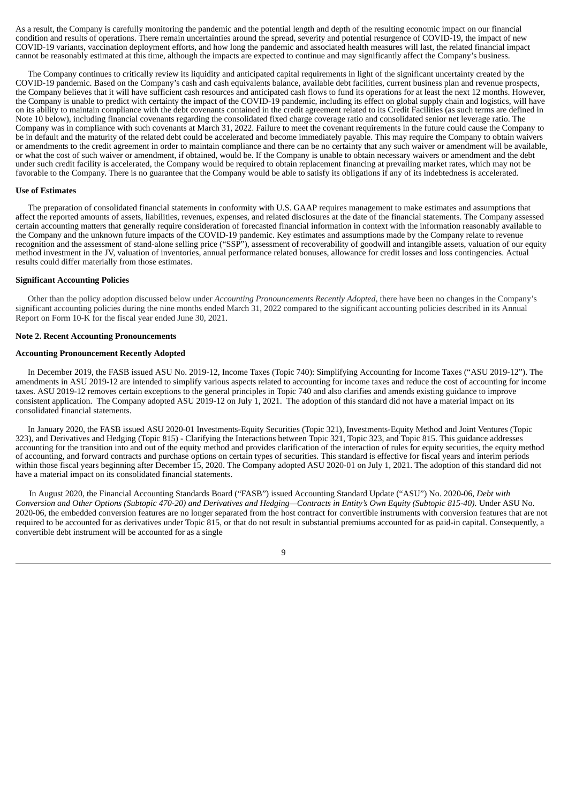As a result, the Company is carefully monitoring the pandemic and the potential length and depth of the resulting economic impact on our financial condition and results of operations. There remain uncertainties around the spread, severity and potential resurgence of COVID-19, the impact of new COVID-19 variants, vaccination deployment efforts, and how long the pandemic and associated health measures will last, the related financial impact cannot be reasonably estimated at this time, although the impacts are expected to continue and may significantly affect the Company's business.

The Company continues to critically review its liquidity and anticipated capital requirements in light of the significant uncertainty created by the COVID-19 pandemic. Based on the Company's cash and cash equivalents balance, available debt facilities, current business plan and revenue prospects, the Company believes that it will have sufficient cash resources and anticipated cash flows to fund its operations for at least the next 12 months. However, the Company is unable to predict with certainty the impact of the COVID-19 pandemic, including its effect on global supply chain and logistics, will have on its ability to maintain compliance with the debt covenants contained in the credit agreement related to its Credit Facilities (as such terms are defined in Note 10 below), including financial covenants regarding the consolidated fixed charge coverage ratio and consolidated senior net leverage ratio. The Company was in compliance with such covenants at March 31, 2022. Failure to meet the covenant requirements in the future could cause the Company to be in default and the maturity of the related debt could be accelerated and become immediately payable. This may require the Company to obtain waivers or amendments to the credit agreement in order to maintain compliance and there can be no certainty that any such waiver or amendment will be available, or what the cost of such waiver or amendment, if obtained, would be. If the Company is unable to obtain necessary waivers or amendment and the debt under such credit facility is accelerated, the Company would be required to obtain replacement financing at prevailing market rates, which may not be favorable to the Company. There is no guarantee that the Company would be able to satisfy its obligations if any of its indebtedness is accelerated.

### **Use of Estimates**

The preparation of consolidated financial statements in conformity with U.S. GAAP requires management to make estimates and assumptions that affect the reported amounts of assets, liabilities, revenues, expenses, and related disclosures at the date of the financial statements. The Company assessed certain accounting matters that generally require consideration of forecasted financial information in context with the information reasonably available to the Company and the unknown future impacts of the COVID-19 pandemic. Key estimates and assumptions made by the Company relate to revenue recognition and the assessment of stand-alone selling price ("SSP"), assessment of recoverability of goodwill and intangible assets, valuation of our equity method investment in the JV, valuation of inventories, annual performance related bonuses, allowance for credit losses and loss contingencies. Actual results could differ materially from those estimates.

#### **Significant Accounting Policies**

Other than the policy adoption discussed below under *Accounting Pronouncements Recently Adopted,* there have been no changes in the Company's significant accounting policies during the nine months ended March 31, 2022 compared to the significant accounting policies described in its Annual Report on Form 10-K for the fiscal year ended June 30, 2021.

#### **Note 2. Recent Accounting Pronouncements**

## **Accounting Pronouncement Recently Adopted**

In December 2019, the FASB issued ASU No. 2019-12, Income Taxes (Topic 740): Simplifying Accounting for Income Taxes ("ASU 2019-12"). The amendments in ASU 2019-12 are intended to simplify various aspects related to accounting for income taxes and reduce the cost of accounting for income taxes. ASU 2019-12 removes certain exceptions to the general principles in Topic 740 and also clarifies and amends existing guidance to improve consistent application. The Company adopted ASU 2019-12 on July 1, 2021. The adoption of this standard did not have a material impact on its consolidated financial statements.

In January 2020, the FASB issued ASU 2020-01 Investments-Equity Securities (Topic 321), Investments-Equity Method and Joint Ventures (Topic 323), and Derivatives and Hedging (Topic 815) - Clarifying the Interactions between Topic 321, Topic 323, and Topic 815. This guidance addresses accounting for the transition into and out of the equity method and provides clarification of the interaction of rules for equity securities, the equity method of accounting, and forward contracts and purchase options on certain types of securities. This standard is effective for fiscal years and interim periods within those fiscal years beginning after December 15, 2020. The Company adopted ASU 2020-01 on July 1, 2021. The adoption of this standard did not have a material impact on its consolidated financial statements.

In August 2020, the Financial Accounting Standards Board ("FASB") issued Accounting Standard Update ("ASU") No. 2020-06, *Debt with* Conversion and Other Options (Subtopic 470-20) and Derivatives and Hedging-Contracts in Entity's Own Equity (Subtopic 815-40). Under ASU No. 2020-06, the embedded conversion features are no longer separated from the host contract for convertible instruments with conversion features that are not required to be accounted for as derivatives under Topic 815, or that do not result in substantial premiums accounted for as paid-in capital. Consequently, a convertible debt instrument will be accounted for as a single

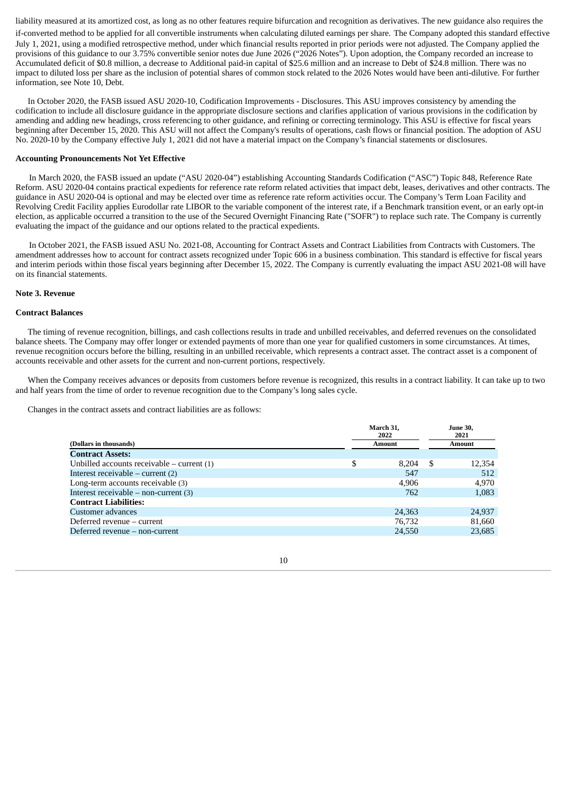liability measured at its amortized cost, as long as no other features require bifurcation and recognition as derivatives. The new guidance also requires the if-converted method to be applied for all convertible instruments when calculating diluted earnings per share. The Company adopted this standard effective July 1, 2021, using a modified retrospective method, under which financial results reported in prior periods were not adjusted. The Company applied the provisions of this guidance to our 3.75% convertible senior notes due June 2026 ("2026 Notes"). Upon adoption, the Company recorded an increase to Accumulated deficit of \$0.8 million, a decrease to Additional paid-in capital of \$25.6 million and an increase to Debt of \$24.8 million. There was no impact to diluted loss per share as the inclusion of potential shares of common stock related to the 2026 Notes would have been anti-dilutive. For further information, see Note 10, Debt.

In October 2020, the FASB issued ASU 2020-10, Codification Improvements - Disclosures. This ASU improves consistency by amending the codification to include all disclosure guidance in the appropriate disclosure sections and clarifies application of various provisions in the codification by amending and adding new headings, cross referencing to other guidance, and refining or correcting terminology. This ASU is effective for fiscal years beginning after December 15, 2020. This ASU will not affect the Company's results of operations, cash flows or financial position. The adoption of ASU No. 2020-10 by the Company effective July 1, 2021 did not have a material impact on the Company's financial statements or disclosures.

#### **Accounting Pronouncements Not Yet Effective**

In March 2020, the FASB issued an update ("ASU 2020-04") establishing Accounting Standards Codification ("ASC") Topic 848, Reference Rate Reform. ASU 2020-04 contains practical expedients for reference rate reform related activities that impact debt, leases, derivatives and other contracts. The guidance in ASU 2020-04 is optional and may be elected over time as reference rate reform activities occur. The Company's Term Loan Facility and Revolving Credit Facility applies Eurodollar rate LIBOR to the variable component of the interest rate, if a Benchmark transition event, or an early opt-in election, as applicable occurred a transition to the use of the Secured Overnight Financing Rate ("SOFR") to replace such rate. The Company is currently evaluating the impact of the guidance and our options related to the practical expedients.

In October 2021, the FASB issued ASU No. 2021-08, Accounting for Contract Assets and Contract Liabilities from Contracts with Customers. The amendment addresses how to account for contract assets recognized under Topic 606 in a business combination. This standard is effective for fiscal years and interim periods within those fiscal years beginning after December 15, 2022. The Company is currently evaluating the impact ASU 2021-08 will have on its financial statements.

#### **Note 3. Revenue**

#### **Contract Balances**

The timing of revenue recognition, billings, and cash collections results in trade and unbilled receivables, and deferred revenues on the consolidated balance sheets. The Company may offer longer or extended payments of more than one year for qualified customers in some circumstances. At times, revenue recognition occurs before the billing, resulting in an unbilled receivable, which represents a contract asset. The contract asset is a component of accounts receivable and other assets for the current and non-current portions, respectively.

When the Company receives advances or deposits from customers before revenue is recognized, this results in a contract liability. It can take up to two and half years from the time of order to revenue recognition due to the Company's long sales cycle.

Changes in the contract assets and contract liabilities are as follows:

|                                                | March 31,<br>2022 |        |        | <b>June 30,</b><br>2021 |  |
|------------------------------------------------|-------------------|--------|--------|-------------------------|--|
| (Dollars in thousands)                         | Amount            |        | Amount |                         |  |
| <b>Contract Assets:</b>                        |                   |        |        |                         |  |
| Unbilled accounts receivable $-$ current $(1)$ | \$                | 8,204  | S      | 12,354                  |  |
| Interest receivable $-$ current (2)            |                   | 547    |        | 512                     |  |
| Long-term accounts receivable (3)              |                   | 4,906  |        | 4,970                   |  |
| Interest receivable $-$ non-current $(3)$      |                   | 762    |        | 1,083                   |  |
| <b>Contract Liabilities:</b>                   |                   |        |        |                         |  |
| Customer advances                              |                   | 24,363 |        | 24,937                  |  |
| Deferred revenue – current                     |                   | 76,732 |        | 81,660                  |  |
| Deferred revenue – non-current                 |                   | 24,550 |        | 23,685                  |  |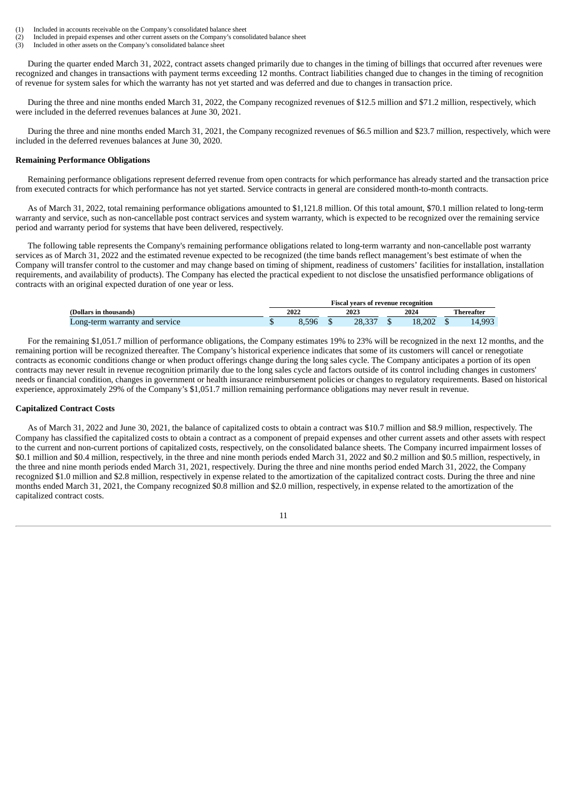- (1) Included in accounts receivable on the Company's consolidated balance sheet
- (2) Included in prepaid expenses and other current assets on the Company's consolidated balance sheet (3) Included in other assets on the Company's consolidated balance sheet
- Included in other assets on the Company's consolidated balance sheet

During the quarter ended March 31, 2022, contract assets changed primarily due to changes in the timing of billings that occurred after revenues were recognized and changes in transactions with payment terms exceeding 12 months. Contract liabilities changed due to changes in the timing of recognition of revenue for system sales for which the warranty has not yet started and was deferred and due to changes in transaction price.

During the three and nine months ended March 31, 2022, the Company recognized revenues of \$12.5 million and \$71.2 million, respectively, which were included in the deferred revenues balances at June 30, 2021.

During the three and nine months ended March 31, 2021, the Company recognized revenues of \$6.5 million and \$23.7 million, respectively, which were included in the deferred revenues balances at June 30, 2020.

# **Remaining Performance Obligations**

Remaining performance obligations represent deferred revenue from open contracts for which performance has already started and the transaction price from executed contracts for which performance has not yet started. Service contracts in general are considered month-to-month contracts.

As of March 31, 2022, total remaining performance obligations amounted to \$1,121.8 million. Of this total amount, \$70.1 million related to long-term warranty and service, such as non-cancellable post contract services and system warranty, which is expected to be recognized over the remaining service period and warranty period for systems that have been delivered, respectively.

The following table represents the Company's remaining performance obligations related to long-term warranty and non-cancellable post warranty services as of March 31, 2022 and the estimated revenue expected to be recognized (the time bands reflect management's best estimate of when the Company will transfer control to the customer and may change based on timing of shipment, readiness of customers' facilities for installation, installation requirements, and availability of products). The Company has elected the practical expedient to not disclose the unsatisfied performance obligations of contracts with an original expected duration of one year or less.

|                                | Fiscal years of revenue recognition |       |  |        |  |        |  |            |
|--------------------------------|-------------------------------------|-------|--|--------|--|--------|--|------------|
| (Dollars in thousands)         |                                     | 2022  |  | 2023   |  | 2024   |  | Thereafter |
| Long-term warranty and service |                                     | 8.596 |  | 28.337 |  | 18.202 |  | 14,993     |

For the remaining \$1,051.7 million of performance obligations, the Company estimates 19% to 23% will be recognized in the next 12 months, and the remaining portion will be recognized thereafter. The Company's historical experience indicates that some of its customers will cancel or renegotiate contracts as economic conditions change or when product offerings change during the long sales cycle. The Company anticipates a portion of its open contracts may never result in revenue recognition primarily due to the long sales cycle and factors outside of its control including changes in customers' needs or financial condition, changes in government or health insurance reimbursement policies or changes to regulatory requirements. Based on historical experience, approximately 29% of the Company's \$1,051.7 million remaining performance obligations may never result in revenue.

#### **Capitalized Contract Costs**

As of March 31, 2022 and June 30, 2021, the balance of capitalized costs to obtain a contract was \$10.7 million and \$8.9 million, respectively. The Company has classified the capitalized costs to obtain a contract as a component of prepaid expenses and other current assets and other assets with respect to the current and non-current portions of capitalized costs, respectively, on the consolidated balance sheets. The Company incurred impairment losses of \$0.1 million and \$0.4 million, respectively, in the three and nine month periods ended March 31, 2022 and \$0.2 million and \$0.5 million, respectively, in the three and nine month periods ended March 31, 2021, respectively. During the three and nine months period ended March 31, 2022, the Company recognized \$1.0 million and \$2.8 million, respectively in expense related to the amortization of the capitalized contract costs. During the three and nine months ended March 31, 2021, the Company recognized \$0.8 million and \$2.0 million, respectively, in expense related to the amortization of the capitalized contract costs.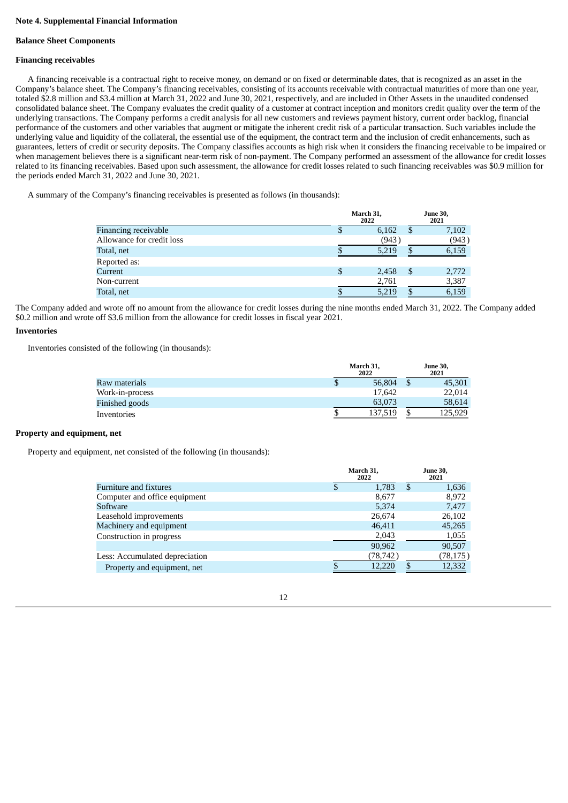# **Note 4. Supplemental Financial Information**

# **Balance Sheet Components**

# **Financing receivables**

A financing receivable is a contractual right to receive money, on demand or on fixed or determinable dates, that is recognized as an asset in the Company's balance sheet. The Company's financing receivables, consisting of its accounts receivable with contractual maturities of more than one year, totaled \$2.8 million and \$3.4 million at March 31, 2022 and June 30, 2021, respectively, and are included in Other Assets in the unaudited condensed consolidated balance sheet. The Company evaluates the credit quality of a customer at contract inception and monitors credit quality over the term of the underlying transactions. The Company performs a credit analysis for all new customers and reviews payment history, current order backlog, financial performance of the customers and other variables that augment or mitigate the inherent credit risk of a particular transaction. Such variables include the underlying value and liquidity of the collateral, the essential use of the equipment, the contract term and the inclusion of credit enhancements, such as guarantees, letters of credit or security deposits. The Company classifies accounts as high risk when it considers the financing receivable to be impaired or when management believes there is a significant near-term risk of non-payment. The Company performed an assessment of the allowance for credit losses related to its financing receivables. Based upon such assessment, the allowance for credit losses related to such financing receivables was \$0.9 million for the periods ended March 31, 2022 and June 30, 2021.

A summary of the Company's financing receivables is presented as follows (in thousands):

|                           |   | March 31,<br>2022 |    |       |
|---------------------------|---|-------------------|----|-------|
| Financing receivable      |   | 6,162             | S  | 7,102 |
| Allowance for credit loss |   | (943)             |    | (943) |
| Total, net                |   | 5.219             |    | 6,159 |
| Reported as:              |   |                   |    |       |
| <b>Current</b>            | S | 2,458             | \$ | 2,772 |
| Non-current               |   | 2,761             |    | 3,387 |
| Total, net                |   | 5,219             |    | 6,159 |

The Company added and wrote off no amount from the allowance for credit losses during the nine months ended March 31, 2022. The Company added \$0.2 million and wrote off \$3.6 million from the allowance for credit losses in fiscal year 2021.

# **Inventories**

Inventories consisted of the following (in thousands):

|                 | March 31,<br>2022 | <b>June 30,</b><br>2021 |
|-----------------|-------------------|-------------------------|
| Raw materials   | \$<br>56,804      | 45,301                  |
| Work-in-process | 17.642            | 22,014                  |
| Finished goods  | 63,073            | 58,614                  |
| Inventories     | 137,519           | 125,929                 |

# **Property and equipment, net**

Property and equipment, net consisted of the following (in thousands):

|                                | March 31, |           | <b>June 30,</b><br>2021 |           |
|--------------------------------|-----------|-----------|-------------------------|-----------|
| Furniture and fixtures         | S         | 1,783     | S.                      | 1,636     |
| Computer and office equipment  |           | 8,677     |                         | 8,972     |
| Software                       |           | 5,374     |                         | 7,477     |
| Leasehold improvements         |           | 26,674    |                         | 26,102    |
| Machinery and equipment        |           | 46,411    |                         | 45,265    |
| Construction in progress       |           | 2,043     |                         | 1,055     |
|                                |           | 90,962    |                         | 90,507    |
| Less: Accumulated depreciation |           | (78, 742) |                         | (78, 175) |
| Property and equipment, net    |           | 12,220    |                         | 12,332    |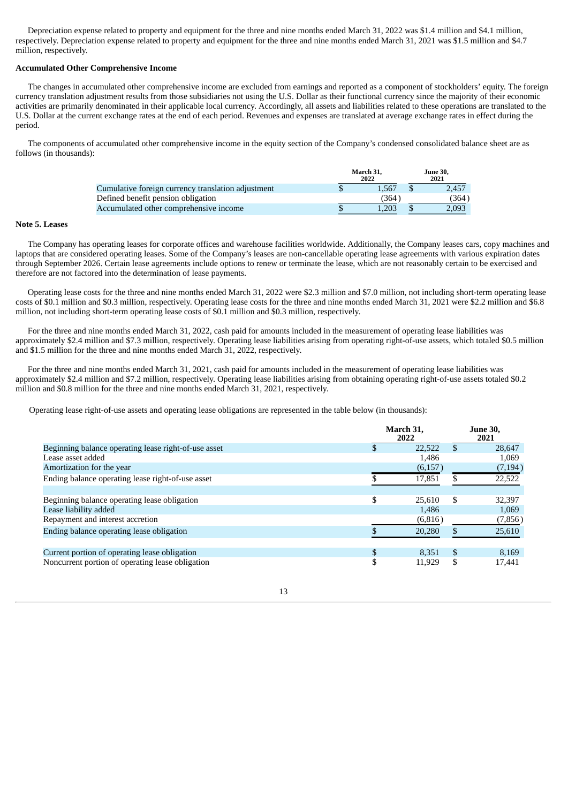Depreciation expense related to property and equipment for the three and nine months ended March 31, 2022 was \$1.4 million and \$4.1 million, respectively. Depreciation expense related to property and equipment for the three and nine months ended March 31, 2021 was \$1.5 million and \$4.7 million, respectively.

# **Accumulated Other Comprehensive Income**

The changes in accumulated other comprehensive income are excluded from earnings and reported as a component of stockholders' equity. The foreign currency translation adjustment results from those subsidiaries not using the U.S. Dollar as their functional currency since the majority of their economic activities are primarily denominated in their applicable local currency. Accordingly, all assets and liabilities related to these operations are translated to the U.S. Dollar at the current exchange rates at the end of each period. Revenues and expenses are translated at average exchange rates in effect during the period.

The components of accumulated other comprehensive income in the equity section of the Company's condensed consolidated balance sheet are as follows (in thousands):

|                                                    | March 31.<br>2022 | <b>June 30.</b><br>2021 |
|----------------------------------------------------|-------------------|-------------------------|
| Cumulative foreign currency translation adjustment | 1.567             | 2.457                   |
| Defined benefit pension obligation                 | (364)             | (364)                   |
| Accumulated other comprehensive income             | 1.203             | 2.093                   |

# **Note 5. Leases**

The Company has operating leases for corporate offices and warehouse facilities worldwide. Additionally, the Company leases cars, copy machines and laptops that are considered operating leases. Some of the Company's leases are non-cancellable operating lease agreements with various expiration dates through September 2026. Certain lease agreements include options to renew or terminate the lease, which are not reasonably certain to be exercised and therefore are not factored into the determination of lease payments.

Operating lease costs for the three and nine months ended March 31, 2022 were \$2.3 million and \$7.0 million, not including short-term operating lease costs of \$0.1 million and \$0.3 million, respectively. Operating lease costs for the three and nine months ended March 31, 2021 were \$2.2 million and \$6.8 million, not including short-term operating lease costs of \$0.1 million and \$0.3 million, respectively.

For the three and nine months ended March 31, 2022, cash paid for amounts included in the measurement of operating lease liabilities was approximately \$2.4 million and \$7.3 million, respectively. Operating lease liabilities arising from operating right-of-use assets, which totaled \$0.5 million and \$1.5 million for the three and nine months ended March 31, 2022, respectively.

For the three and nine months ended March 31, 2021, cash paid for amounts included in the measurement of operating lease liabilities was approximately \$2.4 million and \$7.2 million, respectively. Operating lease liabilities arising from obtaining operating right-of-use assets totaled \$0.2 million and \$0.8 million for the three and nine months ended March 31, 2021, respectively.

Operating lease right-of-use assets and operating lease obligations are represented in the table below (in thousands):

|                                                      | March 31.<br>2022 | <b>June 30.</b><br>2021 |
|------------------------------------------------------|-------------------|-------------------------|
| Beginning balance operating lease right-of-use asset | 22,522            | \$<br>28,647            |
| Lease asset added                                    | 1,486             | 1,069                   |
| Amortization for the year                            | (6, 157)          | (7, 194)                |
| Ending balance operating lease right-of-use asset    | 17,851            | 22,522                  |
| Beginning balance operating lease obligation         | \$<br>25,610      | \$<br>32,397            |
| Lease liability added                                | 1,486             | 1,069                   |
| Repayment and interest accretion                     | (6, 816)          | (7,856)                 |
| Ending balance operating lease obligation            | 20.280            | 25,610                  |
|                                                      |                   |                         |
| Current portion of operating lease obligation        | \$<br>8.351       | \$<br>8,169             |
| Noncurrent portion of operating lease obligation     | \$<br>11.929      | \$<br>17,441            |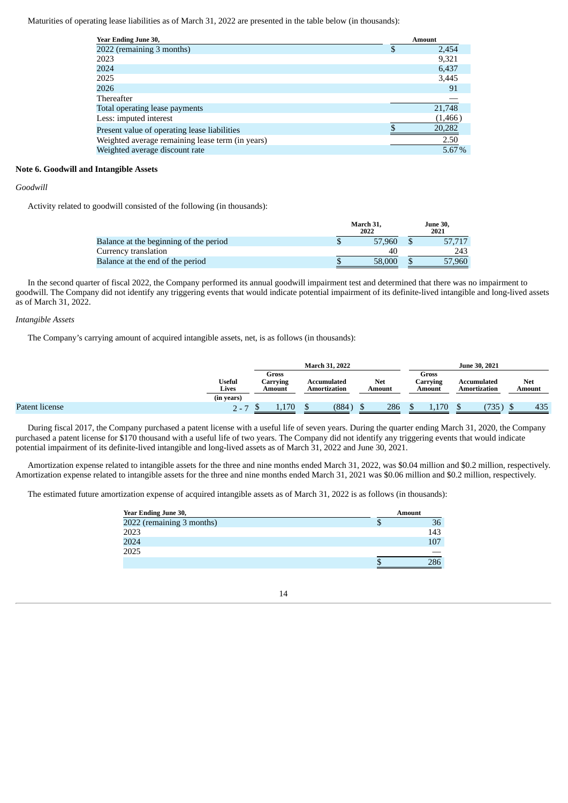Maturities of operating lease liabilities as of March 31, 2022 are presented in the table below (in thousands):

| <b>Year Ending June 30,</b>                      | Amount      |
|--------------------------------------------------|-------------|
| 2022 (remaining 3 months)                        | \$<br>2,454 |
| 2023                                             | 9,321       |
| 2024                                             | 6,437       |
| 2025                                             | 3,445       |
| 2026                                             | 91          |
| <b>Thereafter</b>                                |             |
| Total operating lease payments                   | 21,748      |
| Less: imputed interest                           | (1, 466)    |
| Present value of operating lease liabilities     | 20,282      |
| Weighted average remaining lease term (in years) | 2.50        |
| Weighted average discount rate                   | 5.67%       |
|                                                  |             |

# **Note 6. Goodwill and Intangible Assets**

# *Goodwill*

Activity related to goodwill consisted of the following (in thousands):

|                                        | March 31.<br>2022 | <b>June 30,</b><br>2021 |
|----------------------------------------|-------------------|-------------------------|
| Balance at the beginning of the period | 57,960            | 57.717                  |
| Currency translation                   | 40                | 243                     |
| Balance at the end of the period       | 58,000            | 57,960                  |

In the second quarter of fiscal 2022, the Company performed its annual goodwill impairment test and determined that there was no impairment to goodwill. The Company did not identify any triggering events that would indicate potential impairment of its definite-lived intangible and long-lived assets as of March 31, 2022.

# *Intangible Assets*

The Company's carrying amount of acquired intangible assets, net, is as follows (in thousands):

|                |                                      |                             |                             | <b>March 31, 2022</b> |                      | <b>June 30, 2021</b>        |                             |                      |
|----------------|--------------------------------------|-----------------------------|-----------------------------|-----------------------|----------------------|-----------------------------|-----------------------------|----------------------|
|                | <b>Useful</b><br>Lives<br>(in years) | Gross<br>Carrying<br>Amount | Accumulated<br>Amortization |                       | <b>Net</b><br>Amount | Gross<br>Carrying<br>Amount | Accumulated<br>Amortization | <b>Net</b><br>Amount |
| Patent license | $\sim$<br><b>CONTRACTOR</b>          | 170                         |                             | (884)                 | 286                  | 1.170                       | 735 <sub>1</sub>            | 435                  |

During fiscal 2017, the Company purchased a patent license with a useful life of seven years. During the quarter ending March 31, 2020, the Company purchased a patent license for \$170 thousand with a useful life of two years. The Company did not identify any triggering events that would indicate potential impairment of its definite-lived intangible and long-lived assets as of March 31, 2022 and June 30, 2021.

Amortization expense related to intangible assets for the three and nine months ended March 31, 2022, was \$0.04 million and \$0.2 million, respectively. Amortization expense related to intangible assets for the three and nine months ended March 31, 2021 was \$0.06 million and \$0.2 million, respectively.

The estimated future amortization expense of acquired intangible assets as of March 31, 2022 is as follows (in thousands):

| Year Ending June 30,      | <b>Amount</b> |
|---------------------------|---------------|
| 2022 (remaining 3 months) | 36            |
| 2023                      | 143           |
| 2024                      | 107           |
| 2025                      |               |
|                           | 286           |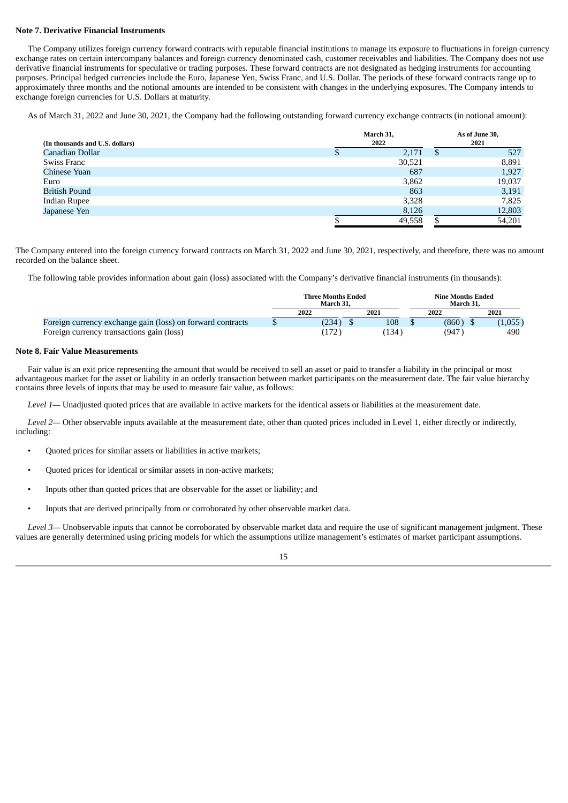# **Note 7. Derivative Financial Instruments**

The Company utilizes foreign currency forward contracts with reputable financial institutions to manage its exposure to fluctuations in foreign currency exchange rates on certain intercompany balances and foreign currency denominated cash, customer receivables and liabilities. The Company does not use derivative financial instruments for speculative or trading purposes. These forward contracts are not designated as hedging instruments for accounting purposes. Principal hedged currencies include the Euro, Japanese Yen, Swiss Franc, and U.S. Dollar. The periods of these forward contracts range up to approximately three months and the notional amounts are intended to be consistent with changes in the underlying exposures. The Company intends to exchange foreign currencies for U.S. Dollars at maturity.

As of March 31, 2022 and June 30, 2021, the Company had the following outstanding forward currency exchange contracts (in notional amount):

|                                 | March 31, | As of June 30, |   |        |  |  |
|---------------------------------|-----------|----------------|---|--------|--|--|
| (In thousands and U.S. dollars) |           | 2022           |   | 2021   |  |  |
| Canadian Dollar                 |           | 2,171          | D | 527    |  |  |
| Swiss Franc                     |           | 30,521         |   | 8,891  |  |  |
| Chinese Yuan                    |           | 687            |   | 1,927  |  |  |
| Euro                            |           | 3,862          |   | 19,037 |  |  |
| <b>British Pound</b>            |           | 863            |   | 3,191  |  |  |
| <b>Indian Rupee</b>             |           | 3,328          |   | 7,825  |  |  |
| Japanese Yen                    |           | 8,126          |   | 12,803 |  |  |
|                                 |           | 49,558         |   | 54,201 |  |  |

The Company entered into the foreign currency forward contracts on March 31, 2022 and June 30, 2021, respectively, and therefore, there was no amount recorded on the balance sheet.

The following table provides information about gain (loss) associated with the Company's derivative financial instruments (in thousands):

|                                                            | <b>Three Months Ended</b><br>March 31. |  | <b>Nine Months Ended</b><br>March 31. |       |  |         |  |  |
|------------------------------------------------------------|----------------------------------------|--|---------------------------------------|-------|--|---------|--|--|
|                                                            | 2022<br>2021                           |  |                                       | 2022  |  | 2021    |  |  |
| Foreign currency exchange gain (loss) on forward contracts | (234)                                  |  | 108                                   | (860) |  | (1,055) |  |  |
| Foreign currency transactions gain (loss)                  | 172                                    |  | (134)                                 | (947) |  | 490     |  |  |

# **Note 8. Fair Value Measurements**

Fair value is an exit price representing the amount that would be received to sell an asset or paid to transfer a liability in the principal or most advantageous market for the asset or liability in an orderly transaction between market participants on the measurement date. The fair value hierarchy contains three levels of inputs that may be used to measure fair value, as follows:

*Level 1—* Unadjusted quoted prices that are available in active markets for the identical assets or liabilities at the measurement date.

*Level 2—* Other observable inputs available at the measurement date, other than quoted prices included in Level 1, either directly or indirectly, including:

- Quoted prices for similar assets or liabilities in active markets;
- Quoted prices for identical or similar assets in non-active markets;
- Inputs other than quoted prices that are observable for the asset or liability; and
- Inputs that are derived principally from or corroborated by other observable market data.

*Level 3—* Unobservable inputs that cannot be corroborated by observable market data and require the use of significant management judgment. These values are generally determined using pricing models for which the assumptions utilize management's estimates of market participant assumptions.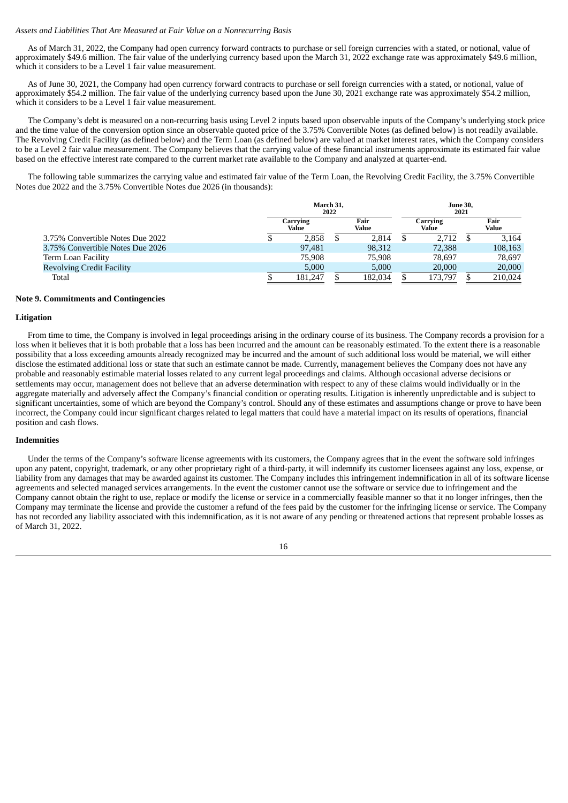#### *Assets and Liabilities That Are Measured at Fair Value on a Nonrecurring Basis*

As of March 31, 2022, the Company had open currency forward contracts to purchase or sell foreign currencies with a stated, or notional, value of approximately \$49.6 million. The fair value of the underlying currency based upon the March 31, 2022 exchange rate was approximately \$49.6 million, which it considers to be a Level 1 fair value measurement.

As of June 30, 2021, the Company had open currency forward contracts to purchase or sell foreign currencies with a stated, or notional, value of approximately \$54.2 million. The fair value of the underlying currency based upon the June 30, 2021 exchange rate was approximately \$54.2 million, which it considers to be a Level 1 fair value measurement.

The Company's debt is measured on a non-recurring basis using Level 2 inputs based upon observable inputs of the Company's underlying stock price and the time value of the conversion option since an observable quoted price of the 3.75% Convertible Notes (as defined below) is not readily available. The Revolving Credit Facility (as defined below) and the Term Loan (as defined below) are valued at market interest rates, which the Company considers to be a Level 2 fair value measurement. The Company believes that the carrying value of these financial instruments approximate its estimated fair value based on the effective interest rate compared to the current market rate available to the Company and analyzed at quarter-end.

The following table summarizes the carrying value and estimated fair value of the Term Loan, the Revolving Credit Facility, the 3.75% Convertible Notes due 2022 and the 3.75% Convertible Notes due 2026 (in thousands):

|                                  | March 31,         | 2022 | <b>June 30,</b><br>2021 |  |                   |  |               |  |
|----------------------------------|-------------------|------|-------------------------|--|-------------------|--|---------------|--|
|                                  | Carrying<br>Value |      | Fair<br>Value           |  | Carrying<br>Value |  | Fair<br>Value |  |
| 3.75% Convertible Notes Due 2022 | 2.858             |      | 2.814                   |  | 2.712             |  | 3,164         |  |
| 3.75% Convertible Notes Due 2026 | 97.481            |      | 98.312                  |  | 72,388            |  | 108,163       |  |
| Term Loan Facility               | 75.908            |      | 75,908                  |  | 78.697            |  | 78.697        |  |
| <b>Revolving Credit Facility</b> | 5,000             |      | 5,000                   |  | 20,000            |  | 20,000        |  |
| Total                            | 181,247           |      | 182,034                 |  | 173,797           |  | 210,024       |  |

#### **Note 9. Commitments and Contingencies**

#### **Litigation**

From time to time, the Company is involved in legal proceedings arising in the ordinary course of its business. The Company records a provision for a loss when it believes that it is both probable that a loss has been incurred and the amount can be reasonably estimated. To the extent there is a reasonable possibility that a loss exceeding amounts already recognized may be incurred and the amount of such additional loss would be material, we will either disclose the estimated additional loss or state that such an estimate cannot be made. Currently, management believes the Company does not have any probable and reasonably estimable material losses related to any current legal proceedings and claims. Although occasional adverse decisions or settlements may occur, management does not believe that an adverse determination with respect to any of these claims would individually or in the aggregate materially and adversely affect the Company's financial condition or operating results. Litigation is inherently unpredictable and is subject to significant uncertainties, some of which are beyond the Company's control. Should any of these estimates and assumptions change or prove to have been incorrect, the Company could incur significant charges related to legal matters that could have a material impact on its results of operations, financial position and cash flows.

#### **Indemnities**

Under the terms of the Company's software license agreements with its customers, the Company agrees that in the event the software sold infringes upon any patent, copyright, trademark, or any other proprietary right of a third-party, it will indemnify its customer licensees against any loss, expense, or liability from any damages that may be awarded against its customer. The Company includes this infringement indemnification in all of its software license agreements and selected managed services arrangements. In the event the customer cannot use the software or service due to infringement and the Company cannot obtain the right to use, replace or modify the license or service in a commercially feasible manner so that it no longer infringes, then the Company may terminate the license and provide the customer a refund of the fees paid by the customer for the infringing license or service. The Company has not recorded any liability associated with this indemnification, as it is not aware of any pending or threatened actions that represent probable losses as of March 31, 2022.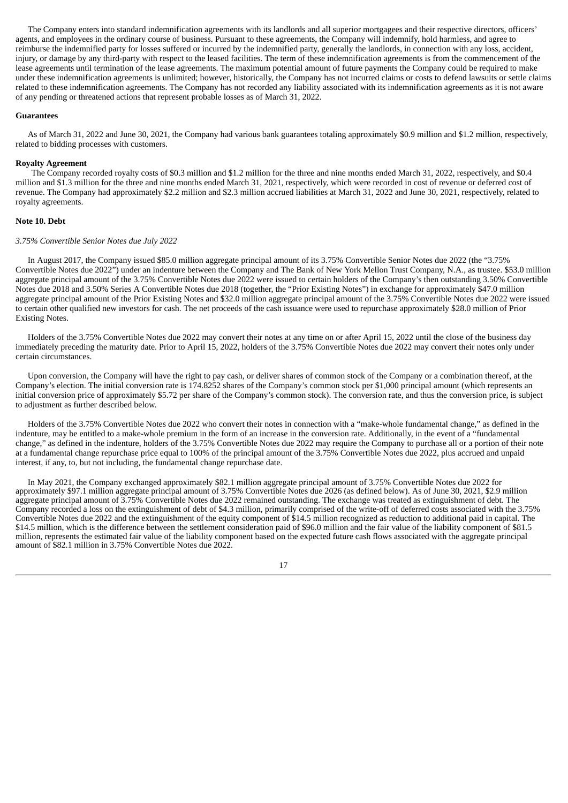The Company enters into standard indemnification agreements with its landlords and all superior mortgagees and their respective directors, officers' agents, and employees in the ordinary course of business. Pursuant to these agreements, the Company will indemnify, hold harmless, and agree to reimburse the indemnified party for losses suffered or incurred by the indemnified party, generally the landlords, in connection with any loss, accident, injury, or damage by any third-party with respect to the leased facilities. The term of these indemnification agreements is from the commencement of the lease agreements until termination of the lease agreements. The maximum potential amount of future payments the Company could be required to make under these indemnification agreements is unlimited; however, historically, the Company has not incurred claims or costs to defend lawsuits or settle claims related to these indemnification agreements. The Company has not recorded any liability associated with its indemnification agreements as it is not aware of any pending or threatened actions that represent probable losses as of March 31, 2022.

#### **Guarantees**

As of March 31, 2022 and June 30, 2021, the Company had various bank guarantees totaling approximately \$0.9 million and \$1.2 million, respectively, related to bidding processes with customers.

## **Royalty Agreement**

The Company recorded royalty costs of \$0.3 million and \$1.2 million for the three and nine months ended March 31, 2022, respectively, and \$0.4 million and \$1.3 million for the three and nine months ended March 31, 2021, respectively, which were recorded in cost of revenue or deferred cost of revenue. The Company had approximately \$2.2 million and \$2.3 million accrued liabilities at March 31, 2022 and June 30, 2021, respectively, related to royalty agreements.

#### **Note 10. Debt**

#### *3.75% Convertible Senior Notes due July 2022*

In August 2017, the Company issued \$85.0 million aggregate principal amount of its 3.75% Convertible Senior Notes due 2022 (the "3.75% Convertible Notes due 2022") under an indenture between the Company and The Bank of New York Mellon Trust Company, N.A., as trustee. \$53.0 million aggregate principal amount of the 3.75% Convertible Notes due 2022 were issued to certain holders of the Company's then outstanding 3.50% Convertible Notes due 2018 and 3.50% Series A Convertible Notes due 2018 (together, the "Prior Existing Notes") in exchange for approximately \$47.0 million aggregate principal amount of the Prior Existing Notes and \$32.0 million aggregate principal amount of the 3.75% Convertible Notes due 2022 were issued to certain other qualified new investors for cash. The net proceeds of the cash issuance were used to repurchase approximately \$28.0 million of Prior Existing Notes.

Holders of the 3.75% Convertible Notes due 2022 may convert their notes at any time on or after April 15, 2022 until the close of the business day immediately preceding the maturity date. Prior to April 15, 2022, holders of the 3.75% Convertible Notes due 2022 may convert their notes only under certain circumstances.

Upon conversion, the Company will have the right to pay cash, or deliver shares of common stock of the Company or a combination thereof, at the Company's election. The initial conversion rate is 174.8252 shares of the Company's common stock per \$1,000 principal amount (which represents an initial conversion price of approximately \$5.72 per share of the Company's common stock). The conversion rate, and thus the conversion price, is subject to adjustment as further described below.

Holders of the 3.75% Convertible Notes due 2022 who convert their notes in connection with a "make-whole fundamental change," as defined in the indenture, may be entitled to a make-whole premium in the form of an increase in the conversion rate. Additionally, in the event of a "fundamental change," as defined in the indenture, holders of the 3.75% Convertible Notes due 2022 may require the Company to purchase all or a portion of their note at a fundamental change repurchase price equal to 100% of the principal amount of the 3.75% Convertible Notes due 2022, plus accrued and unpaid interest, if any, to, but not including, the fundamental change repurchase date.

In May 2021, the Company exchanged approximately \$82.1 million aggregate principal amount of 3.75% Convertible Notes due 2022 for approximately \$97.1 million aggregate principal amount of 3.75% Convertible Notes due 2026 (as defined below). As of June 30, 2021, \$2.9 million aggregate principal amount of 3.75% Convertible Notes due 2022 remained outstanding. The exchange was treated as extinguishment of debt. The Company recorded a loss on the extinguishment of debt of \$4.3 million, primarily comprised of the write-off of deferred costs associated with the 3.75% Convertible Notes due 2022 and the extinguishment of the equity component of \$14.5 million recognized as reduction to additional paid in capital. The \$14.5 million, which is the difference between the settlement consideration paid of \$96.0 million and the fair value of the liability component of \$81.5 million, represents the estimated fair value of the liability component based on the expected future cash flows associated with the aggregate principal amount of \$82.1 million in 3.75% Convertible Notes due 2022.

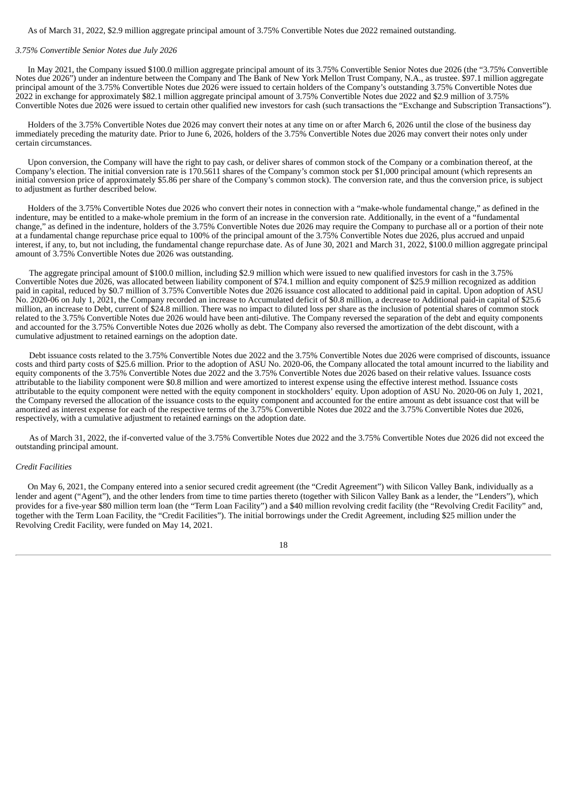#### As of March 31, 2022, \$2.9 million aggregate principal amount of 3.75% Convertible Notes due 2022 remained outstanding.

#### *3.75% Convertible Senior Notes due July 2026*

In May 2021, the Company issued \$100.0 million aggregate principal amount of its 3.75% Convertible Senior Notes due 2026 (the "3.75% Convertible Notes due 2026") under an indenture between the Company and The Bank of New York Mellon Trust Company, N.A., as trustee. \$97.1 million aggregate principal amount of the 3.75% Convertible Notes due 2026 were issued to certain holders of the Company's outstanding 3.75% Convertible Notes due 2022 in exchange for approximately \$82.1 million aggregate principal amount of 3.75% Convertible Notes due 2022 and \$2.9 million of 3.75% Convertible Notes due 2026 were issued to certain other qualified new investors for cash (such transactions the "Exchange and Subscription Transactions").

Holders of the 3.75% Convertible Notes due 2026 may convert their notes at any time on or after March 6, 2026 until the close of the business day immediately preceding the maturity date. Prior to June 6, 2026, holders of the 3.75% Convertible Notes due 2026 may convert their notes only under certain circumstances.

Upon conversion, the Company will have the right to pay cash, or deliver shares of common stock of the Company or a combination thereof, at the Company's election. The initial conversion rate is 170.5611 shares of the Company's common stock per \$1,000 principal amount (which represents an initial conversion price of approximately \$5.86 per share of the Company's common stock). The conversion rate, and thus the conversion price, is subject to adjustment as further described below.

Holders of the 3.75% Convertible Notes due 2026 who convert their notes in connection with a "make-whole fundamental change," as defined in the indenture, may be entitled to a make-whole premium in the form of an increase in the conversion rate. Additionally, in the event of a "fundamental change," as defined in the indenture, holders of the 3.75% Convertible Notes due 2026 may require the Company to purchase all or a portion of their note at a fundamental change repurchase price equal to 100% of the principal amount of the 3.75% Convertible Notes due 2026, plus accrued and unpaid interest, if any, to, but not including, the fundamental change repurchase date. As of June 30, 2021 and March 31, 2022, \$100.0 million aggregate principal amount of 3.75% Convertible Notes due 2026 was outstanding.

The aggregate principal amount of \$100.0 million, including \$2.9 million which were issued to new qualified investors for cash in the 3.75% Convertible Notes due 2026, was allocated between liability component of \$74.1 million and equity component of \$25.9 million recognized as addition paid in capital, reduced by \$0.7 million of 3.75% Convertible Notes due 2026 issuance cost allocated to additional paid in capital. Upon adoption of ASU No. 2020-06 on July 1, 2021, the Company recorded an increase to Accumulated deficit of \$0.8 million, a decrease to Additional paid-in capital of \$25.6 million, an increase to Debt, current of \$24.8 million. There was no impact to diluted loss per share as the inclusion of potential shares of common stock related to the 3.75% Convertible Notes due 2026 would have been anti-dilutive. The Company reversed the separation of the debt and equity components and accounted for the 3.75% Convertible Notes due 2026 wholly as debt. The Company also reversed the amortization of the debt discount, with a cumulative adjustment to retained earnings on the adoption date.

Debt issuance costs related to the 3.75% Convertible Notes due 2022 and the 3.75% Convertible Notes due 2026 were comprised of discounts, issuance costs and third party costs of \$25.6 million. Prior to the adoption of ASU No. 2020-06, the Company allocated the total amount incurred to the liability and equity components of the 3.75% Convertible Notes due 2022 and the 3.75% Convertible Notes due 2026 based on their relative values. Issuance costs attributable to the liability component were \$0.8 million and were amortized to interest expense using the effective interest method. Issuance costs attributable to the equity component were netted with the equity component in stockholders' equity. Upon adoption of ASU No. 2020-06 on July 1, 2021, the Company reversed the allocation of the issuance costs to the equity component and accounted for the entire amount as debt issuance cost that will be amortized as interest expense for each of the respective terms of the 3.75% Convertible Notes due 2022 and the 3.75% Convertible Notes due 2026, respectively, with a cumulative adjustment to retained earnings on the adoption date.

As of March 31, 2022, the if-converted value of the 3.75% Convertible Notes due 2022 and the 3.75% Convertible Notes due 2026 did not exceed the outstanding principal amount.

#### *Credit Facilities*

On May 6, 2021, the Company entered into a senior secured credit agreement (the "Credit Agreement") with Silicon Valley Bank, individually as a lender and agent ("Agent"), and the other lenders from time to time parties thereto (together with Silicon Valley Bank as a lender, the "Lenders"), which provides for a five-year \$80 million term loan (the "Term Loan Facility") and a \$40 million revolving credit facility (the "Revolving Credit Facility" and, together with the Term Loan Facility, the "Credit Facilities"). The initial borrowings under the Credit Agreement, including \$25 million under the Revolving Credit Facility, were funded on May 14, 2021.

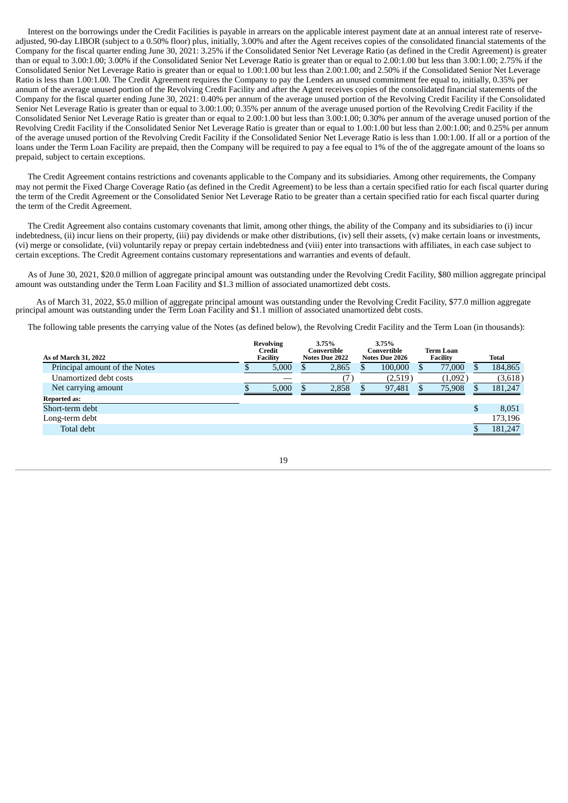Interest on the borrowings under the Credit Facilities is payable in arrears on the applicable interest payment date at an annual interest rate of reserveadjusted, 90-day LIBOR (subject to a 0.50% floor) plus, initially, 3.00% and after the Agent receives copies of the consolidated financial statements of the Company for the fiscal quarter ending June 30, 2021: 3.25% if the Consolidated Senior Net Leverage Ratio (as defined in the Credit Agreement) is greater than or equal to 3.00:1.00; 3.00% if the Consolidated Senior Net Leverage Ratio is greater than or equal to 2.00:1.00 but less than 3.00:1.00; 2.75% if the Consolidated Senior Net Leverage Ratio is greater than or equal to 1.00:1.00 but less than 2.00:1.00; and 2.50% if the Consolidated Senior Net Leverage Ratio is less than 1.00:1.00. The Credit Agreement requires the Company to pay the Lenders an unused commitment fee equal to, initially, 0.35% per annum of the average unused portion of the Revolving Credit Facility and after the Agent receives copies of the consolidated financial statements of the Company for the fiscal quarter ending June 30, 2021: 0.40% per annum of the average unused portion of the Revolving Credit Facility if the Consolidated Senior Net Leverage Ratio is greater than or equal to 3.00:1.00; 0.35% per annum of the average unused portion of the Revolving Credit Facility if the Consolidated Senior Net Leverage Ratio is greater than or equal to 2.00:1.00 but less than 3.00:1.00; 0.30% per annum of the average unused portion of the Revolving Credit Facility if the Consolidated Senior Net Leverage Ratio is greater than or equal to 1.00:1.00 but less than 2.00:1.00; and 0.25% per annum of the average unused portion of the Revolving Credit Facility if the Consolidated Senior Net Leverage Ratio is less than 1.00:1.00. If all or a portion of the loans under the Term Loan Facility are prepaid, then the Company will be required to pay a fee equal to 1% of the of the aggregate amount of the loans so prepaid, subject to certain exceptions.

The Credit Agreement contains restrictions and covenants applicable to the Company and its subsidiaries. Among other requirements, the Company may not permit the Fixed Charge Coverage Ratio (as defined in the Credit Agreement) to be less than a certain specified ratio for each fiscal quarter during the term of the Credit Agreement or the Consolidated Senior Net Leverage Ratio to be greater than a certain specified ratio for each fiscal quarter during the term of the Credit Agreement.

The Credit Agreement also contains customary covenants that limit, among other things, the ability of the Company and its subsidiaries to (i) incur indebtedness, (ii) incur liens on their property, (iii) pay dividends or make other distributions, (iv) sell their assets, (v) make certain loans or investments, (vi) merge or consolidate, (vii) voluntarily repay or prepay certain indebtedness and (viii) enter into transactions with affiliates, in each case subject to certain exceptions. The Credit Agreement contains customary representations and warranties and events of default.

As of June 30, 2021, \$20.0 million of aggregate principal amount was outstanding under the Revolving Credit Facility, \$80 million aggregate principal amount was outstanding under the Term Loan Facility and \$1.3 million of associated unamortized debt costs.

As of March 31, 2022, \$5.0 million of aggregate principal amount was outstanding under the Revolving Credit Facility, \$77.0 million aggregate principal amount was outstanding under the Term Loan Facility and \$1.1 million of associated unamortized debt costs.

The following table presents the carrying value of the Notes (as defined below), the Revolving Credit Facility and the Term Loan (in thousands):

|                               | <b>Revolving</b><br>Credit               |       | 3.75%<br>Convertible  | 3.75%<br>Convertible |                 |  | Term Loan |         |
|-------------------------------|------------------------------------------|-------|-----------------------|----------------------|-----------------|--|-----------|---------|
| As of March 31, 2022          | <b>Facility</b><br><b>Notes Due 2022</b> |       | <b>Notes Due 2026</b> |                      | <b>Facility</b> |  | Total     |         |
| Principal amount of the Notes |                                          | 5,000 | 2,865                 |                      | 100,000         |  | 77,000    | 184,865 |
| Unamortized debt costs        |                                          |       |                       |                      | (2,519)         |  | (1,092)   | (3,618) |
| Net carrying amount           |                                          | 5.000 | 2,858                 |                      | 97,481          |  | 75,908    | 181,247 |
| <b>Reported as:</b>           |                                          |       |                       |                      |                 |  |           |         |
| Short-term debt               |                                          |       |                       |                      |                 |  |           | 8,051   |
| Long-term debt                |                                          |       |                       |                      |                 |  |           | 173,196 |
| Total debt                    |                                          |       |                       |                      |                 |  |           | 181,247 |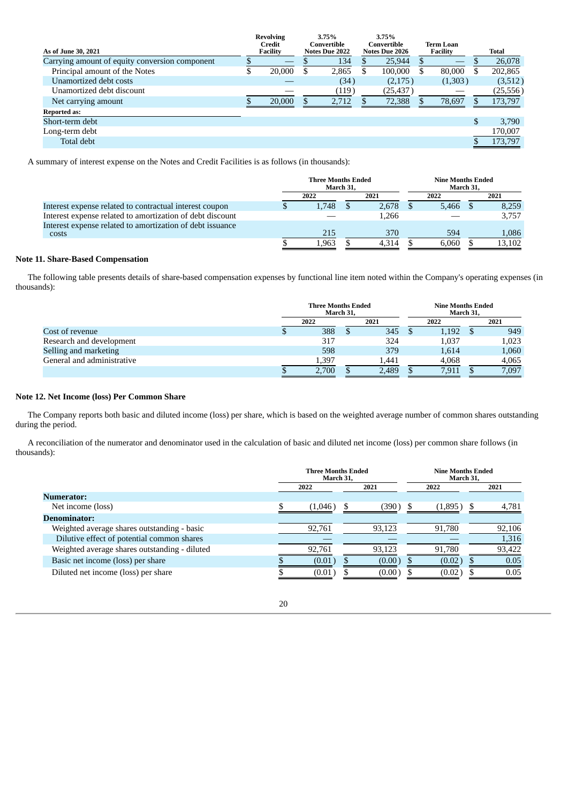|                                                | <b>Revolving</b><br>Credit |                 |     | 3.75%<br>Convertible  | 3.75%<br>Convertible |                       | Term Loan |                 |     |           |
|------------------------------------------------|----------------------------|-----------------|-----|-----------------------|----------------------|-----------------------|-----------|-----------------|-----|-----------|
| As of June 30, 2021                            |                            | <b>Facility</b> |     | <b>Notes Due 2022</b> |                      | <b>Notes Due 2026</b> |           | <b>Facility</b> |     | Total     |
| Carrying amount of equity conversion component |                            |                 |     | 134                   |                      | 25,944                |           |                 |     | 26,078    |
| Principal amount of the Notes                  |                            | 20,000          | \$. | 2.865                 |                      | 100,000               |           | 80,000          | \$. | 202,865   |
| Unamortized debt costs                         |                            |                 |     | (34)                  |                      | (2,175)               |           | (1,303)         |     | (3,512)   |
| Unamortized debt discount                      |                            |                 |     | (119)                 |                      | (25, 437)             |           |                 |     | (25, 556) |
| Net carrying amount                            |                            | 20,000          |     | 2.712                 |                      | 72,388                |           | 78,697          |     | 173,797   |
| <b>Reported as:</b>                            |                            |                 |     |                       |                      |                       |           |                 |     |           |
| Short-term debt                                |                            |                 |     |                       |                      |                       |           |                 | \$  | 3,790     |
| Long-term debt                                 |                            |                 |     |                       |                      |                       |           |                 |     | 170,007   |
| Total debt                                     |                            |                 |     |                       |                      |                       |           |                 |     | 173,797   |

A summary of interest expense on the Notes and Credit Facilities is as follows (in thousands):

|                                                                    | <b>Three Months Ended</b><br>March 31. |       |  |       |  |       | <b>Nine Months Ended</b><br>March 31. |        |  |  |
|--------------------------------------------------------------------|----------------------------------------|-------|--|-------|--|-------|---------------------------------------|--------|--|--|
|                                                                    |                                        | 2022  |  | 2021  |  | 2022  |                                       | 2021   |  |  |
| Interest expense related to contractual interest coupon            |                                        | 1.748 |  | 2.678 |  | 5.466 |                                       | 8,259  |  |  |
| Interest expense related to amortization of debt discount          |                                        |       |  | 1.266 |  |       |                                       | 3.757  |  |  |
| Interest expense related to amortization of debt issuance<br>costs |                                        | 215   |  | 370   |  | 594   |                                       | 1,086  |  |  |
|                                                                    |                                        | 1.963 |  | 4.314 |  | 6.060 |                                       | 13.102 |  |  |

# **Note 11. Share-Based Compensation**

The following table presents details of share-based compensation expenses by functional line item noted within the Company's operating expenses (in thousands):

|                            | <b>Three Months Ended</b><br>March 31, |       |  |       |  | <b>Nine Months Ended</b><br>March 31. |  |       |  |
|----------------------------|----------------------------------------|-------|--|-------|--|---------------------------------------|--|-------|--|
|                            | 2021<br>2022                           |       |  | 2022  |  | 2021                                  |  |       |  |
| Cost of revenue            |                                        | 388   |  | 345   |  | 1,192                                 |  | 949   |  |
| Research and development   |                                        | 317   |  | 324   |  | 1,037                                 |  | 1,023 |  |
| Selling and marketing      |                                        | 598   |  | 379   |  | 1,614                                 |  | 1,060 |  |
| General and administrative |                                        | 1,397 |  | 1,441 |  | 4.068                                 |  | 4,065 |  |
|                            |                                        | 2,700 |  | 2,489 |  | 7,911                                 |  | 7,097 |  |

# **Note 12. Net Income (loss) Per Common Share**

The Company reports both basic and diluted income (loss) per share, which is based on the weighted average number of common shares outstanding during the period.

A reconciliation of the numerator and denominator used in the calculation of basic and diluted net income (loss) per common share follows (in thousands):

|                                               | <b>Three Months Ended</b><br>March 31. |        | <b>Nine Months Ended</b><br>March 31. |        |  |  |
|-----------------------------------------------|----------------------------------------|--------|---------------------------------------|--------|--|--|
|                                               | 2022<br>2021                           |        | 2022                                  | 2021   |  |  |
| <b>Numerator:</b>                             |                                        |        |                                       |        |  |  |
| Net income (loss)                             | (1,046)                                | (390)  | (1,895)                               | 4,781  |  |  |
| <b>Denominator:</b>                           |                                        |        |                                       |        |  |  |
| Weighted average shares outstanding - basic   | 92,761                                 | 93,123 | 91,780                                | 92,106 |  |  |
| Dilutive effect of potential common shares    |                                        |        |                                       | 1,316  |  |  |
| Weighted average shares outstanding - diluted | 92,761                                 | 93,123 | 91,780                                | 93,422 |  |  |
| Basic net income (loss) per share             | (0.01)                                 | (0.00) | (0.02)                                | 0.05   |  |  |
| Diluted net income (loss) per share           | (0.01)                                 | (0.00) | (0.02)                                | 0.05   |  |  |

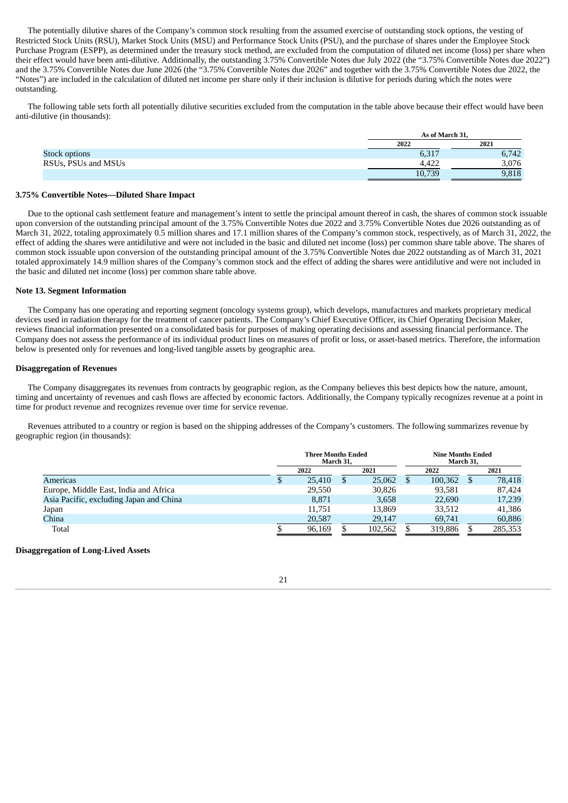The potentially dilutive shares of the Company's common stock resulting from the assumed exercise of outstanding stock options, the vesting of Restricted Stock Units (RSU), Market Stock Units (MSU) and Performance Stock Units (PSU), and the purchase of shares under the Employee Stock Purchase Program (ESPP), as determined under the treasury stock method, are excluded from the computation of diluted net income (loss) per share when their effect would have been anti-dilutive. Additionally, the outstanding 3.75% Convertible Notes due July 2022 (the "3.75% Convertible Notes due 2022") and the 3.75% Convertible Notes due June 2026 (the "3.75% Convertible Notes due 2026" and together with the 3.75% Convertible Notes due 2022, the "Notes") are included in the calculation of diluted net income per share only if their inclusion is dilutive for periods during which the notes were outstanding.

The following table sets forth all potentially dilutive securities excluded from the computation in the table above because their effect would have been anti-dilutive (in thousands):

|                      |        | As of March 31, |  |  |  |
|----------------------|--------|-----------------|--|--|--|
|                      | 2022   | 2021            |  |  |  |
| <b>Stock options</b> | 6,317  | 6,742           |  |  |  |
| RSUs, PSUs and MSUs  | 4.422  | 3,076           |  |  |  |
|                      | 10,739 | 9,818           |  |  |  |

# **3.75% Convertible Notes—Diluted Share Impact**

Due to the optional cash settlement feature and management's intent to settle the principal amount thereof in cash, the shares of common stock issuable upon conversion of the outstanding principal amount of the 3.75% Convertible Notes due 2022 and 3.75% Convertible Notes due 2026 outstanding as of March 31, 2022, totaling approximately 0.5 million shares and 17.1 million shares of the Company's common stock, respectively, as of March 31, 2022, the effect of adding the shares were antidilutive and were not included in the basic and diluted net income (loss) per common share table above. The shares of common stock issuable upon conversion of the outstanding principal amount of the 3.75% Convertible Notes due 2022 outstanding as of March 31, 2021 totaled approximately 14.9 million shares of the Company's common stock and the effect of adding the shares were antidilutive and were not included in the basic and diluted net income (loss) per common share table above.

#### **Note 13. Segment Information**

The Company has one operating and reporting segment (oncology systems group), which develops, manufactures and markets proprietary medical devices used in radiation therapy for the treatment of cancer patients. The Company's Chief Executive Officer, its Chief Operating Decision Maker, reviews financial information presented on a consolidated basis for purposes of making operating decisions and assessing financial performance. The Company does not assess the performance of its individual product lines on measures of profit or loss, or asset-based metrics. Therefore, the information below is presented only for revenues and long-lived tangible assets by geographic area.

#### **Disaggregation of Revenues**

The Company disaggregates its revenues from contracts by geographic region, as the Company believes this best depicts how the nature, amount, timing and uncertainty of revenues and cash flows are affected by economic factors. Additionally, the Company typically recognizes revenue at a point in time for product revenue and recognizes revenue over time for service revenue.

Revenues attributed to a country or region is based on the shipping addresses of the Company's customers. The following summarizes revenue by geographic region (in thousands):

|                                         | <b>Three Months Ended</b><br>March 31, |  | <b>Nine Months Ended</b><br>March 31, |         |  |         |  |
|-----------------------------------------|----------------------------------------|--|---------------------------------------|---------|--|---------|--|
|                                         | 2022                                   |  | 2021                                  | 2022    |  | 2021    |  |
| Americas                                | 25,410                                 |  | 25,062                                | 100.362 |  | 78,418  |  |
| Europe, Middle East, India and Africa   | 29,550                                 |  | 30,826                                | 93,581  |  | 87.424  |  |
| Asia Pacific, excluding Japan and China | 8,871                                  |  | 3,658                                 | 22,690  |  | 17,239  |  |
| Japan                                   | 11.751                                 |  | 13,869                                | 33,512  |  | 41,386  |  |
| China                                   | 20,587                                 |  | 29.147                                | 69.741  |  | 60,886  |  |
| Total                                   | 96,169                                 |  | 102,562                               | 319,886 |  | 285,353 |  |

#### **Disaggregation of Long-Lived Assets**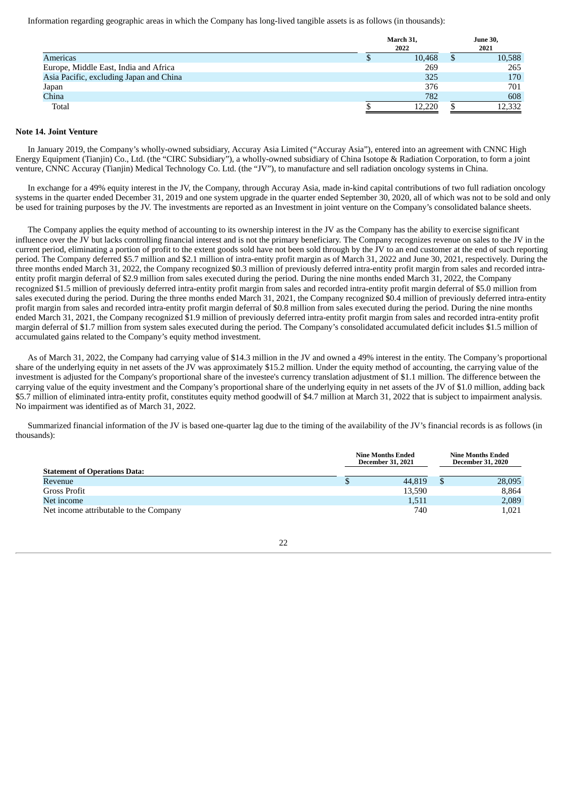Information regarding geographic areas in which the Company has long-lived tangible assets is as follows (in thousands):

|                                         | March 31,<br>2022 | <b>June 30,</b><br>2021 |        |  |
|-----------------------------------------|-------------------|-------------------------|--------|--|
| Americas                                | 10,468            |                         | 10,588 |  |
| Europe, Middle East, India and Africa   | 269               |                         | 265    |  |
| Asia Pacific, excluding Japan and China | 325               |                         | 170    |  |
| Japan                                   | 376               |                         | 701    |  |
| China                                   | 782               |                         | 608    |  |
| Total                                   | 12.220            |                         | 12.332 |  |

# **Note 14. Joint Venture**

In January 2019, the Company's wholly-owned subsidiary, Accuray Asia Limited ("Accuray Asia"), entered into an agreement with CNNC High Energy Equipment (Tianjin) Co., Ltd. (the "CIRC Subsidiary"), a wholly-owned subsidiary of China Isotope & Radiation Corporation, to form a joint venture, CNNC Accuray (Tianjin) Medical Technology Co. Ltd. (the "JV"), to manufacture and sell radiation oncology systems in China.

In exchange for a 49% equity interest in the JV, the Company, through Accuray Asia, made in-kind capital contributions of two full radiation oncology systems in the quarter ended December 31, 2019 and one system upgrade in the quarter ended September 30, 2020, all of which was not to be sold and only be used for training purposes by the JV. The investments are reported as an Investment in joint venture on the Company's consolidated balance sheets.

The Company applies the equity method of accounting to its ownership interest in the JV as the Company has the ability to exercise significant influence over the JV but lacks controlling financial interest and is not the primary beneficiary. The Company recognizes revenue on sales to the JV in the current period, eliminating a portion of profit to the extent goods sold have not been sold through by the JV to an end customer at the end of such reporting period. The Company deferred \$5.7 million and \$2.1 million of intra-entity profit margin as of March 31, 2022 and June 30, 2021, respectively. During the three months ended March 31, 2022, the Company recognized \$0.3 million of previously deferred intra-entity profit margin from sales and recorded intraentity profit margin deferral of \$2.9 million from sales executed during the period. During the nine months ended March 31, 2022, the Company recognized \$1.5 million of previously deferred intra-entity profit margin from sales and recorded intra-entity profit margin deferral of \$5.0 million from sales executed during the period. During the three months ended March 31, 2021, the Company recognized \$0.4 million of previously deferred intra-entity profit margin from sales and recorded intra-entity profit margin deferral of \$0.8 million from sales executed during the period. During the nine months ended March 31, 2021, the Company recognized \$1.9 million of previously deferred intra-entity profit margin from sales and recorded intra-entity profit margin deferral of \$1.7 million from system sales executed during the period. The Company's consolidated accumulated deficit includes \$1.5 million of accumulated gains related to the Company's equity method investment.

As of March 31, 2022, the Company had carrying value of \$14.3 million in the JV and owned a 49% interest in the entity. The Company's proportional share of the underlying equity in net assets of the JV was approximately \$15.2 million. Under the equity method of accounting, the carrying value of the investment is adjusted for the Company's proportional share of the investee's currency translation adjustment of \$1.1 million. The difference between the carrying value of the equity investment and the Company's proportional share of the underlying equity in net assets of the JV of \$1.0 million, adding back \$5.7 million of eliminated intra-entity profit, constitutes equity method goodwill of \$4.7 million at March 31, 2022 that is subject to impairment analysis. No impairment was identified as of March 31, 2022.

Summarized financial information of the JV is based one-quarter lag due to the timing of the availability of the JV's financial records is as follows (in thousands):

|                                        | <b>Nine Months Ended</b><br><b>December 31, 2021</b> |        |  | <b>Nine Months Ended</b><br><b>December 31, 2020</b> |  |  |
|----------------------------------------|------------------------------------------------------|--------|--|------------------------------------------------------|--|--|
| <b>Statement of Operations Data:</b>   |                                                      |        |  |                                                      |  |  |
| Revenue                                |                                                      | 44,819 |  | 28,095                                               |  |  |
| Gross Profit                           |                                                      | 13,590 |  | 8.864                                                |  |  |
| Net income                             |                                                      | 1,511  |  | 2,089                                                |  |  |
| Net income attributable to the Company |                                                      | 740    |  | 1,021                                                |  |  |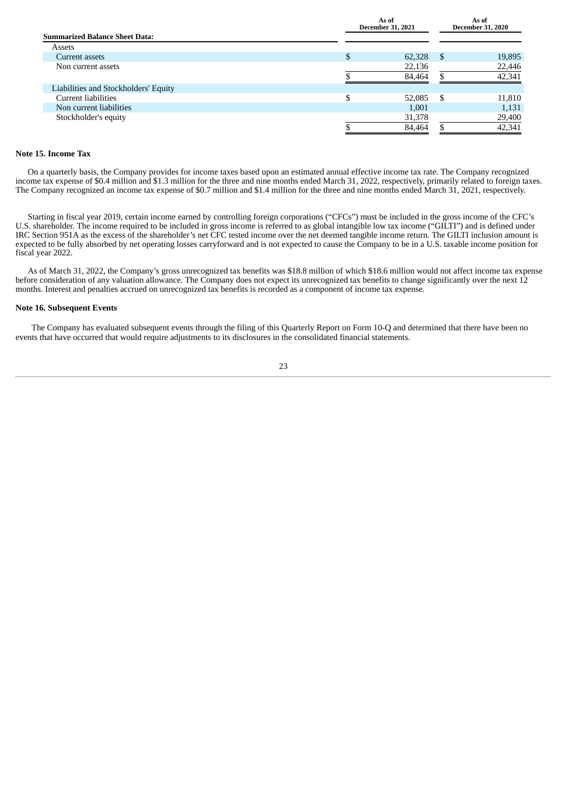|                                       | As of<br><b>December 31, 2021</b> | As of<br><b>December 31, 2020</b> |      |        |
|---------------------------------------|-----------------------------------|-----------------------------------|------|--------|
| <b>Summarized Balance Sheet Data:</b> |                                   |                                   |      |        |
| Assets                                |                                   |                                   |      |        |
| Current assets                        | \$                                | 62,328                            | - \$ | 19,895 |
| Non current assets                    |                                   | 22,136                            |      | 22,446 |
|                                       |                                   | 84,464                            |      | 42,341 |
| Liabilities and Stockholders' Equity  |                                   |                                   |      |        |
| Current liabilities                   | \$                                | 52,085                            | \$   | 11,810 |
| Non current liabilities               |                                   | 1,001                             |      | 1,131  |
| Stockholder's equity                  |                                   | 31,378                            |      | 29,400 |
|                                       |                                   | 84,464                            |      | 42,341 |

# **Note 15. Income Tax**

On a quarterly basis, the Company provides for income taxes based upon an estimated annual effective income tax rate. The Company recognized income tax expense of \$0.4 million and \$1.3 million for the three and nine months ended March 31, 2022, respectively, primarily related to foreign taxes. The Company recognized an income tax expense of \$0.7 million and \$1.4 million for the three and nine months ended March 31, 2021, respectively.

Starting in fiscal year 2019, certain income earned by controlling foreign corporations ("CFCs") must be included in the gross income of the CFC's U.S. shareholder. The income required to be included in gross income is referred to as global intangible low tax income ("GILTI") and is defined under IRC Section 951A as the excess of the shareholder's net CFC tested income over the net deemed tangible income return. The GILTI inclusion amount is expected to be fully absorbed by net operating losses carryforward and is not expected to cause the Company to be in a U.S. taxable income position for fiscal year 2022.

As of March 31, 2022, the Company's gross unrecognized tax benefits was \$18.8 million of which \$18.6 million would not affect income tax expense before consideration of any valuation allowance. The Company does not expect its unrecognized tax benefits to change significantly over the next 12 months. Interest and penalties accrued on unrecognized tax benefits is recorded as a component of income tax expense.

# **Note 16. Subsequent Events**

The Company has evaluated subsequent events through the filing of this Quarterly Report on Form 10-Q and determined that there have been no events that have occurred that would require adjustments to its disclosures in the consolidated financial statements.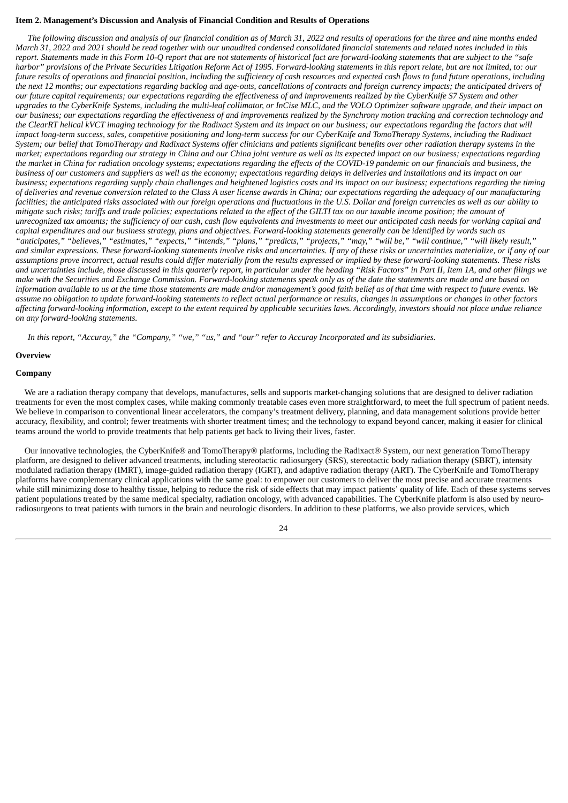# <span id="page-23-0"></span>**Item 2. Management's Discussion and Analysis of Financial Condition and Results of Operations**

The following discussion and analysis of our financial condition as of March 31, 2022 and results of operations for the three and nine months ended March 31, 2022 and 2021 should be read together with our unaudited condensed consolidated financial statements and related notes included in this report. Statements made in this Form 10-Q report that are not statements of historical fact are forward-looking statements that are subject to the "safe harbor" provisions of the Private Securities Litigation Reform Act of 1995. Forward-looking statements in this report relate, but are not limited, to: our future results of operations and financial position, including the sufficiency of cash resources and expected cash flows to fund future operations, including the next 12 months; our expectations regarding backlog and age-outs, cancellations of contracts and foreign currency impacts; the anticipated drivers of our future capital requirements; our expectations regarding the effectiveness of and improvements realized by the CyberKnife S7 System and other upgrades to the CyberKnife Systems, including the multi-leaf collimator, or InCise MLC, and the VOLO Optimizer software upgrade, and their impact on our business; our expectations regarding the effectiveness of and improvements realized by the Synchrony motion tracking and correction technology and the ClearRT helical kVCT imaging technology for the Radixact System and its impact on our business; our expectations regarding the factors that will impact long-term success, sales, competitive positioning and long-term success for our CyberKnife and TomoTherapy Systems, including the Radixact System; our belief that TomoTherapy and Radixact Systems offer clinicians and patients significant benefits over other radiation therapy systems in the market; expectations regarding our strategy in China and our China joint venture as well as its expected impact on our business; expectations regarding the market in China for radiation oncology systems; expectations regarding the effects of the COVID-19 pandemic on our financials and business, the business of our customers and suppliers as well as the economy; expectations regarding delays in deliveries and installations and its impact on our business; expectations regarding supply chain challenges and heightened logistics costs and its impact on our business; expectations regarding the timing of deliveries and revenue conversion related to the Class A user license awards in China; our expectations regarding the adequacy of our manufacturing facilities; the anticipated risks associated with our foreign operations and fluctuations in the U.S. Dollar and foreign currencies as well as our ability to mitigate such risks; tariffs and trade policies; expectations related to the effect of the GILTI tax on our taxable income position; the amount of unrecognized tax amounts; the sufficiency of our cash, cash flow equivalents and investments to meet our anticipated cash needs for working capital and capital expenditures and our business strategy, plans and objectives. Forward-looking statements generally can be identified by words such as "anticipates," "believes," "estimates," "expects," "intends," "plans," "predicts," "projects," "may," "will be," "will continue," "will likely result," and similar expressions. These forward-looking statements involve risks and uncertainties. If any of these risks or uncertainties materialize, or if any of our assumptions prove incorrect, actual results could differ materially from the results expressed or implied by these forward-looking statements. These risks and uncertainties include, those discussed in this quarterly report, in particular under the heading "Risk Factors" in Part II, Item 1A, and other filings we make with the Securities and Exchange Commission. Forward-looking statements speak only as of the date the statements are made and are based on information available to us at the time those statements are made and/or management's good faith belief as of that time with respect to future events. We assume no obligation to update forward-looking statements to reflect actual performance or results, changes in assumptions or changes in other factors affecting forward-looking information, except to the extent required by applicable securities laws. Accordingly, investors should not place undue reliance *on any forward-looking statements.*

In this report, "Accuray," the "Company," "we," "us," and "our" refer to Accuray Incorporated and its subsidiaries.

## **Overview**

#### **Company**

We are a radiation therapy company that develops, manufactures, sells and supports market-changing solutions that are designed to deliver radiation treatments for even the most complex cases, while making commonly treatable cases even more straightforward, to meet the full spectrum of patient needs. We believe in comparison to conventional linear accelerators, the company's treatment delivery, planning, and data management solutions provide better accuracy, flexibility, and control; fewer treatments with shorter treatment times; and the technology to expand beyond cancer, making it easier for clinical teams around the world to provide treatments that help patients get back to living their lives, faster.

Our innovative technologies, the CyberKnife® and TomoTherapy® platforms, including the Radixact® System, our next generation TomoTherapy platform, are designed to deliver advanced treatments, including stereotactic radiosurgery (SRS), stereotactic body radiation therapy (SBRT), intensity modulated radiation therapy (IMRT), image-guided radiation therapy (IGRT), and adaptive radiation therapy (ART). The CyberKnife and TomoTherapy platforms have complementary clinical applications with the same goal: to empower our customers to deliver the most precise and accurate treatments while still minimizing dose to healthy tissue, helping to reduce the risk of side effects that may impact patients' quality of life. Each of these systems serves patient populations treated by the same medical specialty, radiation oncology, with advanced capabilities. The CyberKnife platform is also used by neuroradiosurgeons to treat patients with tumors in the brain and neurologic disorders. In addition to these platforms, we also provide services, which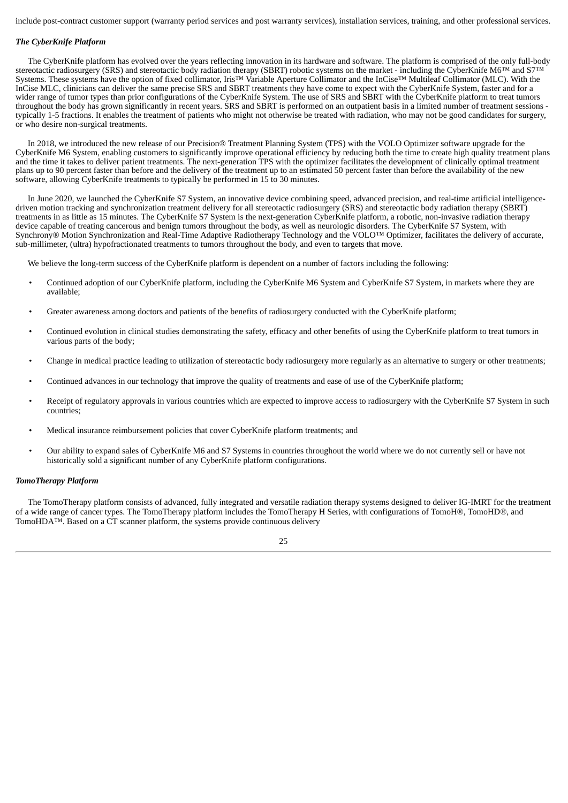include post-contract customer support (warranty period services and post warranty services), installation services, training, and other professional services.

# *The CyberKnife Platform*

The CyberKnife platform has evolved over the years reflecting innovation in its hardware and software. The platform is comprised of the only full-body stereotactic radiosurgery (SRS) and stereotactic body radiation therapy (SBRT) robotic systems on the market - including the CyberKnife M6™ and S7™ Systems. These systems have the option of fixed collimator, Iris™ Variable Aperture Collimator and the InCise™ Multileaf Collimator (MLC). With the InCise MLC, clinicians can deliver the same precise SRS and SBRT treatments they have come to expect with the CyberKnife System, faster and for a wider range of tumor types than prior configurations of the CyberKnife System. The use of SRS and SBRT with the CyberKnife platform to treat tumors throughout the body has grown significantly in recent years. SRS and SBRT is performed on an outpatient basis in a limited number of treatment sessions typically 1-5 fractions. It enables the treatment of patients who might not otherwise be treated with radiation, who may not be good candidates for surgery, or who desire non-surgical treatments.

In 2018, we introduced the new release of our Precision® Treatment Planning System (TPS) with the VOLO Optimizer software upgrade for the CyberKnife M6 System, enabling customers to significantly improve operational efficiency by reducing both the time to create high quality treatment plans and the time it takes to deliver patient treatments. The next-generation TPS with the optimizer facilitates the development of clinically optimal treatment plans up to 90 percent faster than before and the delivery of the treatment up to an estimated 50 percent faster than before the availability of the new software, allowing CyberKnife treatments to typically be performed in 15 to 30 minutes.

In June 2020, we launched the CyberKnife S7 System, an innovative device combining speed, advanced precision, and real-time artificial intelligencedriven motion tracking and synchronization treatment delivery for all stereotactic radiosurgery (SRS) and stereotactic body radiation therapy (SBRT) treatments in as little as 15 minutes. The CyberKnife S7 System is the next-generation CyberKnife platform, a robotic, non-invasive radiation therapy device capable of treating cancerous and benign tumors throughout the body, as well as neurologic disorders. The CyberKnife S7 System, with Synchrony® Motion Synchronization and Real-Time Adaptive Radiotherapy Technology and the VOLO™ Optimizer, facilitates the delivery of accurate, sub-millimeter, (ultra) hypofractionated treatments to tumors throughout the body, and even to targets that move.

We believe the long-term success of the CyberKnife platform is dependent on a number of factors including the following:

- Continued adoption of our CyberKnife platform, including the CyberKnife M6 System and CyberKnife S7 System, in markets where they are available;
- Greater awareness among doctors and patients of the benefits of radiosurgery conducted with the CyberKnife platform;
- Continued evolution in clinical studies demonstrating the safety, efficacy and other benefits of using the CyberKnife platform to treat tumors in various parts of the body;
- Change in medical practice leading to utilization of stereotactic body radiosurgery more regularly as an alternative to surgery or other treatments;
- Continued advances in our technology that improve the quality of treatments and ease of use of the CyberKnife platform;
- Receipt of regulatory approvals in various countries which are expected to improve access to radiosurgery with the CyberKnife S7 System in such countries;
- Medical insurance reimbursement policies that cover CyberKnife platform treatments; and
- Our ability to expand sales of CyberKnife M6 and S7 Systems in countries throughout the world where we do not currently sell or have not historically sold a significant number of any CyberKnife platform configurations.

## *TomoTherapy Platform*

The TomoTherapy platform consists of advanced, fully integrated and versatile radiation therapy systems designed to deliver IG-IMRT for the treatment of a wide range of cancer types. The TomoTherapy platform includes the TomoTherapy H Series, with configurations of TomoH®, TomoHD®, and TomoHDA™. Based on a CT scanner platform, the systems provide continuous delivery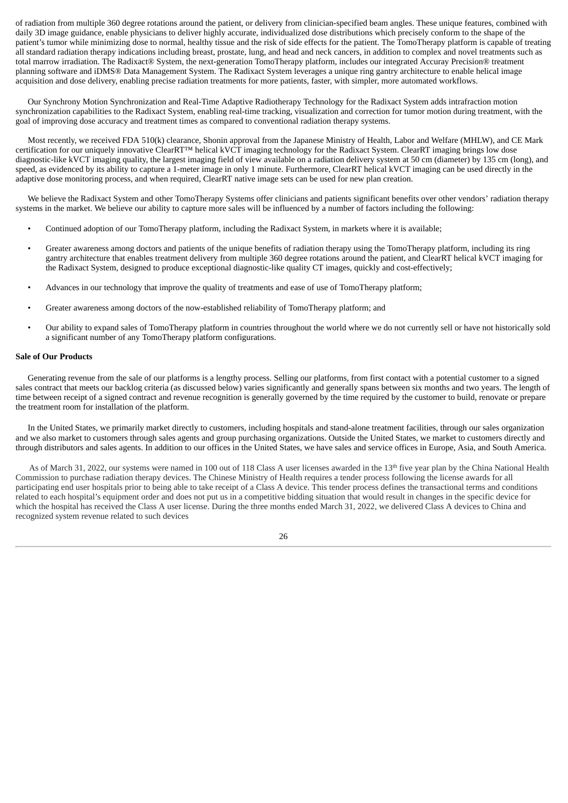of radiation from multiple 360 degree rotations around the patient, or delivery from clinician-specified beam angles. These unique features, combined with daily 3D image guidance, enable physicians to deliver highly accurate, individualized dose distributions which precisely conform to the shape of the patient's tumor while minimizing dose to normal, healthy tissue and the risk of side effects for the patient. The TomoTherapy platform is capable of treating all standard radiation therapy indications including breast, prostate, lung, and head and neck cancers, in addition to complex and novel treatments such as total marrow irradiation. The Radixact® System, the next-generation TomoTherapy platform, includes our integrated Accuray Precision® treatment planning software and iDMS® Data Management System. The Radixact System leverages a unique ring gantry architecture to enable helical image acquisition and dose delivery, enabling precise radiation treatments for more patients, faster, with simpler, more automated workflows.

Our Synchrony Motion Synchronization and Real-Time Adaptive Radiotherapy Technology for the Radixact System adds intrafraction motion synchronization capabilities to the Radixact System, enabling real-time tracking, visualization and correction for tumor motion during treatment, with the goal of improving dose accuracy and treatment times as compared to conventional radiation therapy systems.

Most recently, we received FDA 510(k) clearance, Shonin approval from the Japanese Ministry of Health, Labor and Welfare (MHLW), and CE Mark certification for our uniquely innovative ClearRT™ helical kVCT imaging technology for the Radixact System. ClearRT imaging brings low dose diagnostic-like kVCT imaging quality, the largest imaging field of view available on a radiation delivery system at 50 cm (diameter) by 135 cm (long), and speed, as evidenced by its ability to capture a 1-meter image in only 1 minute. Furthermore, ClearRT helical kVCT imaging can be used directly in the adaptive dose monitoring process, and when required, ClearRT native image sets can be used for new plan creation.

We believe the Radixact System and other TomoTherapy Systems offer clinicians and patients significant benefits over other vendors' radiation therapy systems in the market. We believe our ability to capture more sales will be influenced by a number of factors including the following:

- Continued adoption of our TomoTherapy platform, including the Radixact System, in markets where it is available;
- Greater awareness among doctors and patients of the unique benefits of radiation therapy using the TomoTherapy platform, including its ring gantry architecture that enables treatment delivery from multiple 360 degree rotations around the patient, and ClearRT helical kVCT imaging for the Radixact System, designed to produce exceptional diagnostic-like quality CT images, quickly and cost-effectively;
- Advances in our technology that improve the quality of treatments and ease of use of TomoTherapy platform;
- Greater awareness among doctors of the now-established reliability of TomoTherapy platform; and
- Our ability to expand sales of TomoTherapy platform in countries throughout the world where we do not currently sell or have not historically sold a significant number of any TomoTherapy platform configurations.

## **Sale of Our Products**

Generating revenue from the sale of our platforms is a lengthy process. Selling our platforms, from first contact with a potential customer to a signed sales contract that meets our backlog criteria (as discussed below) varies significantly and generally spans between six months and two years. The length of time between receipt of a signed contract and revenue recognition is generally governed by the time required by the customer to build, renovate or prepare the treatment room for installation of the platform.

In the United States, we primarily market directly to customers, including hospitals and stand-alone treatment facilities, through our sales organization and we also market to customers through sales agents and group purchasing organizations. Outside the United States, we market to customers directly and through distributors and sales agents. In addition to our offices in the United States, we have sales and service offices in Europe, Asia, and South America.

As of March 31, 2022, our systems were named in 100 out of 118 Class A user licenses awarded in the 13<sup>th</sup> five year plan by the China National Health Commission to purchase radiation therapy devices. The Chinese Ministry of Health requires a tender process following the license awards for all participating end user hospitals prior to being able to take receipt of a Class A device. This tender process defines the transactional terms and conditions related to each hospital's equipment order and does not put us in a competitive bidding situation that would result in changes in the specific device for which the hospital has received the Class A user license. During the three months ended March 31, 2022, we delivered Class A devices to China and recognized system revenue related to such devices

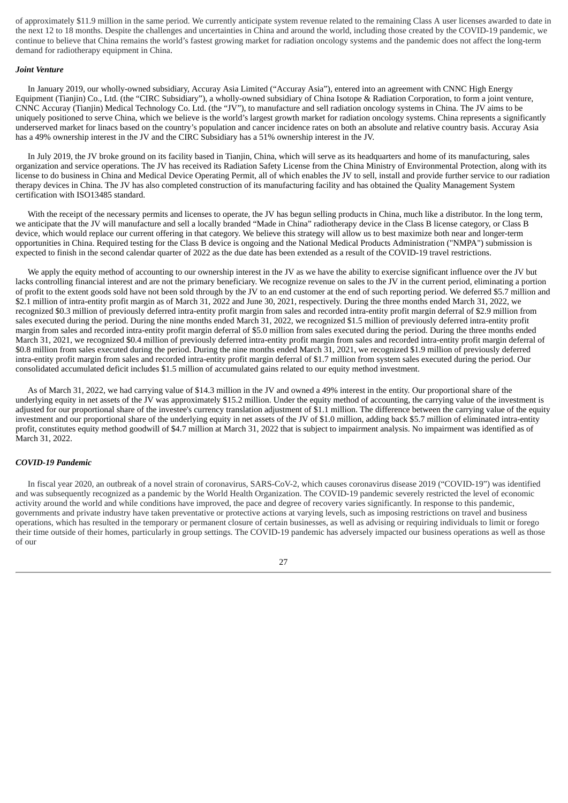of approximately \$11.9 million in the same period. We currently anticipate system revenue related to the remaining Class A user licenses awarded to date in the next 12 to 18 months. Despite the challenges and uncertainties in China and around the world, including those created by the COVID-19 pandemic, we continue to believe that China remains the world's fastest growing market for radiation oncology systems and the pandemic does not affect the long-term demand for radiotherapy equipment in China.

# *Joint Venture*

In January 2019, our wholly-owned subsidiary, Accuray Asia Limited ("Accuray Asia"), entered into an agreement with CNNC High Energy Equipment (Tianjin) Co., Ltd. (the "CIRC Subsidiary"), a wholly-owned subsidiary of China Isotope & Radiation Corporation, to form a joint venture, CNNC Accuray (Tianjin) Medical Technology Co. Ltd. (the "JV"), to manufacture and sell radiation oncology systems in China. The JV aims to be uniquely positioned to serve China, which we believe is the world's largest growth market for radiation oncology systems. China represents a significantly underserved market for linacs based on the country's population and cancer incidence rates on both an absolute and relative country basis. Accuray Asia has a 49% ownership interest in the JV and the CIRC Subsidiary has a 51% ownership interest in the JV.

In July 2019, the JV broke ground on its facility based in Tianjin, China, which will serve as its headquarters and home of its manufacturing, sales organization and service operations. The JV has received its Radiation Safety License from the China Ministry of Environmental Protection, along with its license to do business in China and Medical Device Operating Permit, all of which enables the JV to sell, install and provide further service to our radiation therapy devices in China. The JV has also completed construction of its manufacturing facility and has obtained the Quality Management System certification with ISO13485 standard.

With the receipt of the necessary permits and licenses to operate, the JV has begun selling products in China, much like a distributor. In the long term, we anticipate that the JV will manufacture and sell a locally branded "Made in China" radiotherapy device in the Class B license category, or Class B device, which would replace our current offering in that category. We believe this strategy will allow us to best maximize both near and longer-term opportunities in China. Required testing for the Class B device is ongoing and the National Medical Products Administration ("NMPA") submission is expected to finish in the second calendar quarter of 2022 as the due date has been extended as a result of the COVID-19 travel restrictions.

We apply the equity method of accounting to our ownership interest in the JV as we have the ability to exercise significant influence over the JV but lacks controlling financial interest and are not the primary beneficiary. We recognize revenue on sales to the JV in the current period, eliminating a portion of profit to the extent goods sold have not been sold through by the JV to an end customer at the end of such reporting period. We deferred \$5.7 million and \$2.1 million of intra-entity profit margin as of March 31, 2022 and June 30, 2021, respectively. During the three months ended March 31, 2022, we recognized \$0.3 million of previously deferred intra-entity profit margin from sales and recorded intra-entity profit margin deferral of \$2.9 million from sales executed during the period. During the nine months ended March 31, 2022, we recognized \$1.5 million of previously deferred intra-entity profit margin from sales and recorded intra-entity profit margin deferral of \$5.0 million from sales executed during the period. During the three months ended March 31, 2021, we recognized \$0.4 million of previously deferred intra-entity profit margin from sales and recorded intra-entity profit margin deferral of \$0.8 million from sales executed during the period. During the nine months ended March 31, 2021, we recognized \$1.9 million of previously deferred intra-entity profit margin from sales and recorded intra-entity profit margin deferral of \$1.7 million from system sales executed during the period. Our consolidated accumulated deficit includes \$1.5 million of accumulated gains related to our equity method investment.

As of March 31, 2022, we had carrying value of \$14.3 million in the JV and owned a 49% interest in the entity. Our proportional share of the underlying equity in net assets of the JV was approximately \$15.2 million. Under the equity method of accounting, the carrying value of the investment is adjusted for our proportional share of the investee's currency translation adjustment of \$1.1 million. The difference between the carrying value of the equity investment and our proportional share of the underlying equity in net assets of the JV of \$1.0 million, adding back \$5.7 million of eliminated intra-entity profit, constitutes equity method goodwill of \$4.7 million at March 31, 2022 that is subject to impairment analysis. No impairment was identified as of March 31, 2022.

## *COVID-19 Pandemic*

In fiscal year 2020, an outbreak of a novel strain of coronavirus, SARS-CoV-2, which causes coronavirus disease 2019 ("COVID-19") was identified and was subsequently recognized as a pandemic by the World Health Organization. The COVID-19 pandemic severely restricted the level of economic activity around the world and while conditions have improved, the pace and degree of recovery varies significantly. In response to this pandemic, governments and private industry have taken preventative or protective actions at varying levels, such as imposing restrictions on travel and business operations, which has resulted in the temporary or permanent closure of certain businesses, as well as advising or requiring individuals to limit or forego their time outside of their homes, particularly in group settings. The COVID-19 pandemic has adversely impacted our business operations as well as those of our

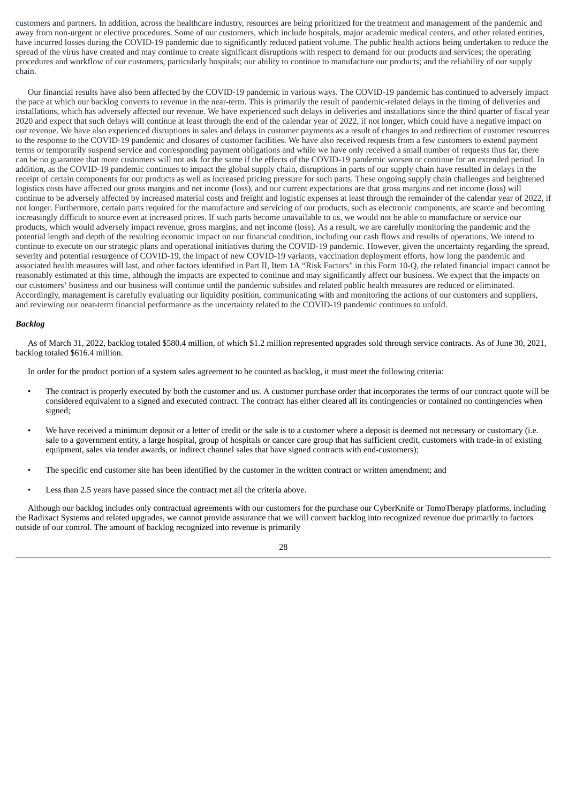customers and partners. In addition, across the healthcare industry, resources are being prioritized for the treatment and management of the pandemic and away from non-urgent or elective procedures. Some of our customers, which include hospitals, major academic medical centers, and other related entities, have incurred losses during the COVID-19 pandemic due to significantly reduced patient volume. The public health actions being undertaken to reduce the spread of the virus have created and may continue to create significant disruptions with respect to demand for our products and services; the operating procedures and workflow of our customers, particularly hospitals; our ability to continue to manufacture our products; and the reliability of our supply chain.

Our financial results have also been affected by the COVID-19 pandemic in various ways. The COVID-19 pandemic has continued to adversely impact the pace at which our backlog converts to revenue in the near-term. This is primarily the result of pandemic-related delays in the timing of deliveries and installations, which has adversely affected our revenue. We have experienced such delays in deliveries and installations since the third quarter of fiscal year 2020 and expect that such delays will continue at least through the end of the calendar year of 2022, if not longer, which could have a negative impact on our revenue. We have also experienced disruptions in sales and delays in customer payments as a result of changes to and redirection of customer resources to the response to the COVID-19 pandemic and closures of customer facilities. We have also received requests from a few customers to extend payment terms or temporarily suspend service and corresponding payment obligations and while we have only received a small number of requests thus far, there can be no guarantee that more customers will not ask for the same if the effects of the COVID-19 pandemic worsen or continue for an extended period. In addition, as the COVID-19 pandemic continues to impact the global supply chain, disruptions in parts of our supply chain have resulted in delays in the receipt of certain components for our products as well as increased pricing pressure for such parts. These ongoing supply chain challenges and heightened logistics costs have affected our gross margins and net income (loss), and our current expectations are that gross margins and net income (loss) will continue to be adversely affected by increased material costs and freight and logistic expenses at least through the remainder of the calendar year of 2022, if not longer. Furthermore, certain parts required for the manufacture and servicing of our products, such as electronic components, are scarce and becoming increasingly difficult to source even at increased prices. If such parts become unavailable to us, we would not be able to manufacture or service our products, which would adversely impact revenue, gross margins, and net income (loss). As a result, we are carefully monitoring the pandemic and the potential length and depth of the resulting economic impact on our financial condition, including our cash flows and results of operations. We intend to continue to execute on our strategic plans and operational initiatives during the COVID-19 pandemic. However, given the uncertainty regarding the spread, severity and potential resurgence of COVID-19, the impact of new COVID-19 variants, vaccination deployment efforts, how long the pandemic and associated health measures will last, and other factors identified in Part II, Item 1A "Risk Factors" in this Form 10-Q, the related financial impact cannot be reasonably estimated at this time, although the impacts are expected to continue and may significantly affect our business. We expect that the impacts on our customers' business and our business will continue until the pandemic subsides and related public health measures are reduced or eliminated. Accordingly, management is carefully evaluating our liquidity position, communicating with and monitoring the actions of our customers and suppliers, and reviewing our near-term financial performance as the uncertainty related to the COVID-19 pandemic continues to unfold.

# *Backlog*

As of March 31, 2022, backlog totaled \$580.4 million, of which \$1.2 million represented upgrades sold through service contracts. As of June 30, 2021, backlog totaled \$616.4 million.

In order for the product portion of a system sales agreement to be counted as backlog, it must meet the following criteria:

- The contract is properly executed by both the customer and us. A customer purchase order that incorporates the terms of our contract quote will be considered equivalent to a signed and executed contract. The contract has either cleared all its contingencies or contained no contingencies when signed;
- We have received a minimum deposit or a letter of credit or the sale is to a customer where a deposit is deemed not necessary or customary (i.e. sale to a government entity, a large hospital, group of hospitals or cancer care group that has sufficient credit, customers with trade-in of existing equipment, sales via tender awards, or indirect channel sales that have signed contracts with end-customers);
- The specific end customer site has been identified by the customer in the written contract or written amendment; and
- Less than 2.5 years have passed since the contract met all the criteria above.

Although our backlog includes only contractual agreements with our customers for the purchase our CyberKnife or TomoTherapy platforms, including the Radixact Systems and related upgrades, we cannot provide assurance that we will convert backlog into recognized revenue due primarily to factors outside of our control. The amount of backlog recognized into revenue is primarily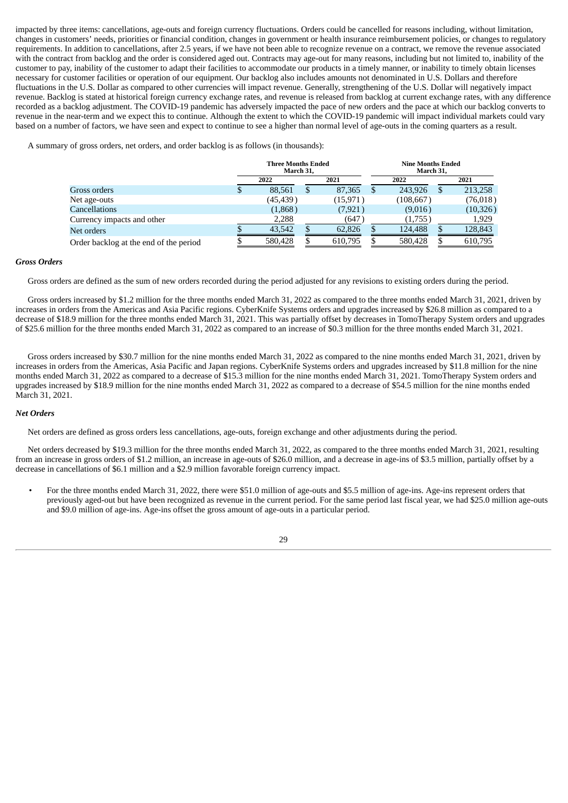impacted by three items: cancellations, age-outs and foreign currency fluctuations. Orders could be cancelled for reasons including, without limitation, changes in customers' needs, priorities or financial condition, changes in government or health insurance reimbursement policies, or changes to regulatory requirements. In addition to cancellations, after 2.5 years, if we have not been able to recognize revenue on a contract, we remove the revenue associated with the contract from backlog and the order is considered aged out. Contracts may age-out for many reasons, including but not limited to, inability of the customer to pay, inability of the customer to adapt their facilities to accommodate our products in a timely manner, or inability to timely obtain licenses necessary for customer facilities or operation of our equipment. Our backlog also includes amounts not denominated in U.S. Dollars and therefore fluctuations in the U.S. Dollar as compared to other currencies will impact revenue. Generally, strengthening of the U.S. Dollar will negatively impact revenue. Backlog is stated at historical foreign currency exchange rates, and revenue is released from backlog at current exchange rates, with any difference recorded as a backlog adjustment. The COVID-19 pandemic has adversely impacted the pace of new orders and the pace at which our backlog converts to revenue in the near-term and we expect this to continue. Although the extent to which the COVID-19 pandemic will impact individual markets could vary based on a number of factors, we have seen and expect to continue to see a higher than normal level of age-outs in the coming quarters as a result.

A summary of gross orders, net orders, and order backlog is as follows (in thousands):

|                                        | <b>Three Months Ended</b><br>March 31, |   | <b>Nine Months Ended</b><br>March 31, |   |            |  |           |  |
|----------------------------------------|----------------------------------------|---|---------------------------------------|---|------------|--|-----------|--|
|                                        | 2022                                   |   | 2021                                  |   | 2022       |  | 2021      |  |
| Gross orders                           | 88,561                                 | S | 87,365                                | S | 243,926    |  | 213,258   |  |
| Net age-outs                           | (45, 439)                              |   | (15, 971)                             |   | (108, 667) |  | (76, 018) |  |
| <b>Cancellations</b>                   | (1,868)                                |   | (7, 921)                              |   | (9,016)    |  | (10, 326) |  |
| Currency impacts and other             | 2,288                                  |   | (647)                                 |   | (1,755)    |  | 1,929     |  |
| Net orders                             | 43,542                                 |   | 62,826                                |   | 124,488    |  | 128,843   |  |
| Order backlog at the end of the period | 580,428                                |   | 610,795                               |   | 580,428    |  | 610.795   |  |

# *Gross Orders*

Gross orders are defined as the sum of new orders recorded during the period adjusted for any revisions to existing orders during the period.

Gross orders increased by \$1.2 million for the three months ended March 31, 2022 as compared to the three months ended March 31, 2021, driven by increases in orders from the Americas and Asia Pacific regions. CyberKnife Systems orders and upgrades increased by \$26.8 million as compared to a decrease of \$18.9 million for the three months ended March 31, 2021. This was partially offset by decreases in TomoTherapy System orders and upgrades of \$25.6 million for the three months ended March 31, 2022 as compared to an increase of \$0.3 million for the three months ended March 31, 2021.

Gross orders increased by \$30.7 million for the nine months ended March 31, 2022 as compared to the nine months ended March 31, 2021, driven by increases in orders from the Americas, Asia Pacific and Japan regions. CyberKnife Systems orders and upgrades increased by \$11.8 million for the nine months ended March 31, 2022 as compared to a decrease of \$15.3 million for the nine months ended March 31, 2021. TomoTherapy System orders and upgrades increased by \$18.9 million for the nine months ended March 31, 2022 as compared to a decrease of \$54.5 million for the nine months ended March 31, 2021.

# *Net Orders*

Net orders are defined as gross orders less cancellations, age-outs, foreign exchange and other adjustments during the period.

Net orders decreased by \$19.3 million for the three months ended March 31, 2022, as compared to the three months ended March 31, 2021, resulting from an increase in gross orders of \$1.2 million, an increase in age-outs of \$26.0 million, and a decrease in age-ins of \$3.5 million, partially offset by a decrease in cancellations of \$6.1 million and a \$2.9 million favorable foreign currency impact.

• For the three months ended March 31, 2022, there were \$51.0 million of age-outs and \$5.5 million of age-ins. Age-ins represent orders that previously aged-out but have been recognized as revenue in the current period. For the same period last fiscal year, we had \$25.0 million age-outs and \$9.0 million of age-ins. Age-ins offset the gross amount of age-outs in a particular period.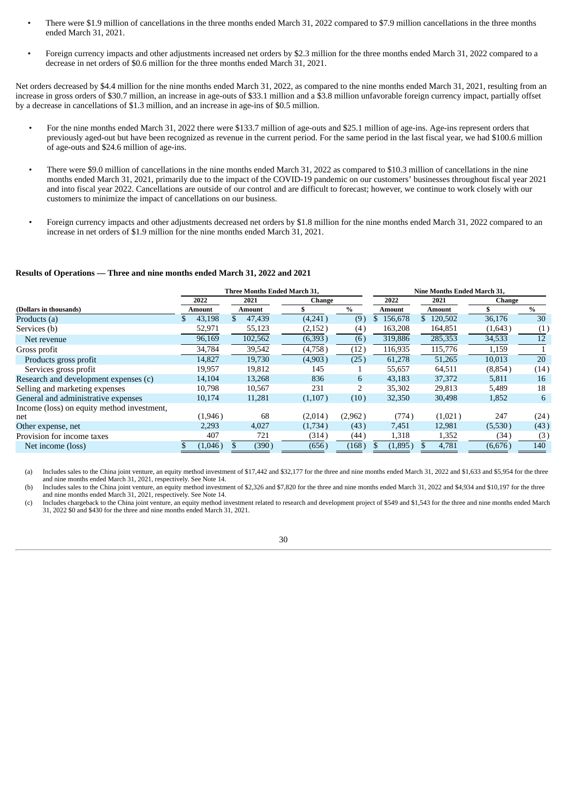- There were \$1.9 million of cancellations in the three months ended March 31, 2022 compared to \$7.9 million cancellations in the three months ended March 31, 2021.
- Foreign currency impacts and other adjustments increased net orders by \$2.3 million for the three months ended March 31, 2022 compared to a decrease in net orders of \$0.6 million for the three months ended March 31, 2021.

Net orders decreased by \$4.4 million for the nine months ended March 31, 2022, as compared to the nine months ended March 31, 2021, resulting from an increase in gross orders of \$30.7 million, an increase in age-outs of \$33.1 million and a \$3.8 million unfavorable foreign currency impact, partially offset by a decrease in cancellations of \$1.3 million, and an increase in age-ins of \$0.5 million.

- For the nine months ended March 31, 2022 there were \$133.7 million of age-outs and \$25.1 million of age-ins. Age-ins represent orders that previously aged-out but have been recognized as revenue in the current period. For the same period in the last fiscal year, we had \$100.6 million of age-outs and \$24.6 million of age-ins.
- There were \$9.0 million of cancellations in the nine months ended March 31, 2022 as compared to \$10.3 million of cancellations in the nine months ended March 31, 2021, primarily due to the impact of the COVID-19 pandemic on our customers' businesses throughout fiscal year 2021 and into fiscal year 2022. Cancellations are outside of our control and are difficult to forecast; however, we continue to work closely with our customers to minimize the impact of cancellations on our business.
- Foreign currency impacts and other adjustments decreased net orders by \$1.8 million for the nine months ended March 31, 2022 compared to an increase in net orders of \$1.9 million for the nine months ended March 31, 2021.

# **Results of Operations — Three and nine months ended March 31, 2022 and 2021**

|                                                   |              | <b>Three Months Ended March 31.</b> |          |         | <b>Nine Months Ended March 31.</b> |               |         |      |  |  |
|---------------------------------------------------|--------------|-------------------------------------|----------|---------|------------------------------------|---------------|---------|------|--|--|
|                                                   | 2022         | 2021                                | Change   |         | 2022                               | 2021          | Change  |      |  |  |
| (Dollars in thousands)                            | Amount       | Amount                              |          | $\%$    | Amount                             | Amount        |         | $\%$ |  |  |
| Products (a)                                      | 43,198<br>.Ъ | 47,439<br>\$.                       | (4,241)  | (9)     | 156,678                            | 120,502<br>\$ | 36,176  | 30   |  |  |
| Services (b)                                      | 52,971       | 55,123                              | (2, 152) | (4)     | 163,208                            | 164,851       | (1,643) | (1)  |  |  |
| Net revenue                                       | 96,169       | 102,562                             | (6,393)  | (6)     | 319,886                            | 285,353       | 34,533  | 12   |  |  |
| Gross profit                                      | 34,784       | 39,542                              | (4,758)  | (12)    | 116,935                            | 115,776       | 1,159   |      |  |  |
| Products gross profit                             | 14,827       | 19,730                              | (4,903)  | (25)    | 61,278                             | 51,265        | 10,013  | 20   |  |  |
| Services gross profit                             | 19,957       | 19,812                              | 145      |         | 55,657                             | 64,511        | (8,854) | (14) |  |  |
| Research and development expenses (c)             | 14,104       | 13,268                              | 836      | 6       | 43,183                             | 37,372        | 5,811   | 16   |  |  |
| Selling and marketing expenses                    | 10,798       | 10,567                              | 231      | 2       | 35,302                             | 29,813        | 5,489   | 18   |  |  |
| General and administrative expenses               | 10,174       | 11,281                              | (1,107)  | (10)    | 32,350                             | 30,498        | 1,852   | 6    |  |  |
| Income (loss) on equity method investment,<br>net | (1,946)      | 68                                  | (2,014)  | (2,962) | (774)                              | (1,021)       | 247     | (24) |  |  |
| Other expense, net                                | 2,293        | 4,027                               | (1,734)  | (43)    | 7,451                              | 12,981        | (5,530) | (43) |  |  |
| Provision for income taxes                        | 407          | 721                                 | (314)    | (44)    | 1,318                              | 1,352         | (34)    | (3)  |  |  |
| Net income (loss)                                 | (1,046)      | (390)                               | (656)    | (168)   | (1,895)                            | 4,781         | (6,676) | 140  |  |  |

(a) Includes sales to the China joint venture, an equity method investment of \$17,442 and \$32,177 for the three and nine months ended March 31, 2022 and \$1,633 and \$5,954 for the three and nine months ended March 31, 2021, respectively. See Note 14.

(b) Includes sales to the China joint venture, an equity method investment of \$2,326 and \$7,820 for the three and nine months ended March 31, 2022 and \$4,934 and \$10,197 for the three and nine months ended March 31, 2021, respectively. See Note 14.

(c) Includes chargeback to the China joint venture, an equity method investment related to research and development project of \$549 and \$1,543 for the three and nine months ended March 31, 2022 \$0 and \$430 for the three and nine months ended March 31, 2021.

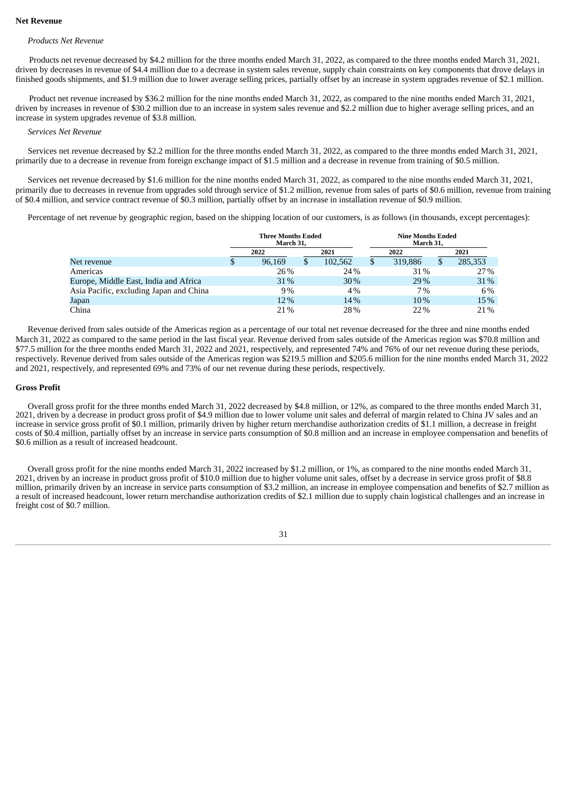# *Products Net Revenue*

Products net revenue decreased by \$4.2 million for the three months ended March 31, 2022, as compared to the three months ended March 31, 2021, driven by decreases in revenue of \$4.4 million due to a decrease in system sales revenue, supply chain constraints on key components that drove delays in finished goods shipments, and \$1.9 million due to lower average selling prices, partially offset by an increase in system upgrades revenue of \$2.1 million.

Product net revenue increased by \$36.2 million for the nine months ended March 31, 2022, as compared to the nine months ended March 31, 2021, driven by increases in revenue of \$30.2 million due to an increase in system sales revenue and \$2.2 million due to higher average selling prices, and an increase in system upgrades revenue of \$3.8 million.

# *Services Net Revenue*

Services net revenue decreased by \$2.2 million for the three months ended March 31, 2022, as compared to the three months ended March 31, 2021, primarily due to a decrease in revenue from foreign exchange impact of \$1.5 million and a decrease in revenue from training of \$0.5 million.

Services net revenue decreased by \$1.6 million for the nine months ended March 31, 2022, as compared to the nine months ended March 31, 2021, primarily due to decreases in revenue from upgrades sold through service of \$1.2 million, revenue from sales of parts of \$0.6 million, revenue from training of \$0.4 million, and service contract revenue of \$0.3 million, partially offset by an increase in installation revenue of \$0.9 million.

Percentage of net revenue by geographic region, based on the shipping location of our customers, is as follows (in thousands, except percentages):

|                                         | <b>Three Months Ended</b><br>March 31. |        |  |         | <b>Nine Months Ended</b><br>March 31. |  |         |  |
|-----------------------------------------|----------------------------------------|--------|--|---------|---------------------------------------|--|---------|--|
|                                         |                                        | 2022   |  | 2021    | 2022                                  |  | 2021    |  |
| Net revenue                             | \$                                     | 96.169 |  | 102.562 | 319,886                               |  | 285,353 |  |
| Americas                                |                                        | 26%    |  | 24%     | 31%                                   |  | 27%     |  |
| Europe, Middle East, India and Africa   |                                        | 31%    |  | 30%     | 29%                                   |  | 31%     |  |
| Asia Pacific, excluding Japan and China |                                        | 9%     |  | 4%      | 7%                                    |  | 6%      |  |
| Japan                                   |                                        | 12%    |  | 14%     | 10%                                   |  | 15%     |  |
| China                                   |                                        | 21%    |  | 28%     | 22%                                   |  | 21%     |  |

Revenue derived from sales outside of the Americas region as a percentage of our total net revenue decreased for the three and nine months ended March 31, 2022 as compared to the same period in the last fiscal year. Revenue derived from sales outside of the Americas region was \$70.8 million and \$77.5 million for the three months ended March 31, 2022 and 2021, respectively, and represented 74% and 76% of our net revenue during these periods, respectively. Revenue derived from sales outside of the Americas region was \$219.5 million and \$205.6 million for the nine months ended March 31, 2022 and 2021, respectively, and represented 69% and 73% of our net revenue during these periods, respectively.

## **Gross Profit**

Overall gross profit for the three months ended March 31, 2022 decreased by \$4.8 million, or 12%, as compared to the three months ended March 31, 2021, driven by a decrease in product gross profit of \$4.9 million due to lower volume unit sales and deferral of margin related to China JV sales and an increase in service gross profit of \$0.1 million, primarily driven by higher return merchandise authorization credits of \$1.1 million, a decrease in freight costs of \$0.4 million, partially offset by an increase in service parts consumption of \$0.8 million and an increase in employee compensation and benefits of \$0.6 million as a result of increased headcount.

Overall gross profit for the nine months ended March 31, 2022 increased by \$1.2 million, or 1%, as compared to the nine months ended March 31, 2021, driven by an increase in product gross profit of \$10.0 million due to higher volume unit sales, offset by a decrease in service gross profit of \$8.8 million, primarily driven by an increase in service parts consumption of \$3.2 million, an increase in employee compensation and benefits of \$2.7 million as a result of increased headcount, lower return merchandise authorization credits of \$2.1 million due to supply chain logistical challenges and an increase in freight cost of \$0.7 million.

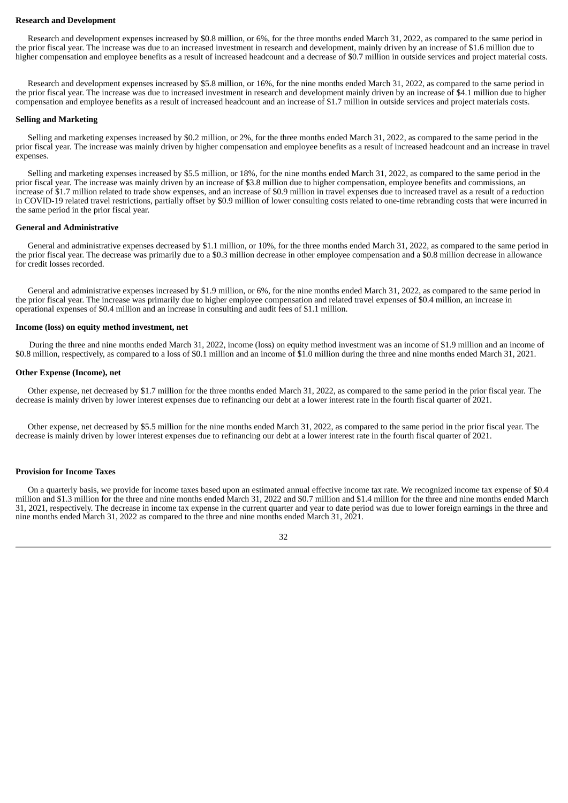#### **Research and Development**

Research and development expenses increased by \$0.8 million, or 6%, for the three months ended March 31, 2022, as compared to the same period in the prior fiscal year. The increase was due to an increased investment in research and development, mainly driven by an increase of \$1.6 million due to higher compensation and employee benefits as a result of increased headcount and a decrease of \$0.7 million in outside services and project material costs.

Research and development expenses increased by \$5.8 million, or 16%, for the nine months ended March 31, 2022, as compared to the same period in the prior fiscal year. The increase was due to increased investment in research and development mainly driven by an increase of \$4.1 million due to higher compensation and employee benefits as a result of increased headcount and an increase of \$1.7 million in outside services and project materials costs.

#### **Selling and Marketing**

Selling and marketing expenses increased by \$0.2 million, or 2%, for the three months ended March 31, 2022, as compared to the same period in the prior fiscal year. The increase was mainly driven by higher compensation and employee benefits as a result of increased headcount and an increase in travel expenses.

Selling and marketing expenses increased by \$5.5 million, or 18%, for the nine months ended March 31, 2022, as compared to the same period in the prior fiscal year. The increase was mainly driven by an increase of \$3.8 million due to higher compensation, employee benefits and commissions, an increase of \$1.7 million related to trade show expenses, and an increase of \$0.9 million in travel expenses due to increased travel as a result of a reduction in COVID-19 related travel restrictions, partially offset by \$0.9 million of lower consulting costs related to one-time rebranding costs that were incurred in the same period in the prior fiscal year.

# **General and Administrative**

General and administrative expenses decreased by \$1.1 million, or 10%, for the three months ended March 31, 2022, as compared to the same period in the prior fiscal year. The decrease was primarily due to a \$0.3 million decrease in other employee compensation and a \$0.8 million decrease in allowance for credit losses recorded.

General and administrative expenses increased by \$1.9 million, or 6%, for the nine months ended March 31, 2022, as compared to the same period in the prior fiscal year. The increase was primarily due to higher employee compensation and related travel expenses of \$0.4 million, an increase in operational expenses of \$0.4 million and an increase in consulting and audit fees of \$1.1 million.

#### **Income (loss) on equity method investment, net**

During the three and nine months ended March 31, 2022, income (loss) on equity method investment was an income of \$1.9 million and an income of \$0.8 million, respectively, as compared to a loss of \$0.1 million and an income of \$1.0 million during the three and nine months ended March 31, 2021.

# **Other Expense (Income), net**

Other expense, net decreased by \$1.7 million for the three months ended March 31, 2022, as compared to the same period in the prior fiscal year. The decrease is mainly driven by lower interest expenses due to refinancing our debt at a lower interest rate in the fourth fiscal quarter of 2021.

Other expense, net decreased by \$5.5 million for the nine months ended March 31, 2022, as compared to the same period in the prior fiscal year. The decrease is mainly driven by lower interest expenses due to refinancing our debt at a lower interest rate in the fourth fiscal quarter of 2021.

#### **Provision for Income Taxes**

On a quarterly basis, we provide for income taxes based upon an estimated annual effective income tax rate. We recognized income tax expense of \$0.4 million and \$1.3 million for the three and nine months ended March 31, 2022 and \$0.7 million and \$1.4 million for the three and nine months ended March 31, 2021, respectively. The decrease in income tax expense in the current quarter and year to date period was due to lower foreign earnings in the three and nine months ended March 31, 2022 as compared to the three and nine months ended March 31, 2021.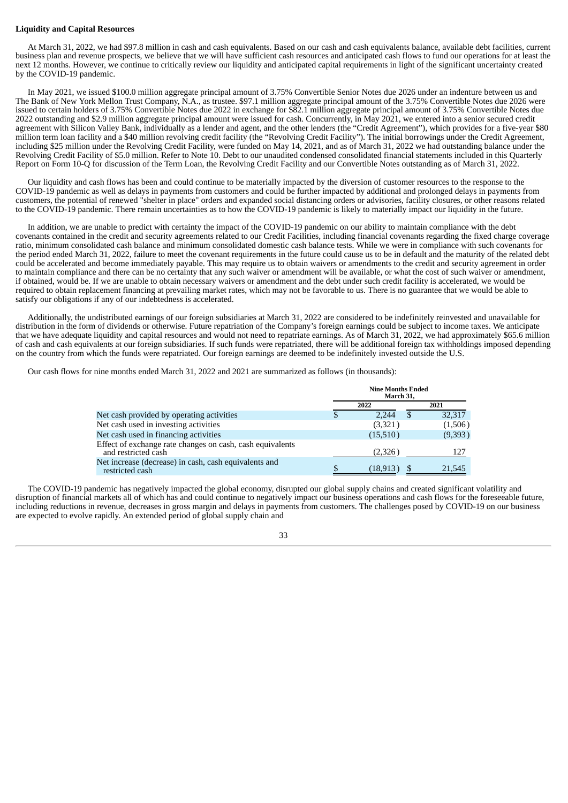#### **Liquidity and Capital Resources**

At March 31, 2022, we had \$97.8 million in cash and cash equivalents. Based on our cash and cash equivalents balance, available debt facilities, current business plan and revenue prospects, we believe that we will have sufficient cash resources and anticipated cash flows to fund our operations for at least the next 12 months. However, we continue to critically review our liquidity and anticipated capital requirements in light of the significant uncertainty created by the COVID-19 pandemic.

In May 2021, we issued \$100.0 million aggregate principal amount of 3.75% Convertible Senior Notes due 2026 under an indenture between us and The Bank of New York Mellon Trust Company, N.A., as trustee. \$97.1 million aggregate principal amount of the 3.75% Convertible Notes due 2026 were issued to certain holders of 3.75% Convertible Notes due 2022 in exchange for \$82.1 million aggregate principal amount of 3.75% Convertible Notes due 2022 outstanding and \$2.9 million aggregate principal amount were issued for cash. Concurrently, in May 2021, we entered into a senior secured credit agreement with Silicon Valley Bank, individually as a lender and agent, and the other lenders (the "Credit Agreement"), which provides for a five-year \$80 million term loan facility and a \$40 million revolving credit facility (the "Revolving Credit Facility"). The initial borrowings under the Credit Agreement, including \$25 million under the Revolving Credit Facility, were funded on May 14, 2021, and as of March 31, 2022 we had outstanding balance under the Revolving Credit Facility of \$5.0 million. Refer to Note 10. Debt to our unaudited condensed consolidated financial statements included in this Quarterly Report on Form 10-Q for discussion of the Term Loan, the Revolving Credit Facility and our Convertible Notes outstanding as of March 31, 2022.

Our liquidity and cash flows has been and could continue to be materially impacted by the diversion of customer resources to the response to the COVID-19 pandemic as well as delays in payments from customers and could be further impacted by additional and prolonged delays in payments from customers, the potential of renewed "shelter in place" orders and expanded social distancing orders or advisories, facility closures, or other reasons related to the COVID-19 pandemic. There remain uncertainties as to how the COVID-19 pandemic is likely to materially impact our liquidity in the future.

In addition, we are unable to predict with certainty the impact of the COVID-19 pandemic on our ability to maintain compliance with the debt covenants contained in the credit and security agreements related to our Credit Facilities, including financial covenants regarding the fixed charge coverage ratio, minimum consolidated cash balance and minimum consolidated domestic cash balance tests. While we were in compliance with such covenants for the period ended March 31, 2022, failure to meet the covenant requirements in the future could cause us to be in default and the maturity of the related debt could be accelerated and become immediately payable. This may require us to obtain waivers or amendments to the credit and security agreement in order to maintain compliance and there can be no certainty that any such waiver or amendment will be available, or what the cost of such waiver or amendment, if obtained, would be. If we are unable to obtain necessary waivers or amendment and the debt under such credit facility is accelerated, we would be required to obtain replacement financing at prevailing market rates, which may not be favorable to us. There is no guarantee that we would be able to satisfy our obligations if any of our indebtedness is accelerated.

Additionally, the undistributed earnings of our foreign subsidiaries at March 31, 2022 are considered to be indefinitely reinvested and unavailable for distribution in the form of dividends or otherwise. Future repatriation of the Company's foreign earnings could be subject to income taxes. We anticipate that we have adequate liquidity and capital resources and would not need to repatriate earnings. As of March 31, 2022, we had approximately \$65.6 million of cash and cash equivalents at our foreign subsidiaries. If such funds were repatriated, there will be additional foreign tax withholdings imposed depending on the country from which the funds were repatriated. Our foreign earnings are deemed to be indefinitely invested outside the U.S.

Our cash flows for nine months ended March 31, 2022 and 2021 are summarized as follows (in thousands):

|                                                                                  |   | <b>Nine Months Ended</b><br>March 31, |     |         |  |  |  |
|----------------------------------------------------------------------------------|---|---------------------------------------|-----|---------|--|--|--|
|                                                                                  |   | 2022                                  |     | 2021    |  |  |  |
| Net cash provided by operating activities                                        | S | 2.244                                 | -\$ | 32,317  |  |  |  |
| Net cash used in investing activities                                            |   | (3,321)                               |     | (1,506) |  |  |  |
| Net cash used in financing activities                                            |   | (15,510)                              |     | (9,393) |  |  |  |
| Effect of exchange rate changes on cash, cash equivalents<br>and restricted cash |   | (2,326)                               |     | 127     |  |  |  |
| Net increase (decrease) in cash, cash equivalents and<br>restricted cash         |   | (18,913                               |     | 21,545  |  |  |  |

The COVID-19 pandemic has negatively impacted the global economy, disrupted our global supply chains and created significant volatility and disruption of financial markets all of which has and could continue to negatively impact our business operations and cash flows for the foreseeable future, including reductions in revenue, decreases in gross margin and delays in payments from customers. The challenges posed by COVID-19 on our business are expected to evolve rapidly. An extended period of global supply chain and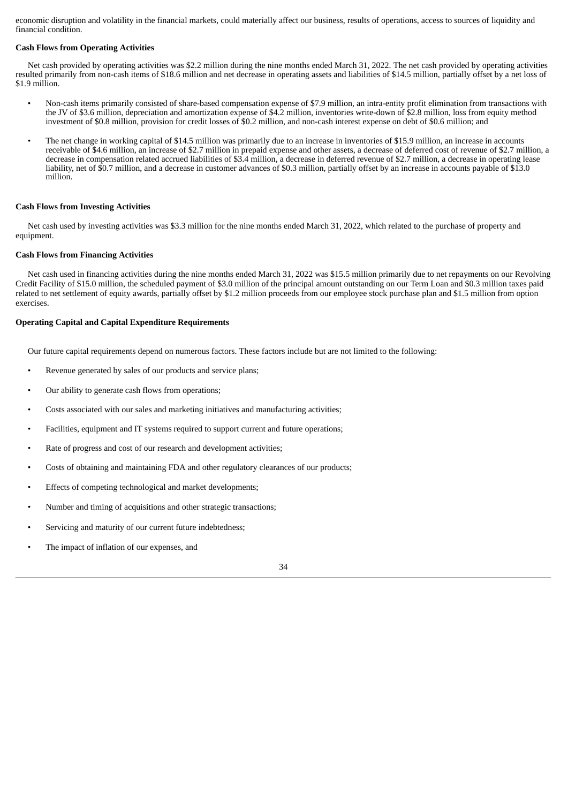economic disruption and volatility in the financial markets, could materially affect our business, results of operations, access to sources of liquidity and financial condition.

# **Cash Flows from Operating Activities**

Net cash provided by operating activities was \$2.2 million during the nine months ended March 31, 2022. The net cash provided by operating activities resulted primarily from non-cash items of \$18.6 million and net decrease in operating assets and liabilities of \$14.5 million, partially offset by a net loss of \$1.9 million.

- Non-cash items primarily consisted of share-based compensation expense of \$7.9 million, an intra-entity profit elimination from transactions with the JV of \$3.6 million, depreciation and amortization expense of \$4.2 million, inventories write-down of \$2.8 million, loss from equity method investment of \$0.8 million, provision for credit losses of \$0.2 million, and non-cash interest expense on debt of \$0.6 million; and
- The net change in working capital of \$14.5 million was primarily due to an increase in inventories of \$15.9 million, an increase in accounts receivable of \$4.6 million, an increase of \$2.7 million in prepaid expense and other assets, a decrease of deferred cost of revenue of \$2.7 million, a decrease in compensation related accrued liabilities of \$3.4 million, a decrease in deferred revenue of \$2.7 million, a decrease in operating lease liability, net of \$0.7 million, and a decrease in customer advances of \$0.3 million, partially offset by an increase in accounts payable of \$13.0 million.

# **Cash Flows from Investing Activities**

Net cash used by investing activities was \$3.3 million for the nine months ended March 31, 2022, which related to the purchase of property and equipment.

# **Cash Flows from Financing Activities**

Net cash used in financing activities during the nine months ended March 31, 2022 was \$15.5 million primarily due to net repayments on our Revolving Credit Facility of \$15.0 million, the scheduled payment of \$3.0 million of the principal amount outstanding on our Term Loan and \$0.3 million taxes paid related to net settlement of equity awards, partially offset by \$1.2 million proceeds from our employee stock purchase plan and \$1.5 million from option exercises.

## **Operating Capital and Capital Expenditure Requirements**

Our future capital requirements depend on numerous factors. These factors include but are not limited to the following:

- Revenue generated by sales of our products and service plans;
- Our ability to generate cash flows from operations;
- Costs associated with our sales and marketing initiatives and manufacturing activities;
- Facilities, equipment and IT systems required to support current and future operations;
- Rate of progress and cost of our research and development activities;
- Costs of obtaining and maintaining FDA and other regulatory clearances of our products;
- Effects of competing technological and market developments;
- Number and timing of acquisitions and other strategic transactions;
- Servicing and maturity of our current future indebtedness;
- The impact of inflation of our expenses, and

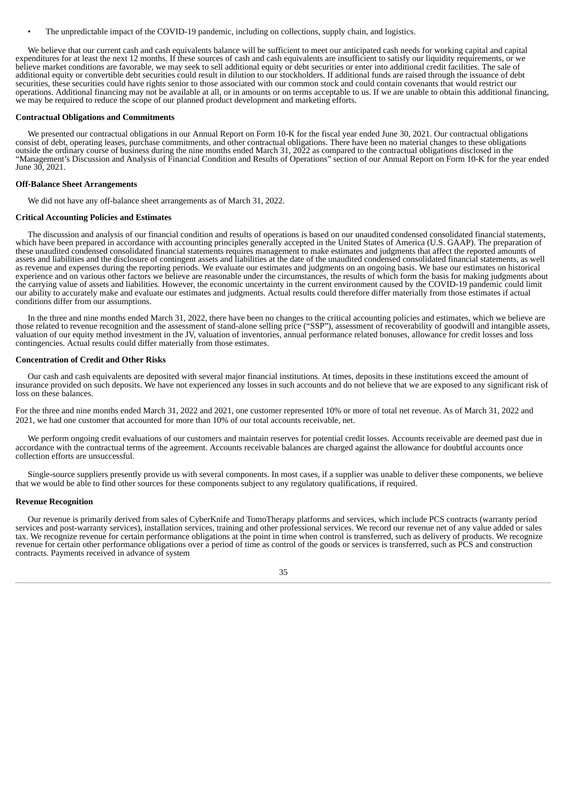• The unpredictable impact of the COVID-19 pandemic, including on collections, supply chain, and logistics.

We believe that our current cash and cash equivalents balance will be sufficient to meet our anticipated cash needs for working capital and capital expenditures for at least the next 12 months. If these sources of cash and cash equivalents are insufficient to satisfy our liquidity requirements, or we believe market conditions are favorable, we may seek to sell additional equity or debt securities or enter into additional credit facilities. The sale of additional equity or convertible debt securities could result in dilution to our stockholders. If additional funds are raised through the issuance of debt securities, these securities could have rights senior to those associated with our common stock and could contain covenants that would restrict our operations. Additional financing may not be available at all, or in amounts or on terms acceptable to us. If we are unable to obtain this additional financing, we may be required to reduce the scope of our planned product development and marketing efforts.

#### **Contractual Obligations and Commitments**

We presented our contractual obligations in our Annual Report on Form 10-K for the fiscal year ended June 30, 2021. Our contractual obligations consist of debt, operating leases, purchase commitments, and other contractual obligations. There have been no material changes to these obligations outside the ordinary course of business during the nine months ended March 31, 2022 as compared to the contractual obligations disclosed in the "Management's Discussion and Analysis of Financial Condition and Results of Operations" section of our Annual Report on Form 10-K for the year ended June 30, 2021.

#### **Off-Balance Sheet Arrangements**

We did not have any off-balance sheet arrangements as of March 31, 2022.

#### **Critical Accounting Policies and Estimates**

The discussion and analysis of our financial condition and results of operations is based on our unaudited condensed consolidated financial statements, which have been prepared in accordance with accounting principles generally accepted in the United States of America (U.S. GAAP). The preparation of these unaudited condensed consolidated financial statements requires management to make estimates and judgments that affect the reported amounts of assets and liabilities and the disclosure of contingent assets and liabilities at the date of the unaudited condensed consolidated financial statements, as well as revenue and expenses during the reporting periods. We evaluate our estimates and judgments on an ongoing basis. We base our estimates on historical experience and on various other factors we believe are reasonable under the circumstances, the results of which form the basis for making judgments about the carrying value of assets and liabilities. However, the economic uncertainty in the current environment caused by the COVID-19 pandemic could limit our ability to accurately make and evaluate our estimates and judgments. Actual results could therefore differ materially from those estimates if actual conditions differ from our assumptions.

In the three and nine months ended March 31, 2022, there have been no changes to the critical accounting policies and estimates, which we believe are those related to revenue recognition and the assessment of stand-alone selling price ("SSP"), assessment of recoverability of goodwill and intangible assets, valuation of our equity method investment in the JV, valuation of inventories, annual performance related bonuses, allowance for credit losses and loss contingencies. Actual results could differ materially from those estimates.

#### **Concentration of Credit and Other Risks**

Our cash and cash equivalents are deposited with several major financial institutions. At times, deposits in these institutions exceed the amount of insurance provided on such deposits. We have not experienced any losses in such accounts and do not believe that we are exposed to any significant risk of loss on these balances.

For the three and nine months ended March 31, 2022 and 2021, one customer represented 10% or more of total net revenue. As of March 31, 2022 and 2021, we had one customer that accounted for more than 10% of our total accounts receivable, net.

We perform ongoing credit evaluations of our customers and maintain reserves for potential credit losses. Accounts receivable are deemed past due in accordance with the contractual terms of the agreement. Accounts receivable balances are charged against the allowance for doubtful accounts once collection efforts are unsuccessful.

Single-source suppliers presently provide us with several components. In most cases, if a supplier was unable to deliver these components, we believe that we would be able to find other sources for these components subject to any regulatory qualifications, if required.

#### **Revenue Recognition**

Our revenue is primarily derived from sales of CyberKnife and TomoTherapy platforms and services, which include PCS contracts (warranty period services and post-warranty services), installation services, training and other professional services. We record our revenue net of any value added or sales tax. We recognize revenue for certain performance obligations at the point in time when control is transferred, such as delivery of products. We recognize revenue for certain other performance obligations over a period of time as control of the goods or services is transferred, such as PCS and construction contracts. Payments received in advance of system

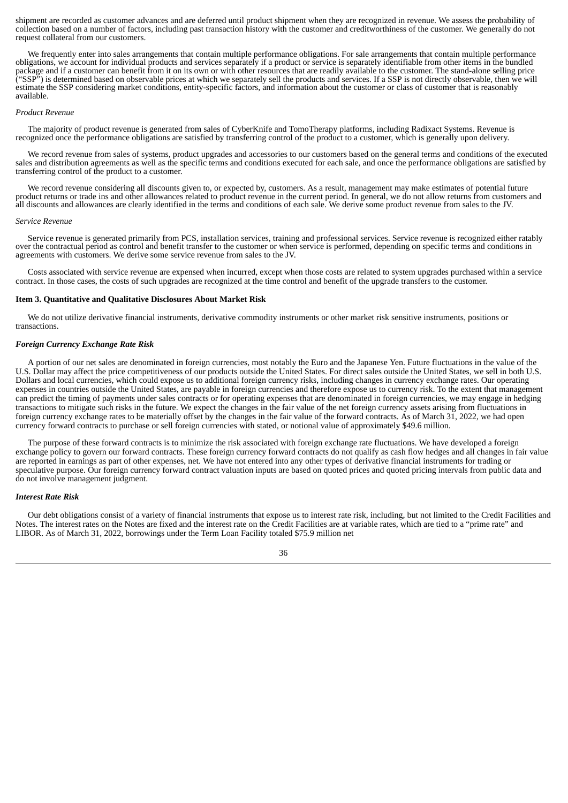shipment are recorded as customer advances and are deferred until product shipment when they are recognized in revenue. We assess the probability of collection based on a number of factors, including past transaction history with the customer and creditworthiness of the customer. We generally do not request collateral from our customers.

We frequently enter into sales arrangements that contain multiple performance obligations. For sale arrangements that contain multiple performance obligations, we account for individual products and services separately if a product or service is separately identifiable from other items in the bundled package and if a customer can benefit from it on its own or with other resources that are readily available to the customer. The stand-alone selling price ("SSP") is determined based on observable prices at which we separa  $\tilde{v}$ ) is determined based on observable prices at which we separately sell the products and services. If a SSP is not directly observable, then we will estimate the SSP considering market conditions, entity-specific factors, and information about the customer or class of customer that is reasonably available.

#### *Product Revenue*

The majority of product revenue is generated from sales of CyberKnife and TomoTherapy platforms, including Radixact Systems. Revenue is recognized once the performance obligations are satisfied by transferring control of the product to a customer, which is generally upon delivery.

We record revenue from sales of systems, product upgrades and accessories to our customers based on the general terms and conditions of the executed sales and distribution agreements as well as the specific terms and conditions executed for each sale, and once the performance obligations are satisfied by transferring control of the product to a customer.

We record revenue considering all discounts given to, or expected by, customers. As a result, management may make estimates of potential future product returns or trade ins and other allowances related to product revenue in the current period. In general, we do not allow returns from customers and all discounts and allowances are clearly identified in the terms and conditions of each sale. We derive some product revenue from sales to the JV.

#### *Service Revenue*

Service revenue is generated primarily from PCS, installation services, training and professional services. Service revenue is recognized either ratably over the contractual period as control and benefit transfer to the customer or when service is performed, depending on specific terms and conditions in agreements with customers. We derive some service revenue from sales to the JV.

Costs associated with service revenue are expensed when incurred, except when those costs are related to system upgrades purchased within a service contract. In those cases, the costs of such upgrades are recognized at the time control and benefit of the upgrade transfers to the customer.

#### <span id="page-35-0"></span>**Item 3. Quantitative and Qualitative Disclosures About Market Risk**

We do not utilize derivative financial instruments, derivative commodity instruments or other market risk sensitive instruments, positions or transactions.

#### *Foreign Currency Exchange Rate Risk*

A portion of our net sales are denominated in foreign currencies, most notably the Euro and the Japanese Yen. Future fluctuations in the value of the U.S. Dollar may affect the price competitiveness of our products outside the United States. For direct sales outside the United States, we sell in both U.S. Dollars and local currencies, which could expose us to additional foreign currency risks, including changes in currency exchange rates. Our operating expenses in countries outside the United States, are payable in foreign currencies and therefore expose us to currency risk. To the extent that management can predict the timing of payments under sales contracts or for operating expenses that are denominated in foreign currencies, we may engage in hedging transactions to mitigate such risks in the future. We expect the changes in the fair value of the net foreign currency assets arising from fluctuations in foreign currency exchange rates to be materially offset by the changes in the fair value of the forward contracts. As of March 31, 2022, we had open currency forward contracts to purchase or sell foreign currencies with stated, or notional value of approximately \$49.6 million.

The purpose of these forward contracts is to minimize the risk associated with foreign exchange rate fluctuations. We have developed a foreign exchange policy to govern our forward contracts. These foreign currency forward contracts do not qualify as cash flow hedges and all changes in fair value are reported in earnings as part of other expenses, net. We have not entered into any other types of derivative financial instruments for trading or speculative purpose. Our foreign currency forward contract valuation inputs are based on quoted prices and quoted pricing intervals from public data and do not involve management judgment.

#### *Interest Rate Risk*

Our debt obligations consist of a variety of financial instruments that expose us to interest rate risk, including, but not limited to the Credit Facilities and Notes. The interest rates on the Notes are fixed and the interest rate on the Credit Facilities are at variable rates, which are tied to a "prime rate" and LIBOR. As of March 31, 2022, borrowings under the Term Loan Facility totaled \$75.9 million net

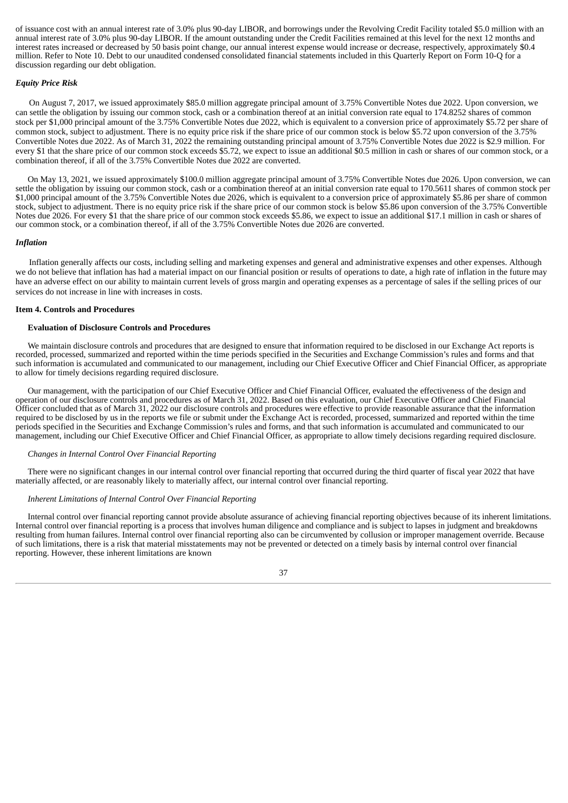of issuance cost with an annual interest rate of 3.0% plus 90-day LIBOR, and borrowings under the Revolving Credit Facility totaled \$5.0 million with an annual interest rate of 3.0% plus 90-day LIBOR. If the amount outstanding under the Credit Facilities remained at this level for the next 12 months and interest rates increased or decreased by 50 basis point change, our annual interest expense would increase or decrease, respectively, approximately \$0.4 million. Refer to Note 10. Debt to our unaudited condensed consolidated financial statements included in this Quarterly Report on Form 10-Q for a discussion regarding our debt obligation.

### *Equity Price Risk*

On August 7, 2017, we issued approximately \$85.0 million aggregate principal amount of 3.75% Convertible Notes due 2022. Upon conversion, we can settle the obligation by issuing our common stock, cash or a combination thereof at an initial conversion rate equal to 174.8252 shares of common stock per \$1,000 principal amount of the 3.75% Convertible Notes due 2022, which is equivalent to a conversion price of approximately \$5.72 per share of common stock, subject to adjustment. There is no equity price risk if the share price of our common stock is below \$5.72 upon conversion of the 3.75% Convertible Notes due 2022. As of March 31, 2022 the remaining outstanding principal amount of 3.75% Convertible Notes due 2022 is \$2.9 million. For every \$1 that the share price of our common stock exceeds \$5.72, we expect to issue an additional \$0.5 million in cash or shares of our common stock, or a combination thereof, if all of the 3.75% Convertible Notes due 2022 are converted.

On May 13, 2021, we issued approximately \$100.0 million aggregate principal amount of 3.75% Convertible Notes due 2026. Upon conversion, we can settle the obligation by issuing our common stock, cash or a combination thereof at an initial conversion rate equal to 170.5611 shares of common stock per \$1,000 principal amount of the 3.75% Convertible Notes due 2026, which is equivalent to a conversion price of approximately \$5.86 per share of common stock, subject to adjustment. There is no equity price risk if the share price of our common stock is below \$5.86 upon conversion of the 3.75% Convertible Notes due 2026. For every \$1 that the share price of our common stock exceeds \$5.86, we expect to issue an additional \$17.1 million in cash or shares of our common stock, or a combination thereof, if all of the 3.75% Convertible Notes due 2026 are converted.

#### *Inflation*

Inflation generally affects our costs, including selling and marketing expenses and general and administrative expenses and other expenses. Although we do not believe that inflation has had a material impact on our financial position or results of operations to date, a high rate of inflation in the future may have an adverse effect on our ability to maintain current levels of gross margin and operating expenses as a percentage of sales if the selling prices of our services do not increase in line with increases in costs.

#### **Item 4. Controls and Procedures**

# **Evaluation of Disclosure Controls and Procedures**

We maintain disclosure controls and procedures that are designed to ensure that information required to be disclosed in our Exchange Act reports is recorded, processed, summarized and reported within the time periods specified in the Securities and Exchange Commission's rules and forms and that such information is accumulated and communicated to our management, including our Chief Executive Officer and Chief Financial Officer, as appropriate to allow for timely decisions regarding required disclosure.

Our management, with the participation of our Chief Executive Officer and Chief Financial Officer, evaluated the effectiveness of the design and operation of our disclosure controls and procedures as of March 31, 2022. Based on this evaluation, our Chief Executive Officer and Chief Financial Officer concluded that as of March 31, 2022 our disclosure controls and procedures were effective to provide reasonable assurance that the information required to be disclosed by us in the reports we file or submit under the Exchange Act is recorded, processed, summarized and reported within the time periods specified in the Securities and Exchange Commission's rules and forms, and that such information is accumulated and communicated to our management, including our Chief Executive Officer and Chief Financial Officer, as appropriate to allow timely decisions regarding required disclosure.

#### *Changes in Internal Control Over Financial Reporting*

There were no significant changes in our internal control over financial reporting that occurred during the third quarter of fiscal year 2022 that have materially affected, or are reasonably likely to materially affect, our internal control over financial reporting.

#### *Inherent Limitations of Internal Control Over Financial Reporting*

Internal control over financial reporting cannot provide absolute assurance of achieving financial reporting objectives because of its inherent limitations. Internal control over financial reporting is a process that involves human diligence and compliance and is subject to lapses in judgment and breakdowns resulting from human failures. Internal control over financial reporting also can be circumvented by collusion or improper management override. Because of such limitations, there is a risk that material misstatements may not be prevented or detected on a timely basis by internal control over financial reporting. However, these inherent limitations are known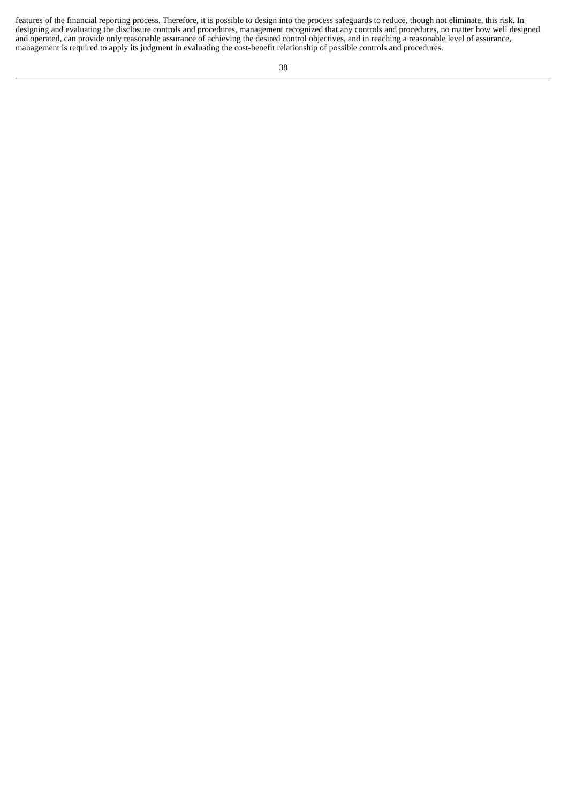features of the financial reporting process. Therefore, it is possible to design into the process safeguards to reduce, though not eliminate, this risk. In designing and evaluating the disclosure controls and procedures, management recognized that any controls and procedures, no matter how well designed and operated, can provide only reasonable assurance of achieving the desired control objectives, and in reaching a reasonable level of assurance, management is required to apply its judgment in evaluating the cost-benefit relationship of possible controls and procedures.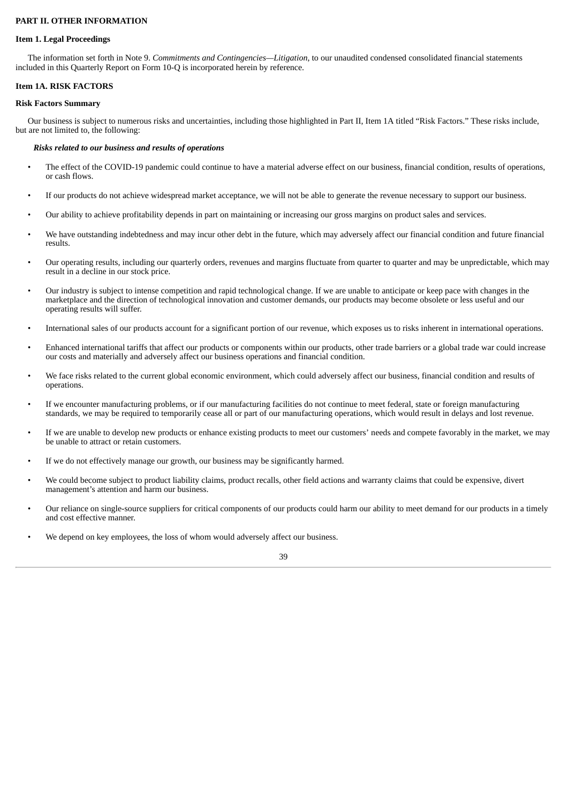## **PART II. OTHER INFORMATION**

## **Item 1. Legal Proceedings**

The information set forth in Note 9. *Commitments and Contingencies—Litigation*, to our unaudited condensed consolidated financial statements included in this Quarterly Report on Form 10-Q is incorporated herein by reference.

## **Item 1A. RISK FACTORS**

## **Risk Factors Summary**

Our business is subject to numerous risks and uncertainties, including those highlighted in Part II, Item 1A titled "Risk Factors." These risks include, but are not limited to, the following:

## *Risks related to our business and results of operations*

- The effect of the COVID-19 pandemic could continue to have a material adverse effect on our business, financial condition, results of operations, or cash flows.
- If our products do not achieve widespread market acceptance, we will not be able to generate the revenue necessary to support our business.
- Our ability to achieve profitability depends in part on maintaining or increasing our gross margins on product sales and services.
- We have outstanding indebtedness and may incur other debt in the future, which may adversely affect our financial condition and future financial results.
- Our operating results, including our quarterly orders, revenues and margins fluctuate from quarter to quarter and may be unpredictable, which may result in a decline in our stock price.
- Our industry is subject to intense competition and rapid technological change. If we are unable to anticipate or keep pace with changes in the marketplace and the direction of technological innovation and customer demands, our products may become obsolete or less useful and our operating results will suffer.
- International sales of our products account for a significant portion of our revenue, which exposes us to risks inherent in international operations.
- Enhanced international tariffs that affect our products or components within our products, other trade barriers or a global trade war could increase our costs and materially and adversely affect our business operations and financial condition.
- We face risks related to the current global economic environment, which could adversely affect our business, financial condition and results of operations.
- If we encounter manufacturing problems, or if our manufacturing facilities do not continue to meet federal, state or foreign manufacturing standards, we may be required to temporarily cease all or part of our manufacturing operations, which would result in delays and lost revenue.
- If we are unable to develop new products or enhance existing products to meet our customers' needs and compete favorably in the market, we may be unable to attract or retain customers.
- If we do not effectively manage our growth, our business may be significantly harmed.
- We could become subject to product liability claims, product recalls, other field actions and warranty claims that could be expensive, divert management's attention and harm our business.
- Our reliance on single‑source suppliers for critical components of our products could harm our ability to meet demand for our products in a timely and cost effective manner.
- We depend on key employees, the loss of whom would adversely affect our business.

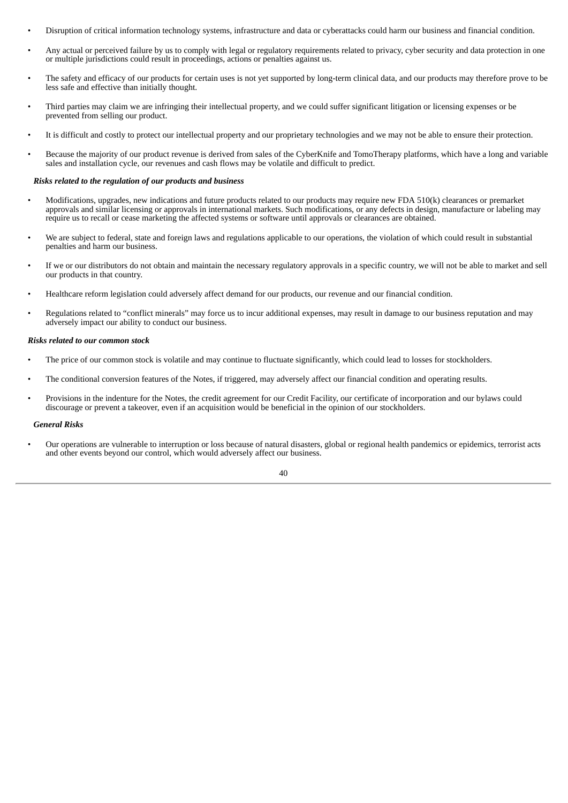- Disruption of critical information technology systems, infrastructure and data or cyberattacks could harm our business and financial condition.
- Any actual or perceived failure by us to comply with legal or regulatory requirements related to privacy, cyber security and data protection in one or multiple jurisdictions could result in proceedings, actions or penalties against us.
- The safety and efficacy of our products for certain uses is not yet supported by long-term clinical data, and our products may therefore prove to be less safe and effective than initially thought.
- Third parties may claim we are infringing their intellectual property, and we could suffer significant litigation or licensing expenses or be prevented from selling our product.
- It is difficult and costly to protect our intellectual property and our proprietary technologies and we may not be able to ensure their protection.
- Because the majority of our product revenue is derived from sales of the CyberKnife and TomoTherapy platforms, which have a long and variable sales and installation cycle, our revenues and cash flows may be volatile and difficult to predict.

## *Risks related to the regulation of our products and business*

- Modifications, upgrades, new indications and future products related to our products may require new FDA 510(k) clearances or premarket approvals and similar licensing or approvals in international markets. Such modifications, or any defects in design, manufacture or labeling may require us to recall or cease marketing the affected systems or software until approvals or clearances are obtained.
- We are subject to federal, state and foreign laws and regulations applicable to our operations, the violation of which could result in substantial penalties and harm our business.
- If we or our distributors do not obtain and maintain the necessary regulatory approvals in a specific country, we will not be able to market and sell our products in that country.
- Healthcare reform legislation could adversely affect demand for our products, our revenue and our financial condition.
- Regulations related to "conflict minerals" may force us to incur additional expenses, may result in damage to our business reputation and may adversely impact our ability to conduct our business.

## *Risks related to our common stock*

- The price of our common stock is volatile and may continue to fluctuate significantly, which could lead to losses for stockholders.
- The conditional conversion features of the Notes, if triggered, may adversely affect our financial condition and operating results.
- Provisions in the indenture for the Notes, the credit agreement for our Credit Facility, our certificate of incorporation and our bylaws could discourage or prevent a takeover, even if an acquisition would be beneficial in the opinion of our stockholders.

## *General Risks*

• Our operations are vulnerable to interruption or loss because of natural disasters, global or regional health pandemics or epidemics, terrorist acts and other events beyond our control, which would adversely affect our business.

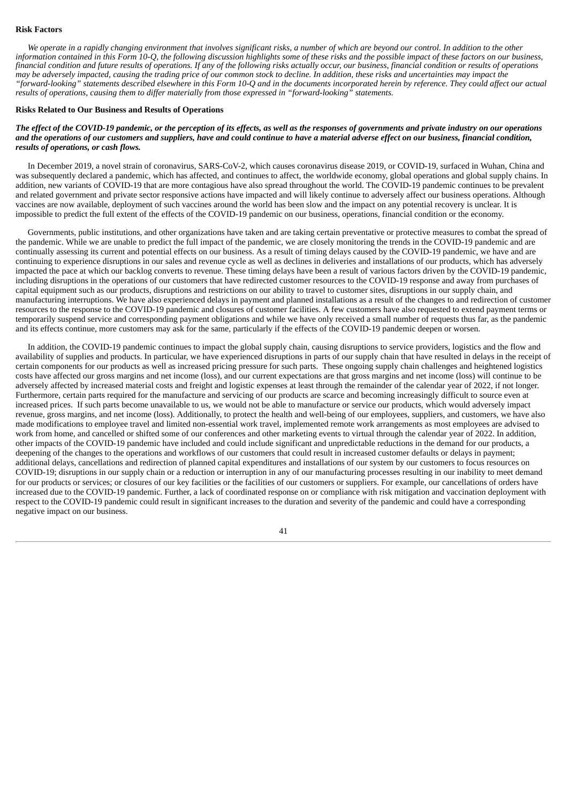## **Risk Factors**

We operate in a rapidly changing environment that involves significant risks, a number of which are beyond our control. In addition to the other information contained in this Form 10-Q, the following discussion highlights some of these risks and the possible impact of these factors on our business, financial condition and future results of operations. If any of the following risks actually occur, our business, financial condition or results of operations may be adversely impacted, causing the trading price of our common stock to decline. In addition, these risks and uncertainties may impact the "forward-looking" statements described elsewhere in this Form 10-Q and in the documents incorporated herein by reference. They could affect our actual *results of operations, causing them to differ materially from those expressed in "forward‑looking" statements.*

## **Risks Related to Our Business and Results of Operations**

## The effect of the COVID-19 pandemic, or the perception of its effects, as well as the responses of governments and private industry on our operations and the operations of our customers and suppliers, have and could continue to have a material adverse effect on our business, financial condition, *results of operations, or cash flows.*

In December 2019, a novel strain of coronavirus, SARS-CoV-2, which causes coronavirus disease 2019, or COVID-19, surfaced in Wuhan, China and was subsequently declared a pandemic, which has affected, and continues to affect, the worldwide economy, global operations and global supply chains. In addition, new variants of COVID-19 that are more contagious have also spread throughout the world. The COVID-19 pandemic continues to be prevalent and related government and private sector responsive actions have impacted and will likely continue to adversely affect our business operations. Although vaccines are now available, deployment of such vaccines around the world has been slow and the impact on any potential recovery is unclear. It is impossible to predict the full extent of the effects of the COVID-19 pandemic on our business, operations, financial condition or the economy.

Governments, public institutions, and other organizations have taken and are taking certain preventative or protective measures to combat the spread of the pandemic. While we are unable to predict the full impact of the pandemic, we are closely monitoring the trends in the COVID-19 pandemic and are continually assessing its current and potential effects on our business. As a result of timing delays caused by the COVID-19 pandemic, we have and are continuing to experience disruptions in our sales and revenue cycle as well as declines in deliveries and installations of our products, which has adversely impacted the pace at which our backlog converts to revenue. These timing delays have been a result of various factors driven by the COVID-19 pandemic, including disruptions in the operations of our customers that have redirected customer resources to the COVID-19 response and away from purchases of capital equipment such as our products, disruptions and restrictions on our ability to travel to customer sites, disruptions in our supply chain, and manufacturing interruptions. We have also experienced delays in payment and planned installations as a result of the changes to and redirection of customer resources to the response to the COVID-19 pandemic and closures of customer facilities. A few customers have also requested to extend payment terms or temporarily suspend service and corresponding payment obligations and while we have only received a small number of requests thus far, as the pandemic and its effects continue, more customers may ask for the same, particularly if the effects of the COVID-19 pandemic deepen or worsen.

In addition, the COVID-19 pandemic continues to impact the global supply chain, causing disruptions to service providers, logistics and the flow and availability of supplies and products. In particular, we have experienced disruptions in parts of our supply chain that have resulted in delays in the receipt of certain components for our products as well as increased pricing pressure for such parts. These ongoing supply chain challenges and heightened logistics costs have affected our gross margins and net income (loss), and our current expectations are that gross margins and net income (loss) will continue to be adversely affected by increased material costs and freight and logistic expenses at least through the remainder of the calendar year of 2022, if not longer. Furthermore, certain parts required for the manufacture and servicing of our products are scarce and becoming increasingly difficult to source even at increased prices. If such parts become unavailable to us, we would not be able to manufacture or service our products, which would adversely impact revenue, gross margins, and net income (loss). Additionally, to protect the health and well-being of our employees, suppliers, and customers, we have also made modifications to employee travel and limited non-essential work travel, implemented remote work arrangements as most employees are advised to work from home, and cancelled or shifted some of our conferences and other marketing events to virtual through the calendar year of 2022. In addition, other impacts of the COVID-19 pandemic have included and could include significant and unpredictable reductions in the demand for our products, a deepening of the changes to the operations and workflows of our customers that could result in increased customer defaults or delays in payment; additional delays, cancellations and redirection of planned capital expenditures and installations of our system by our customers to focus resources on COVID-19; disruptions in our supply chain or a reduction or interruption in any of our manufacturing processes resulting in our inability to meet demand for our products or services; or closures of our key facilities or the facilities of our customers or suppliers. For example, our cancellations of orders have increased due to the COVID-19 pandemic. Further, a lack of coordinated response on or compliance with risk mitigation and vaccination deployment with respect to the COVID-19 pandemic could result in significant increases to the duration and severity of the pandemic and could have a corresponding negative impact on our business.

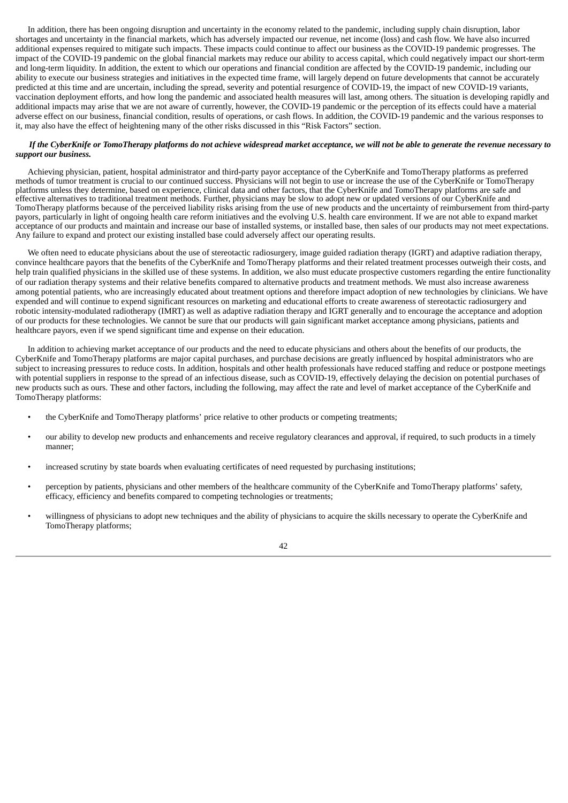In addition, there has been ongoing disruption and uncertainty in the economy related to the pandemic, including supply chain disruption, labor shortages and uncertainty in the financial markets, which has adversely impacted our revenue, net income (loss) and cash flow. We have also incurred additional expenses required to mitigate such impacts. These impacts could continue to affect our business as the COVID-19 pandemic progresses. The impact of the COVID-19 pandemic on the global financial markets may reduce our ability to access capital, which could negatively impact our short-term and long-term liquidity. In addition, the extent to which our operations and financial condition are affected by the COVID-19 pandemic, including our ability to execute our business strategies and initiatives in the expected time frame, will largely depend on future developments that cannot be accurately predicted at this time and are uncertain, including the spread, severity and potential resurgence of COVID-19, the impact of new COVID-19 variants, vaccination deployment efforts, and how long the pandemic and associated health measures will last, among others. The situation is developing rapidly and additional impacts may arise that we are not aware of currently, however, the COVID-19 pandemic or the perception of its effects could have a material adverse effect on our business, financial condition, results of operations, or cash flows. In addition, the COVID-19 pandemic and the various responses to it, may also have the effect of heightening many of the other risks discussed in this "Risk Factors" section.

# If the CyberKnife or TomoTherapy platforms do not achieve widespread market acceptance, we will not be able to generate the revenue necessary to *support our business.*

Achieving physician, patient, hospital administrator and third-party payor acceptance of the CyberKnife and TomoTherapy platforms as preferred methods of tumor treatment is crucial to our continued success. Physicians will not begin to use or increase the use of the CyberKnife or TomoTherapy platforms unless they determine, based on experience, clinical data and other factors, that the CyberKnife and TomoTherapy platforms are safe and effective alternatives to traditional treatment methods. Further, physicians may be slow to adopt new or updated versions of our CyberKnife and TomoTherapy platforms because of the perceived liability risks arising from the use of new products and the uncertainty of reimbursement from third-party payors, particularly in light of ongoing health care reform initiatives and the evolving U.S. health care environment. If we are not able to expand market acceptance of our products and maintain and increase our base of installed systems, or installed base, then sales of our products may not meet expectations. Any failure to expand and protect our existing installed base could adversely affect our operating results.

We often need to educate physicians about the use of stereotactic radiosurgery, image guided radiation therapy (IGRT) and adaptive radiation therapy, convince healthcare payors that the benefits of the CyberKnife and TomoTherapy platforms and their related treatment processes outweigh their costs, and help train qualified physicians in the skilled use of these systems. In addition, we also must educate prospective customers regarding the entire functionality of our radiation therapy systems and their relative benefits compared to alternative products and treatment methods. We must also increase awareness among potential patients, who are increasingly educated about treatment options and therefore impact adoption of new technologies by clinicians. We have expended and will continue to expend significant resources on marketing and educational efforts to create awareness of stereotactic radiosurgery and robotic intensity-modulated radiotherapy (IMRT) as well as adaptive radiation therapy and IGRT generally and to encourage the acceptance and adoption of our products for these technologies. We cannot be sure that our products will gain significant market acceptance among physicians, patients and healthcare payors, even if we spend significant time and expense on their education.

In addition to achieving market acceptance of our products and the need to educate physicians and others about the benefits of our products, the CyberKnife and TomoTherapy platforms are major capital purchases, and purchase decisions are greatly influenced by hospital administrators who are subject to increasing pressures to reduce costs. In addition, hospitals and other health professionals have reduced staffing and reduce or postpone meetings with potential suppliers in response to the spread of an infectious disease, such as COVID-19, effectively delaying the decision on potential purchases of new products such as ours. These and other factors, including the following, may affect the rate and level of market acceptance of the CyberKnife and TomoTherapy platforms:

- the CyberKnife and TomoTherapy platforms' price relative to other products or competing treatments;
- our ability to develop new products and enhancements and receive regulatory clearances and approval, if required, to such products in a timely manner;
- increased scrutiny by state boards when evaluating certificates of need requested by purchasing institutions;
- perception by patients, physicians and other members of the healthcare community of the CyberKnife and TomoTherapy platforms' safety, efficacy, efficiency and benefits compared to competing technologies or treatments;
- willingness of physicians to adopt new techniques and the ability of physicians to acquire the skills necessary to operate the CyberKnife and TomoTherapy platforms;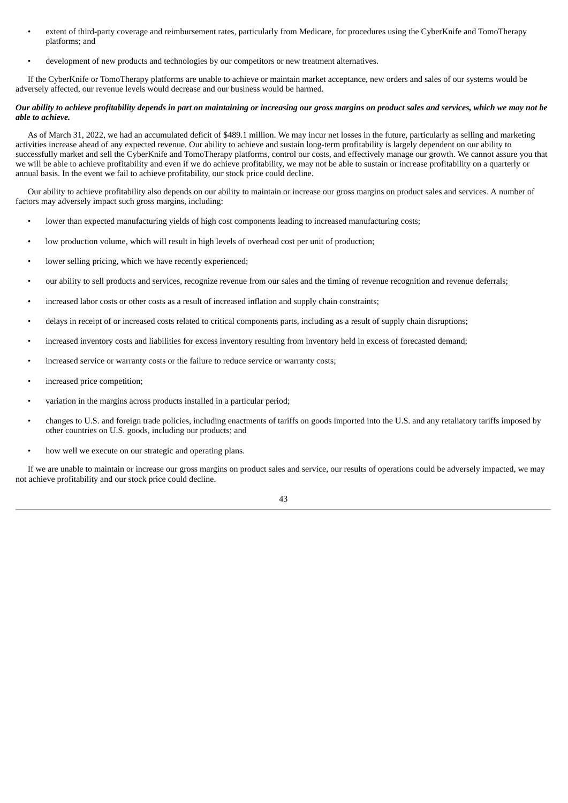- extent of third-party coverage and reimbursement rates, particularly from Medicare, for procedures using the CyberKnife and TomoTherapy platforms; and
- development of new products and technologies by our competitors or new treatment alternatives.

If the CyberKnife or TomoTherapy platforms are unable to achieve or maintain market acceptance, new orders and sales of our systems would be adversely affected, our revenue levels would decrease and our business would be harmed.

# Our ability to achieve profitability depends in part on maintaining or increasing our gross margins on product sales and services, which we may not be *able to achieve.*

As of March 31, 2022, we had an accumulated deficit of \$489.1 million. We may incur net losses in the future, particularly as selling and marketing activities increase ahead of any expected revenue. Our ability to achieve and sustain long‑term profitability is largely dependent on our ability to successfully market and sell the CyberKnife and TomoTherapy platforms, control our costs, and effectively manage our growth. We cannot assure you that we will be able to achieve profitability and even if we do achieve profitability, we may not be able to sustain or increase profitability on a quarterly or annual basis. In the event we fail to achieve profitability, our stock price could decline.

Our ability to achieve profitability also depends on our ability to maintain or increase our gross margins on product sales and services. A number of factors may adversely impact such gross margins, including:

- lower than expected manufacturing yields of high cost components leading to increased manufacturing costs;
- low production volume, which will result in high levels of overhead cost per unit of production;
- lower selling pricing, which we have recently experienced;
- our ability to sell products and services, recognize revenue from our sales and the timing of revenue recognition and revenue deferrals;
- increased labor costs or other costs as a result of increased inflation and supply chain constraints;
- delays in receipt of or increased costs related to critical components parts, including as a result of supply chain disruptions;
- increased inventory costs and liabilities for excess inventory resulting from inventory held in excess of forecasted demand;
- increased service or warranty costs or the failure to reduce service or warranty costs;
- increased price competition;
- variation in the margins across products installed in a particular period;
- changes to U.S. and foreign trade policies, including enactments of tariffs on goods imported into the U.S. and any retaliatory tariffs imposed by other countries on U.S. goods, including our products; and
- how well we execute on our strategic and operating plans.

If we are unable to maintain or increase our gross margins on product sales and service, our results of operations could be adversely impacted, we may not achieve profitability and our stock price could decline.

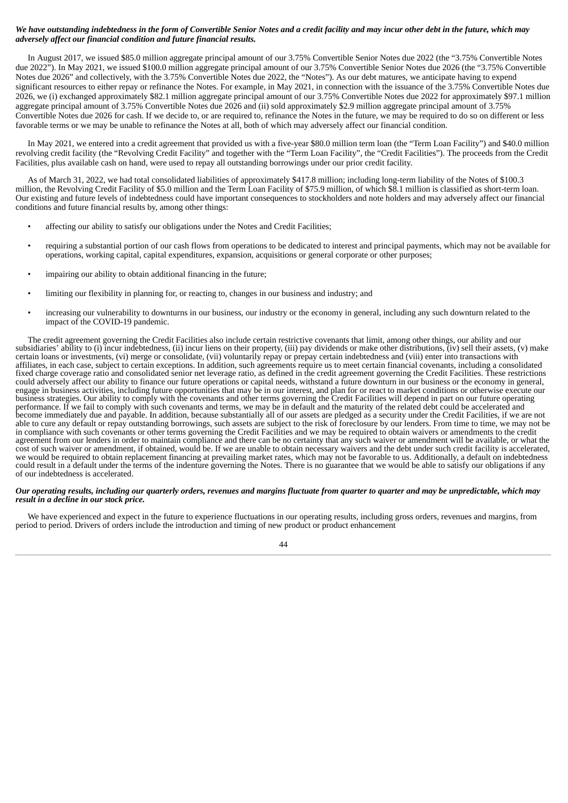# We have outstanding indebtedness in the form of Convertible Senior Notes and a credit facility and may incur other debt in the future, which may *adversely affect our financial condition and future financial results.*

In August 2017, we issued \$85.0 million aggregate principal amount of our 3.75% Convertible Senior Notes due 2022 (the "3.75% Convertible Notes due 2022"). In May 2021, we issued \$100.0 million aggregate principal amount of our 3.75% Convertible Senior Notes due 2026 (the "3.75% Convertible Notes due 2026" and collectively, with the 3.75% Convertible Notes due 2022, the "Notes"). As our debt matures, we anticipate having to expend significant resources to either repay or refinance the Notes. For example, in May 2021, in connection with the issuance of the 3.75% Convertible Notes due 2026, we (i) exchanged approximately \$82.1 million aggregate principal amount of our 3.75% Convertible Notes due 2022 for approximately \$97.1 million aggregate principal amount of 3.75% Convertible Notes due 2026 and (ii) sold approximately \$2.9 million aggregate principal amount of 3.75% Convertible Notes due 2026 for cash. If we decide to, or are required to, refinance the Notes in the future, we may be required to do so on different or less favorable terms or we may be unable to refinance the Notes at all, both of which may adversely affect our financial condition.

In May 2021, we entered into a credit agreement that provided us with a five-year \$80.0 million term loan (the "Term Loan Facility") and \$40.0 million revolving credit facility (the "Revolving Credit Facility" and together with the "Term Loan Facility", the "Credit Facilities"). The proceeds from the Credit Facilities, plus available cash on hand, were used to repay all outstanding borrowings under our prior credit facility.

As of March 31, 2022, we had total consolidated liabilities of approximately \$417.8 million; including long-term liability of the Notes of \$100.3 million, the Revolving Credit Facility of \$5.0 million and the Term Loan Facility of \$75.9 million, of which \$8.1 million is classified as short-term loan. Our existing and future levels of indebtedness could have important consequences to stockholders and note holders and may adversely affect our financial conditions and future financial results by, among other things:

- affecting our ability to satisfy our obligations under the Notes and Credit Facilities;
- requiring a substantial portion of our cash flows from operations to be dedicated to interest and principal payments, which may not be available for operations, working capital, capital expenditures, expansion, acquisitions or general corporate or other purposes;
- impairing our ability to obtain additional financing in the future;
- limiting our flexibility in planning for, or reacting to, changes in our business and industry; and
- increasing our vulnerability to downturns in our business, our industry or the economy in general, including any such downturn related to the impact of the COVID-19 pandemic.

The credit agreement governing the Credit Facilities also include certain restrictive covenants that limit, among other things, our ability and our subsidiaries' ability to (i) incur indebtedness, (ii) incur liens on their property, (iii) pay dividends or make other distributions, (iv) sell their assets, (v) make certain loans or investments, (vi) merge or consolidate, (vii) voluntarily repay or prepay certain indebtedness and (viii) enter into transactions with affiliates, in each case, subject to certain exceptions. In addition, such agreements require us to meet certain financial covenants, including a consolidated fixed charge coverage ratio and consolidated senior net leverage ratio, as defined in the credit agreement governing the Credit Facilities. These restrictions could adversely affect our ability to finance our future operations or capital needs, withstand a future downturn in our business or the economy in general, engage in business activities, including future opportunities that may be in our interest, and plan for or react to market conditions or otherwise execute our business strategies. Our ability to comply with the covenants and other terms governing the Credit Facilities will depend in part on our future operating performance. If we fail to comply with such covenants and terms, we may be in default and the maturity of the related debt could be accelerated and become immediately due and payable. In addition, because substantially all of our assets are pledged as a security under the Credit Facilities, if we are not able to cure any default or repay outstanding borrowings, such assets are subject to the risk of foreclosure by our lenders. From time to time, we may not be in compliance with such covenants or other terms governing the Credit Facilities and we may be required to obtain waivers or amendments to the credit agreement from our lenders in order to maintain compliance and there can be no certainty that any such waiver or amendment will be available, or what the cost of such waiver or amendment, if obtained, would be. If we are unable to obtain necessary waivers and the debt under such credit facility is accelerated, we would be required to obtain replacement financing at prevailing market rates, which may not be favorable to us. Additionally, a default on indebtedness could result in a default under the terms of the indenture governing the Notes. There is no guarantee that we would be able to satisfy our obligations if any of our indebtedness is accelerated.

#### Our operating results, including our quarterly orders, revenues and margins fluctuate from quarter to quarter and may be unpredictable, which may *result in a decline in our stock price.*

We have experienced and expect in the future to experience fluctuations in our operating results, including gross orders, revenues and margins, from period to period. Drivers of orders include the introduction and timing of new product or product enhancement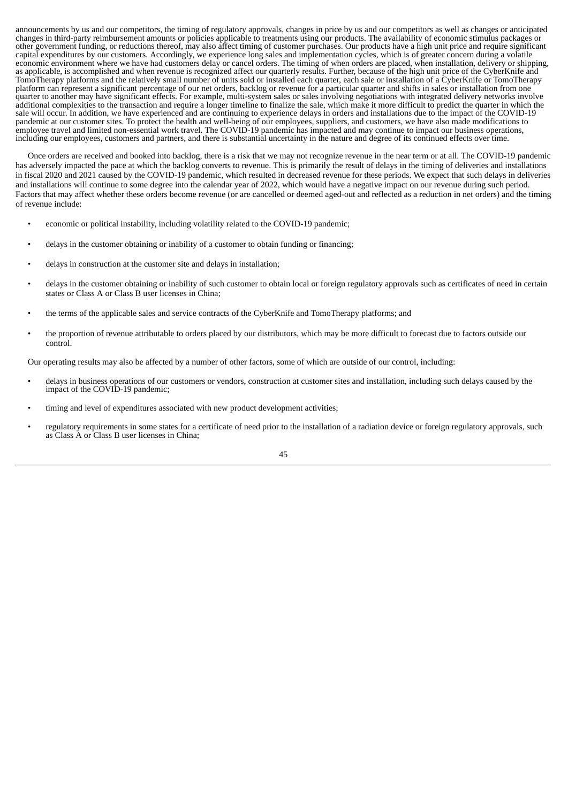announcements by us and our competitors, the timing of regulatory approvals, changes in price by us and our competitors as well as changes or anticipated changes in third‑party reimbursement amounts or policies applicable to treatments using our products. The availability of economic stimulus packages or other government funding, or reductions thereof, may also affect timing of customer purchases. Our products have a high unit price and require significant capital expenditures by our customers. Accordingly, we experience long sales and implementation cycles, which is of greater concern during a volatile economic environment where we have had customers delay or cancel orders. The timing of when orders are placed, when installation, delivery or shipping, as applicable, is accomplished and when revenue is recognized affect our quarterly results. Further, because of the high unit price of the CyberKnife and TomoTherapy platforms and the relatively small number of units sold or installed each quarter, each sale or installation of a CyberKnife or TomoTherapy platform can represent a significant percentage of our net orders, backlog or revenue for a particular quarter and shifts in sales or installation from one quarter to another may have significant effects. For example, multi-system sales or sales involving negotiations with integrated delivery networks involve additional complexities to the transaction and require a longer timeline to finalize the sale, which make it more difficult to predict the quarter in which the sale will occur. In addition, we have experienced and are continuing to experience delays in orders and installations due to the impact of the COVID-19 pandemic at our customer sites. To protect the health and well-being of our employees, suppliers, and customers, we have also made modifications to employee travel and limited non-essential work travel. The COVID-19 pandemic has impacted and may continue to impact our business operations, including our employees, customers and partners, and there is substantial uncertainty in the nature and degree of its continued effects over time.

Once orders are received and booked into backlog, there is a risk that we may not recognize revenue in the near term or at all. The COVID-19 pandemic has adversely impacted the pace at which the backlog converts to revenue. This is primarily the result of delays in the timing of deliveries and installations in fiscal 2020 and 2021 caused by the COVID-19 pandemic, which resulted in decreased revenue for these periods. We expect that such delays in deliveries and installations will continue to some degree into the calendar year of 2022, which would have a negative impact on our revenue during such period. Factors that may affect whether these orders become revenue (or are cancelled or deemed aged-out and reflected as a reduction in net orders) and the timing of revenue include:

- economic or political instability, including volatility related to the COVID-19 pandemic;
- delays in the customer obtaining or inability of a customer to obtain funding or financing;
- delays in construction at the customer site and delays in installation;
- delays in the customer obtaining or inability of such customer to obtain local or foreign regulatory approvals such as certificates of need in certain states or Class A or Class B user licenses in China;
- the terms of the applicable sales and service contracts of the CyberKnife and TomoTherapy platforms; and
- the proportion of revenue attributable to orders placed by our distributors, which may be more difficult to forecast due to factors outside our control.

Our operating results may also be affected by a number of other factors, some of which are outside of our control, including:

- delays in business operations of our customers or vendors, construction at customer sites and installation, including such delays caused by the impact of the COVID-19 pandemic;
- timing and level of expenditures associated with new product development activities;
- regulatory requirements in some states for a certificate of need prior to the installation of a radiation device or foreign regulatory approvals, such as Class A or Class B user licenses in China;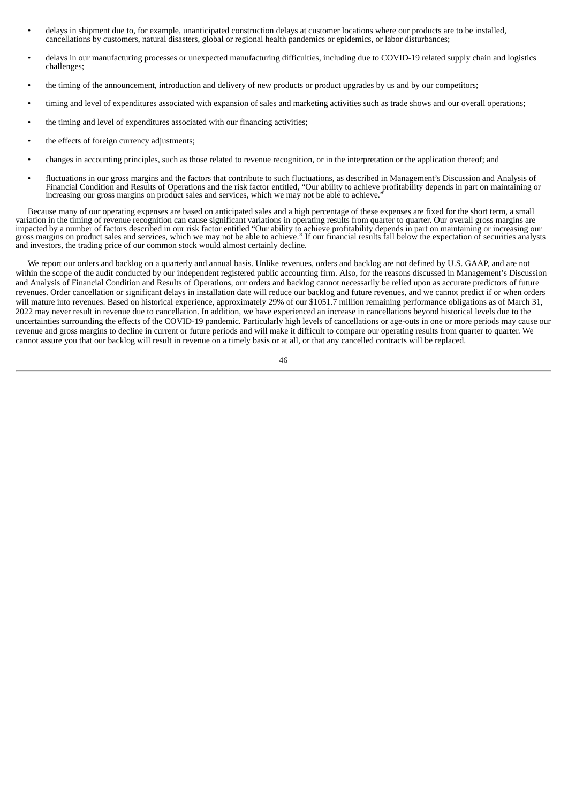- delays in shipment due to, for example, unanticipated construction delays at customer locations where our products are to be installed, cancellations by customers, natural disasters, global or regional health pandemics or epidemics, or labor disturbances;
- delays in our manufacturing processes or unexpected manufacturing difficulties, including due to COVID-19 related supply chain and logistics challenges;
- the timing of the announcement, introduction and delivery of new products or product upgrades by us and by our competitors;
- timing and level of expenditures associated with expansion of sales and marketing activities such as trade shows and our overall operations;
- the timing and level of expenditures associated with our financing activities;
- the effects of foreign currency adjustments;
- changes in accounting principles, such as those related to revenue recognition, or in the interpretation or the application thereof; and
- fluctuations in our gross margins and the factors that contribute to such fluctuations, as described in Management's Discussion and Analysis of Financial Condition and Results of Operations and the risk factor entitled, "Our ability to achieve profitability depends in part on maintaining or increasing our gross margins on product sales and services, which we may not be able to achieve."

Because many of our operating expenses are based on anticipated sales and a high percentage of these expenses are fixed for the short term, a small variation in the timing of revenue recognition can cause significant variations in operating results from quarter to quarter. Our overall gross margins are impacted by a number of factors described in our risk factor entitled "Our ability to achieve profitability depends in part on maintaining or increasing our gross margins on product sales and services, which we may not be able to achieve." If our financial results fall below the expectation of securities analysts and investors, the trading price of our common stock would almost certainly decline.

We report our orders and backlog on a quarterly and annual basis. Unlike revenues, orders and backlog are not defined by U.S. GAAP, and are not within the scope of the audit conducted by our independent registered public accounting firm. Also, for the reasons discussed in Management's Discussion and Analysis of Financial Condition and Results of Operations, our orders and backlog cannot necessarily be relied upon as accurate predictors of future revenues. Order cancellation or significant delays in installation date will reduce our backlog and future revenues, and we cannot predict if or when orders will mature into revenues. Based on historical experience, approximately 29% of our \$1051.7 million remaining performance obligations as of March 31, 2022 may never result in revenue due to cancellation. In addition, we have experienced an increase in cancellations beyond historical levels due to the uncertainties surrounding the effects of the COVID-19 pandemic. Particularly high levels of cancellations or age-outs in one or more periods may cause our revenue and gross margins to decline in current or future periods and will make it difficult to compare our operating results from quarter to quarter. We cannot assure you that our backlog will result in revenue on a timely basis or at all, or that any cancelled contracts will be replaced.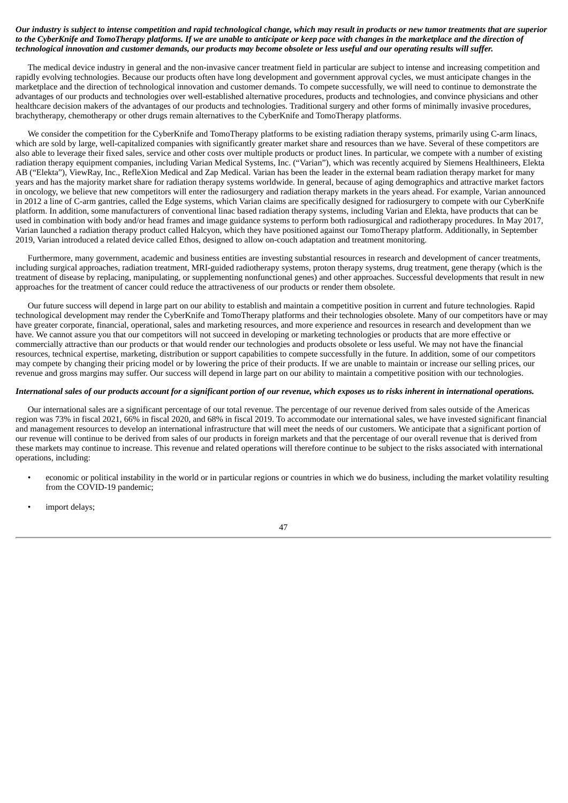# Our industry is subject to intense competition and rapid technological change, which may result in products or new tumor treatments that are superior to the CyberKnife and TomoTherapy platforms. If we are unable to anticipate or keep pace with changes in the marketplace and the direction of technological innovation and customer demands, our products may become obsolete or less useful and our operating results will suffer.

The medical device industry in general and the non-invasive cancer treatment field in particular are subject to intense and increasing competition and rapidly evolving technologies. Because our products often have long development and government approval cycles, we must anticipate changes in the marketplace and the direction of technological innovation and customer demands. To compete successfully, we will need to continue to demonstrate the advantages of our products and technologies over well-established alternative procedures, products and technologies, and convince physicians and other healthcare decision makers of the advantages of our products and technologies. Traditional surgery and other forms of minimally invasive procedures, brachytherapy, chemotherapy or other drugs remain alternatives to the CyberKnife and TomoTherapy platforms.

We consider the competition for the CyberKnife and TomoTherapy platforms to be existing radiation therapy systems, primarily using C-arm linacs, which are sold by large, well-capitalized companies with significantly greater market share and resources than we have. Several of these competitors are also able to leverage their fixed sales, service and other costs over multiple products or product lines. In particular, we compete with a number of existing radiation therapy equipment companies, including Varian Medical Systems, Inc. ("Varian"), which was recently acquired by Siemens Healthineers, Elekta AB ("Elekta"), ViewRay, Inc., RefleXion Medical and Zap Medical. Varian has been the leader in the external beam radiation therapy market for many years and has the majority market share for radiation therapy systems worldwide. In general, because of aging demographics and attractive market factors in oncology, we believe that new competitors will enter the radiosurgery and radiation therapy markets in the years ahead. For example, Varian announced in 2012 a line of C‑arm gantries, called the Edge systems, which Varian claims are specifically designed for radiosurgery to compete with our CyberKnife platform. In addition, some manufacturers of conventional linac based radiation therapy systems, including Varian and Elekta, have products that can be used in combination with body and/or head frames and image guidance systems to perform both radiosurgical and radiotherapy procedures. In May 2017, Varian launched a radiation therapy product called Halcyon, which they have positioned against our TomoTherapy platform. Additionally, in September 2019, Varian introduced a related device called Ethos, designed to allow on-couch adaptation and treatment monitoring.

Furthermore, many government, academic and business entities are investing substantial resources in research and development of cancer treatments, including surgical approaches, radiation treatment, MRI-guided radiotherapy systems, proton therapy systems, drug treatment, gene therapy (which is the treatment of disease by replacing, manipulating, or supplementing nonfunctional genes) and other approaches. Successful developments that result in new approaches for the treatment of cancer could reduce the attractiveness of our products or render them obsolete.

Our future success will depend in large part on our ability to establish and maintain a competitive position in current and future technologies. Rapid technological development may render the CyberKnife and TomoTherapy platforms and their technologies obsolete. Many of our competitors have or may have greater corporate, financial, operational, sales and marketing resources, and more experience and resources in research and development than we have. We cannot assure you that our competitors will not succeed in developing or marketing technologies or products that are more effective or commercially attractive than our products or that would render our technologies and products obsolete or less useful. We may not have the financial resources, technical expertise, marketing, distribution or support capabilities to compete successfully in the future. In addition, some of our competitors may compete by changing their pricing model or by lowering the price of their products. If we are unable to maintain or increase our selling prices, our revenue and gross margins may suffer. Our success will depend in large part on our ability to maintain a competitive position with our technologies.

# International sales of our products account for a significant portion of our revenue, which exposes us to risks inherent in international operations.

Our international sales are a significant percentage of our total revenue. The percentage of our revenue derived from sales outside of the Americas region was 73% in fiscal 2021, 66% in fiscal 2020, and 68% in fiscal 2019. To accommodate our international sales, we have invested significant financial and management resources to develop an international infrastructure that will meet the needs of our customers. We anticipate that a significant portion of our revenue will continue to be derived from sales of our products in foreign markets and that the percentage of our overall revenue that is derived from these markets may continue to increase. This revenue and related operations will therefore continue to be subject to the risks associated with international operations, including:

- economic or political instability in the world or in particular regions or countries in which we do business, including the market volatility resulting from the COVID-19 pandemic;
- import delays: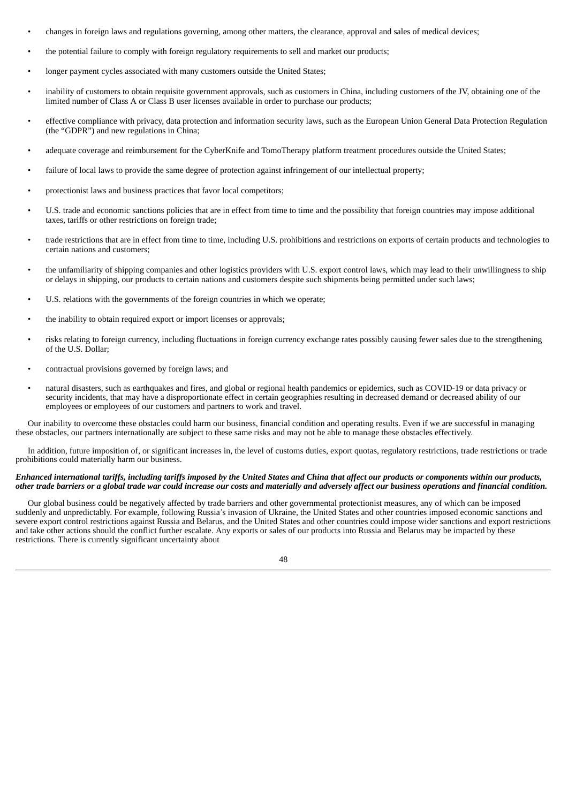- changes in foreign laws and regulations governing, among other matters, the clearance, approval and sales of medical devices;
- the potential failure to comply with foreign regulatory requirements to sell and market our products;
- longer payment cycles associated with many customers outside the United States;
- inability of customers to obtain requisite government approvals, such as customers in China, including customers of the JV, obtaining one of the limited number of Class A or Class B user licenses available in order to purchase our products;
- effective compliance with privacy, data protection and information security laws, such as the European Union General Data Protection Regulation (the "GDPR") and new regulations in China;
- adequate coverage and reimbursement for the CyberKnife and TomoTherapy platform treatment procedures outside the United States;
- failure of local laws to provide the same degree of protection against infringement of our intellectual property;
- protectionist laws and business practices that favor local competitors;
- U.S. trade and economic sanctions policies that are in effect from time to time and the possibility that foreign countries may impose additional taxes, tariffs or other restrictions on foreign trade;
- trade restrictions that are in effect from time to time, including U.S. prohibitions and restrictions on exports of certain products and technologies to certain nations and customers;
- the unfamiliarity of shipping companies and other logistics providers with U.S. export control laws, which may lead to their unwillingness to ship or delays in shipping, our products to certain nations and customers despite such shipments being permitted under such laws;
- U.S. relations with the governments of the foreign countries in which we operate;
- the inability to obtain required export or import licenses or approvals;
- risks relating to foreign currency, including fluctuations in foreign currency exchange rates possibly causing fewer sales due to the strengthening of the U.S. Dollar;
- contractual provisions governed by foreign laws; and
- natural disasters, such as earthquakes and fires, and global or regional health pandemics or epidemics, such as COVID-19 or data privacy or security incidents, that may have a disproportionate effect in certain geographies resulting in decreased demand or decreased ability of our employees or employees of our customers and partners to work and travel.

Our inability to overcome these obstacles could harm our business, financial condition and operating results. Even if we are successful in managing these obstacles, our partners internationally are subject to these same risks and may not be able to manage these obstacles effectively.

In addition, future imposition of, or significant increases in, the level of customs duties, export quotas, regulatory restrictions, trade restrictions or trade prohibitions could materially harm our business.

# Enhanced international tariffs, including tariffs imposed by the United States and China that affect our products or components within our products, other trade barriers or a global trade war could increase our costs and materially and adversely affect our business operations and financial condition.

Our global business could be negatively affected by trade barriers and other governmental protectionist measures, any of which can be imposed suddenly and unpredictably. For example, following Russia's invasion of Ukraine, the United States and other countries imposed economic sanctions and severe export control restrictions against Russia and Belarus, and the United States and other countries could impose wider sanctions and export restrictions and take other actions should the conflict further escalate. Any exports or sales of our products into Russia and Belarus may be impacted by these restrictions. There is currently significant uncertainty about

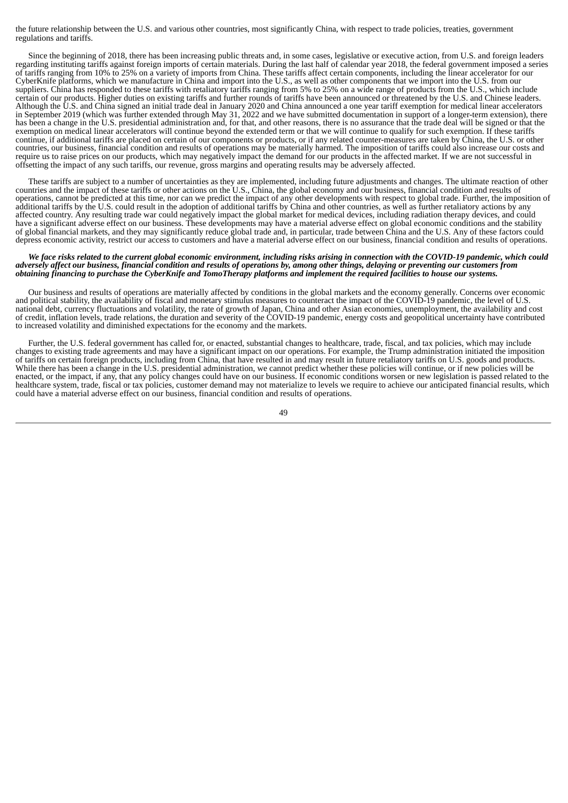the future relationship between the U.S. and various other countries, most significantly China, with respect to trade policies, treaties, government regulations and tariffs.

Since the beginning of 2018, there has been increasing public threats and, in some cases, legislative or executive action, from U.S. and foreign leaders regarding instituting tariffs against foreign imports of certain materials. During the last half of calendar year 2018, the federal government imposed a series of tariffs ranging from 10% to 25% on a variety of imports from China. These tariffs affect certain components, including the linear accelerator for our CyberKnife platforms, which we manufacture in China and import into the U.S., as well as other components that we import into the U.S. from our suppliers. China has responded to these tariffs with retaliatory tariffs ranging from 5% to 25% on a wide range of products from the U.S., which include certain of our products. Higher duties on existing tariffs and further rounds of tariffs have been announced or threatened by the U.S. and Chinese leaders. Although the U.S. and China signed an initial trade deal in January 2020 and China announced a one year tariff exemption for medical linear accelerators in September 2019 (which was further extended through May 31, 2022 and we have submitted documentation in support of a longer-term extension), there has been a change in the U.S. presidential administration and, for that, and other reasons, there is no assurance that the trade deal will be signed or that the exemption on medical linear accelerators will continue beyond the extended term or that we will continue to qualify for such exemption. If these tariffs continue, if additional tariffs are placed on certain of our components or products, or if any related counter-measures are taken by China, the U.S. or other countries, our business, financial condition and results of operations may be materially harmed. The imposition of tariffs could also increase our costs and require us to raise prices on our products, which may negatively impact the demand for our products in the affected market. If we are not successful in offsetting the impact of any such tariffs, our revenue, gross margins and operating results may be adversely affected.

These tariffs are subject to a number of uncertainties as they are implemented, including future adjustments and changes. The ultimate reaction of other countries and the impact of these tariffs or other actions on the U.S., China, the global economy and our business, financial condition and results of operations, cannot be predicted at this time, nor can we predict the impact of any other developments with respect to global trade. Further, the imposition of additional tariffs by the U.S. could result in the adoption of additional tariffs by China and other countries, as well as further retaliatory actions by any affected country. Any resulting trade war could negatively impact the global market for medical devices, including radiation therapy devices, and could have a significant adverse effect on our business. These developments may have a material adverse effect on global economic conditions and the stability of global financial markets, and they may significantly reduce global trade and, in particular, trade between China and the U.S. Any of these factors could depress economic activity, restrict our access to customers and have a material adverse effect on our business, financial condition and results of operations.

#### We face risks related to the current global economic environment, including risks arising in connection with the COVID-19 pandemic, which could adversely affect our business, financial condition and results of operations by, among other things, delaying or preventing our customers from obtaining financing to purchase the CyberKnife and TomoTherapy platforms and implement the required facilities to house our systems.

Our business and results of operations are materially affected by conditions in the global markets and the economy generally. Concerns over economic and political stability, the availability of fiscal and monetary stimulus measures to counteract the impact of the COVID-19 pandemic, the level of U.S. national debt, currency fluctuations and volatility, the rate of growth of Japan, China and other Asian economies, unemployment, the availability and cost of credit, inflation levels, trade relations, the duration and severity of the COVID-19 pandemic, energy costs and geopolitical uncertainty have contributed to increased volatility and diminished expectations for the economy and the markets.

Further, the U.S. federal government has called for, or enacted, substantial changes to healthcare, trade, fiscal, and tax policies, which may include changes to existing trade agreements and may have a significant impact on our operations. For example, the Trump administration initiated the imposition of tariffs on certain foreign products, including from China, that have resulted in and may result in future retaliatory tariffs on U.S. goods and products.<br>While there has been a change in the U.S. presidential administra While there has been a change in the U.S. presidential administration, we cannot predict whether these policies will continue, or if new policies will be enacted, or the impact, if any, that any policy changes could have o healthcare system, trade, fiscal or tax policies, customer demand may not materialize to levels we require to achieve our anticipated financial results, which could have a material adverse effect on our business, financial condition and results of operations.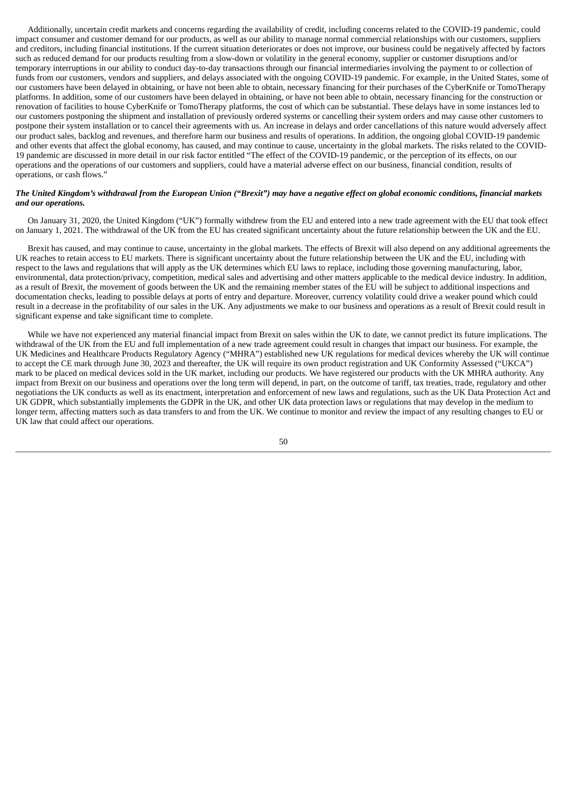Additionally, uncertain credit markets and concerns regarding the availability of credit, including concerns related to the COVID-19 pandemic, could impact consumer and customer demand for our products, as well as our ability to manage normal commercial relationships with our customers, suppliers and creditors, including financial institutions. If the current situation deteriorates or does not improve, our business could be negatively affected by factors such as reduced demand for our products resulting from a slow-down or volatility in the general economy, supplier or customer disruptions and/or temporary interruptions in our ability to conduct day-to-day transactions through our financial intermediaries involving the payment to or collection of funds from our customers, vendors and suppliers, and delays associated with the ongoing COVID-19 pandemic. For example, in the United States, some of our customers have been delayed in obtaining, or have not been able to obtain, necessary financing for their purchases of the CyberKnife or TomoTherapy platforms. In addition, some of our customers have been delayed in obtaining, or have not been able to obtain, necessary financing for the construction or renovation of facilities to house CyberKnife or TomoTherapy platforms, the cost of which can be substantial. These delays have in some instances led to our customers postponing the shipment and installation of previously ordered systems or cancelling their system orders and may cause other customers to postpone their system installation or to cancel their agreements with us. An increase in delays and order cancellations of this nature would adversely affect our product sales, backlog and revenues, and therefore harm our business and results of operations. In addition, the ongoing global COVID-19 pandemic and other events that affect the global economy, has caused, and may continue to cause, uncertainty in the global markets. The risks related to the COVID-19 pandemic are discussed in more detail in our risk factor entitled "The effect of the COVID-19 pandemic, or the perception of its effects, on our operations and the operations of our customers and suppliers, could have a material adverse effect on our business, financial condition, results of operations, or cash flows."

# The United Kingdom's withdrawal from the European Union ("Brexit") may have a negative effect on global economic conditions, financial markets *and our operations.*

On January 31, 2020, the United Kingdom ("UK") formally withdrew from the EU and entered into a new trade agreement with the EU that took effect on January 1, 2021. The withdrawal of the UK from the EU has created significant uncertainty about the future relationship between the UK and the EU.

Brexit has caused, and may continue to cause, uncertainty in the global markets. The effects of Brexit will also depend on any additional agreements the UK reaches to retain access to EU markets. There is significant uncertainty about the future relationship between the UK and the EU, including with respect to the laws and regulations that will apply as the UK determines which EU laws to replace, including those governing manufacturing, labor, environmental, data protection/privacy, competition, medical sales and advertising and other matters applicable to the medical device industry. In addition, as a result of Brexit, the movement of goods between the UK and the remaining member states of the EU will be subject to additional inspections and documentation checks, leading to possible delays at ports of entry and departure. Moreover, currency volatility could drive a weaker pound which could result in a decrease in the profitability of our sales in the UK. Any adjustments we make to our business and operations as a result of Brexit could result in significant expense and take significant time to complete.

While we have not experienced any material financial impact from Brexit on sales within the UK to date, we cannot predict its future implications. The withdrawal of the UK from the EU and full implementation of a new trade agreement could result in changes that impact our business. For example, the UK Medicines and Healthcare Products Regulatory Agency ("MHRA") established new UK regulations for medical devices whereby the UK will continue to accept the CE mark through June 30, 2023 and thereafter, the UK will require its own product registration and UK Conformity Assessed ("UKCA") mark to be placed on medical devices sold in the UK market, including our products. We have registered our products with the UK MHRA authority. Any impact from Brexit on our business and operations over the long term will depend, in part, on the outcome of tariff, tax treaties, trade, regulatory and other negotiations the UK conducts as well as its enactment, interpretation and enforcement of new laws and regulations, such as the UK Data Protection Act and UK GDPR, which substantially implements the GDPR in the UK, and other UK data protection laws or regulations that may develop in the medium to longer term, affecting matters such as data transfers to and from the UK. We continue to monitor and review the impact of any resulting changes to EU or UK law that could affect our operations.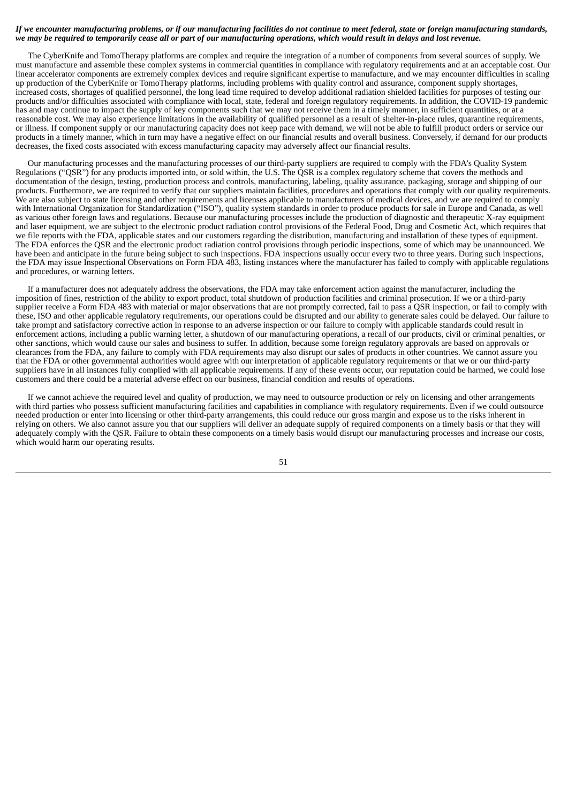## If we encounter manufacturing problems, or if our manufacturing facilities do not continue to meet federal, state or foreign manufacturing standards, we may be required to temporarily cease all or part of our manufacturing operations, which would result in delays and lost revenue.

The CyberKnife and TomoTherapy platforms are complex and require the integration of a number of components from several sources of supply. We must manufacture and assemble these complex systems in commercial quantities in compliance with regulatory requirements and at an acceptable cost. Our linear accelerator components are extremely complex devices and require significant expertise to manufacture, and we may encounter difficulties in scaling up production of the CyberKnife or TomoTherapy platforms, including problems with quality control and assurance, component supply shortages, increased costs, shortages of qualified personnel, the long lead time required to develop additional radiation shielded facilities for purposes of testing our products and/or difficulties associated with compliance with local, state, federal and foreign regulatory requirements. In addition, the COVID-19 pandemic has and may continue to impact the supply of key components such that we may not receive them in a timely manner, in sufficient quantities, or at a reasonable cost. We may also experience limitations in the availability of qualified personnel as a result of shelter-in-place rules, quarantine requirements, or illness. If component supply or our manufacturing capacity does not keep pace with demand, we will not be able to fulfill product orders or service our products in a timely manner, which in turn may have a negative effect on our financial results and overall business. Conversely, if demand for our products decreases, the fixed costs associated with excess manufacturing capacity may adversely affect our financial results.

Our manufacturing processes and the manufacturing processes of our third-party suppliers are required to comply with the FDA's Quality System Regulations ("QSR") for any products imported into, or sold within, the U.S. The QSR is a complex regulatory scheme that covers the methods and documentation of the design, testing, production process and controls, manufacturing, labeling, quality assurance, packaging, storage and shipping of our products. Furthermore, we are required to verify that our suppliers maintain facilities, procedures and operations that comply with our quality requirements. We are also subject to state licensing and other requirements and licenses applicable to manufacturers of medical devices, and we are required to comply with International Organization for Standardization ("ISO"), quality system standards in order to produce products for sale in Europe and Canada, as well as various other foreign laws and regulations. Because our manufacturing processes include the production of diagnostic and therapeutic X-ray equipment and laser equipment, we are subject to the electronic product radiation control provisions of the Federal Food, Drug and Cosmetic Act, which requires that we file reports with the FDA, applicable states and our customers regarding the distribution, manufacturing and installation of these types of equipment. The FDA enforces the QSR and the electronic product radiation control provisions through periodic inspections, some of which may be unannounced. We have been and anticipate in the future being subject to such inspections. FDA inspections usually occur every two to three years. During such inspections, the FDA may issue Inspectional Observations on Form FDA 483, listing instances where the manufacturer has failed to comply with applicable regulations and procedures, or warning letters.

If a manufacturer does not adequately address the observations, the FDA may take enforcement action against the manufacturer, including the imposition of fines, restriction of the ability to export product, total shutdown of production facilities and criminal prosecution. If we or a third-party supplier receive a Form FDA 483 with material or major observations that are not promptly corrected, fail to pass a QSR inspection, or fail to comply with these, ISO and other applicable regulatory requirements, our operations could be disrupted and our ability to generate sales could be delayed. Our failure to take prompt and satisfactory corrective action in response to an adverse inspection or our failure to comply with applicable standards could result in enforcement actions, including a public warning letter, a shutdown of our manufacturing operations, a recall of our products, civil or criminal penalties, or other sanctions, which would cause our sales and business to suffer. In addition, because some foreign regulatory approvals are based on approvals or clearances from the FDA, any failure to comply with FDA requirements may also disrupt our sales of products in other countries. We cannot assure you that the FDA or other governmental authorities would agree with our interpretation of applicable regulatory requirements or that we or our third-party suppliers have in all instances fully complied with all applicable requirements. If any of these events occur, our reputation could be harmed, we could lose customers and there could be a material adverse effect on our business, financial condition and results of operations.

If we cannot achieve the required level and quality of production, we may need to outsource production or rely on licensing and other arrangements with third parties who possess sufficient manufacturing facilities and capabilities in compliance with regulatory requirements. Even if we could outsource needed production or enter into licensing or other third-party arrangements, this could reduce our gross margin and expose us to the risks inherent in relying on others. We also cannot assure you that our suppliers will deliver an adequate supply of required components on a timely basis or that they will adequately comply with the QSR. Failure to obtain these components on a timely basis would disrupt our manufacturing processes and increase our costs, which would harm our operating results.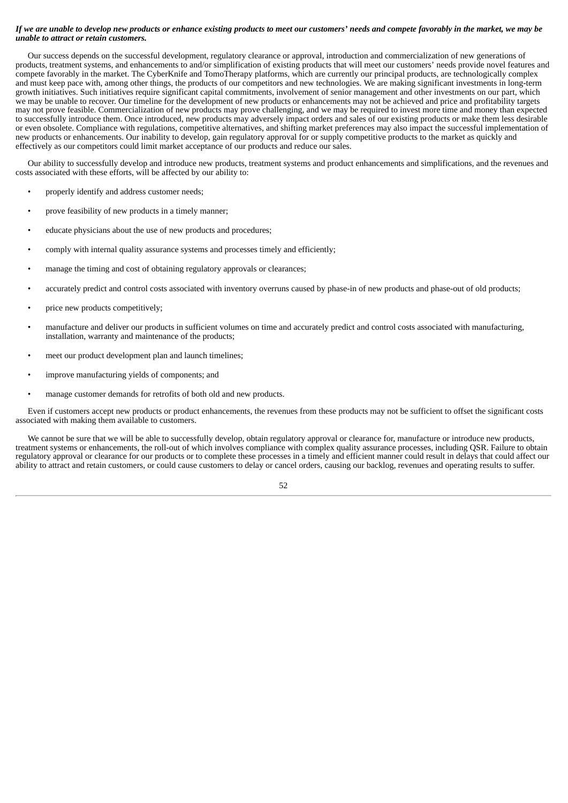## If we are unable to develop new products or enhance existing products to meet our customers' needs and compete favorably in the market, we may be *unable to attract or retain customers.*

Our success depends on the successful development, regulatory clearance or approval, introduction and commercialization of new generations of products, treatment systems, and enhancements to and/or simplification of existing products that will meet our customers' needs provide novel features and compete favorably in the market. The CyberKnife and TomoTherapy platforms, which are currently our principal products, are technologically complex and must keep pace with, among other things, the products of our competitors and new technologies. We are making significant investments in long-term growth initiatives. Such initiatives require significant capital commitments, involvement of senior management and other investments on our part, which we may be unable to recover. Our timeline for the development of new products or enhancements may not be achieved and price and profitability targets may not prove feasible. Commercialization of new products may prove challenging, and we may be required to invest more time and money than expected to successfully introduce them. Once introduced, new products may adversely impact orders and sales of our existing products or make them less desirable or even obsolete. Compliance with regulations, competitive alternatives, and shifting market preferences may also impact the successful implementation of new products or enhancements. Our inability to develop, gain regulatory approval for or supply competitive products to the market as quickly and effectively as our competitors could limit market acceptance of our products and reduce our sales.

Our ability to successfully develop and introduce new products, treatment systems and product enhancements and simplifications, and the revenues and costs associated with these efforts, will be affected by our ability to:

- properly identify and address customer needs;
- prove feasibility of new products in a timely manner;
- educate physicians about the use of new products and procedures;
- comply with internal quality assurance systems and processes timely and efficiently;
- manage the timing and cost of obtaining regulatory approvals or clearances;
- accurately predict and control costs associated with inventory overruns caused by phase-in of new products and phase-out of old products;
- price new products competitively;
- manufacture and deliver our products in sufficient volumes on time and accurately predict and control costs associated with manufacturing, installation, warranty and maintenance of the products;
- meet our product development plan and launch timelines;
- improve manufacturing yields of components; and
- manage customer demands for retrofits of both old and new products.

Even if customers accept new products or product enhancements, the revenues from these products may not be sufficient to offset the significant costs associated with making them available to customers.

We cannot be sure that we will be able to successfully develop, obtain regulatory approval or clearance for, manufacture or introduce new products, treatment systems or enhancements, the roll-out of which involves compliance with complex quality assurance processes, including QSR. Failure to obtain regulatory approval or clearance for our products or to complete these processes in a timely and efficient manner could result in delays that could affect our ability to attract and retain customers, or could cause customers to delay or cancel orders, causing our backlog, revenues and operating results to suffer.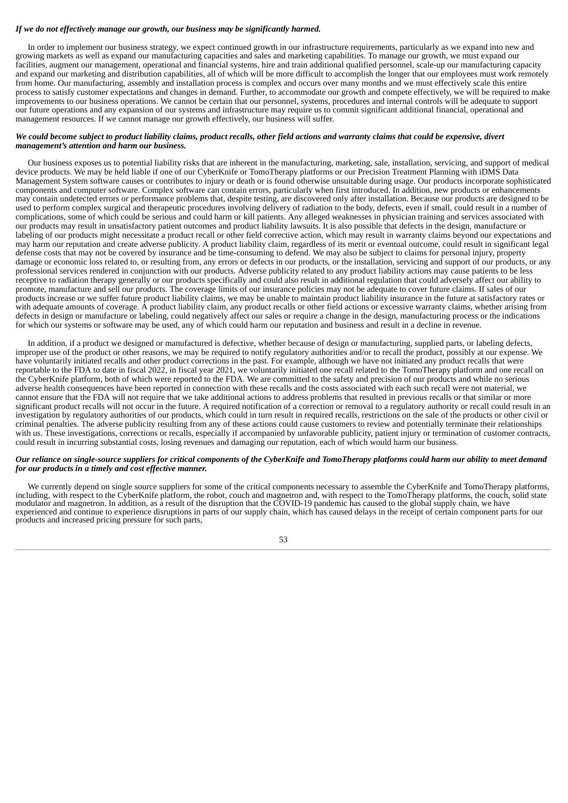#### *If we do not effectively manage our growth, our business may be significantly harmed.*

In order to implement our business strategy, we expect continued growth in our infrastructure requirements, particularly as we expand into new and growing markets as well as expand our manufacturing capacities and sales and marketing capabilities. To manage our growth, we must expand our facilities, augment our management, operational and financial systems, hire and train additional qualified personnel, scale-up our manufacturing capacity and expand our marketing and distribution capabilities, all of which will be more difficult to accomplish the longer that our employees must work remotely from home. Our manufacturing, assembly and installation process is complex and occurs over many months and we must effectively scale this entire process to satisfy customer expectations and changes in demand. Further, to accommodate our growth and compete effectively, we will be required to make improvements to our business operations. We cannot be certain that our personnel, systems, procedures and internal controls will be adequate to support our future operations and any expansion of our systems and infrastructure may require us to commit significant additional financial, operational and management resources. If we cannot manage our growth effectively, our business will suffer.

#### We could become subject to product liability claims, product recalls, other field actions and warranty claims that could be expensive, divert *management's attention and harm our business.*

Our business exposes us to potential liability risks that are inherent in the manufacturing, marketing, sale, installation, servicing, and support of medical device products. We may be held liable if one of our CyberKnife or TomoTherapy platforms or our Precision Treatment Planning with iDMS Data Management System software causes or contributes to injury or death or is found otherwise unsuitable during usage. Our products incorporate sophisticated components and computer software. Complex software can contain errors, particularly when first introduced. In addition, new products or enhancements may contain undetected errors or performance problems that, despite testing, are discovered only after installation. Because our products are designed to be used to perform complex surgical and therapeutic procedures involving delivery of radiation to the body, defects, even if small, could result in a number of complications, some of which could be serious and could harm or kill patients. Any alleged weaknesses in physician training and services associated with our products may result in unsatisfactory patient outcomes and product liability lawsuits. It is also possible that defects in the design, manufacture or labeling of our products might necessitate a product recall or other field corrective action, which may result in warranty claims beyond our expectations and may harm our reputation and create adverse publicity. A product liability claim, regardless of its merit or eventual outcome, could result in significant legal defense costs that may not be covered by insurance and be time-consuming to defend. We may also be subject to claims for personal injury, property damage or economic loss related to, or resulting from, any errors or defects in our products, or the installation, servicing and support of our products, or any professional services rendered in conjunction with our products. Adverse publicity related to any product liability actions may cause patients to be less receptive to radiation therapy generally or our products specifically and could also result in additional regulation that could adversely affect our ability to promote, manufacture and sell our products. The coverage limits of our insurance policies may not be adequate to cover future claims. If sales of our products increase or we suffer future product liability claims, we may be unable to maintain product liability insurance in the future at satisfactory rates or with adequate amounts of coverage. A product liability claim, any product recalls or other field actions or excessive warranty claims, whether arising from defects in design or manufacture or labeling, could negatively affect our sales or require a change in the design, manufacturing process or the indications for which our systems or software may be used, any of which could harm our reputation and business and result in a decline in revenue.

In addition, if a product we designed or manufactured is defective, whether because of design or manufacturing, supplied parts, or labeling defects, improper use of the product or other reasons, we may be required to notify regulatory authorities and/or to recall the product, possibly at our expense. We have voluntarily initiated recalls and other product corrections in the past. For example, although we have not initiated any product recalls that were reportable to the FDA to date in fiscal 2022, in fiscal year 2021, we voluntarily initiated one recall related to the TomoTherapy platform and one recall on the CyberKnife platform, both of which were reported to the FDA. We are committed to the safety and precision of our products and while no serious adverse health consequences have been reported in connection with these recalls and the costs associated with each such recall were not material, we cannot ensure that the FDA will not require that we take additional actions to address problems that resulted in previous recalls or that similar or more significant product recalls will not occur in the future. A required notification of a correction or removal to a regulatory authority or recall could result in an investigation by regulatory authorities of our products, which could in turn result in required recalls, restrictions on the sale of the products or other civil or criminal penalties. The adverse publicity resulting from any of these actions could cause customers to review and potentially terminate their relationships with us. These investigations, corrections or recalls, especially if accompanied by unfavorable publicity, patient injury or termination of customer contracts, could result in incurring substantial costs, losing revenues and damaging our reputation, each of which would harm our business.

#### Our reliance on single-source suppliers for critical components of the CyberKnife and TomoTherapy platforms could harm our ability to meet demand *for our products in a timely and cost effective manner.*

We currently depend on single source suppliers for some of the critical components necessary to assemble the CyberKnife and TomoTherapy platforms, including, with respect to the CyberKnife platform, the robot, couch and magnetron and, with respect to the TomoTherapy platforms, the couch, solid state modulator and magnetron. In addition, as a result of the disruption that the COVID-19 pandemic has caused to the global supply chain, we have experienced and continue to experience disruptions in parts of our supply chain, which has caused delays in the receipt of certain component parts for our products and increased pricing pressure for such parts,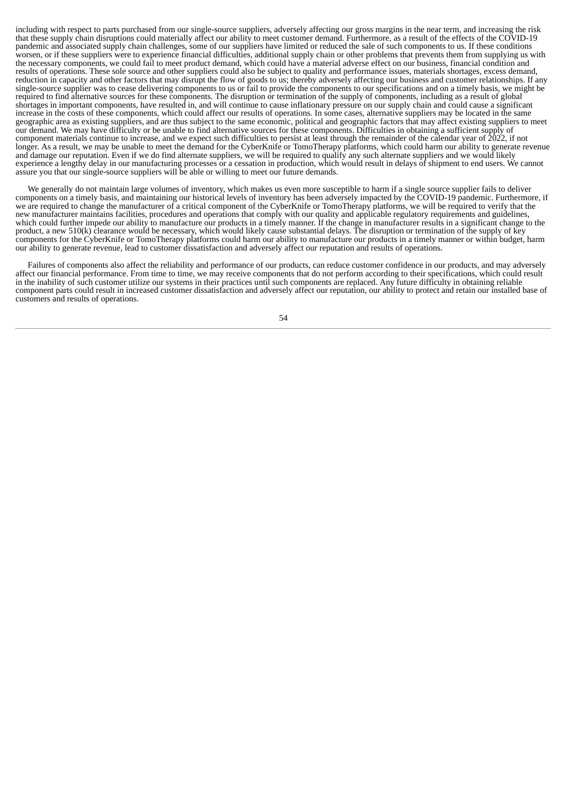including with respect to parts purchased from our single-source suppliers, adversely affecting our gross margins in the near term, and increasing the risk that these supply chain disruptions could materially affect our ability to meet customer demand. Furthermore, as a result of the effects of the COVID-19 pandemic and associated supply chain challenges, some of our suppliers have limited or reduced the sale of such components to us. If these conditions worsen, or if these suppliers were to experience financial difficulties, additional supply chain or other problems that prevents them from supplying us with the necessary components, we could fail to meet product demand, which could have a material adverse effect on our business, financial condition and results of operations. These sole source and other suppliers could also be subject to quality and performance issues, materials shortages, excess demand, reduction in capacity and other factors that may disrupt the flow of goods to us; thereby adversely affecting our business and customer relationships. If any single-source supplier was to cease delivering components to us or fail to provide the components to our specifications and on a timely basis, we might be required to find alternative sources for these components. The disruption or termination of the supply of components, including as a result of global shortages in important components, have resulted in, and will continue to cause inflationary pressure on our supply chain and could cause a significant increase in the costs of these components, which could affect our results of operations. In some cases, alternative suppliers may be located in the same geographic area as existing suppliers, and are thus subject to the same economic, political and geographic factors that may affect existing suppliers to meet our demand. We may have difficulty or be unable to find alternative sources for these components. Difficulties in obtaining a sufficient supply of component materials continue to increase, and we expect such difficulties to persist at least through the remainder of the calendar year of 2022, if not longer. As a result, we may be unable to meet the demand for the CyberKnife or TomoTherapy platforms, which could harm our ability to generate revenue and damage our reputation. Even if we do find alternate suppliers, we will be required to qualify any such alternate suppliers and we would likely experience a lengthy delay in our manufacturing processes or a cessation in production, which would result in delays of shipment to end users. We cannot assure you that our single‑source suppliers will be able or willing to meet our future demands.

We generally do not maintain large volumes of inventory, which makes us even more susceptible to harm if a single source supplier fails to deliver components on a timely basis, and maintaining our historical levels of inventory has been adversely impacted by the COVID-19 pandemic. Furthermore, if we are required to change the manufacturer of a critical component of the CyberKnife or TomoTherapy platforms, we will be required to verify that the new manufacturer maintains facilities, procedures and operations that comply with our quality and applicable regulatory requirements and guidelines, which could further impede our ability to manufacture our products in a timely manner. If the change in manufacturer results in a significant change to the product, a new 510(k) clearance would be necessary, which would likely cause substantial delays. The disruption or termination of the supply of key components for the CyberKnife or TomoTherapy platforms could harm our ability to manufacture our products in a timely manner or within budget, harm our ability to generate revenue, lead to customer dissatisfaction and adversely affect our reputation and results of operations.

Failures of components also affect the reliability and performance of our products, can reduce customer confidence in our products, and may adversely affect our financial performance. From time to time, we may receive components that do not perform according to their specifications, which could result in the inability of such customer utilize our systems in their practices until such components are replaced. Any future difficulty in obtaining reliable component parts could result in increased customer dissatisfaction and adversely affect our reputation, our ability to protect and retain our installed base of customers and results of operations.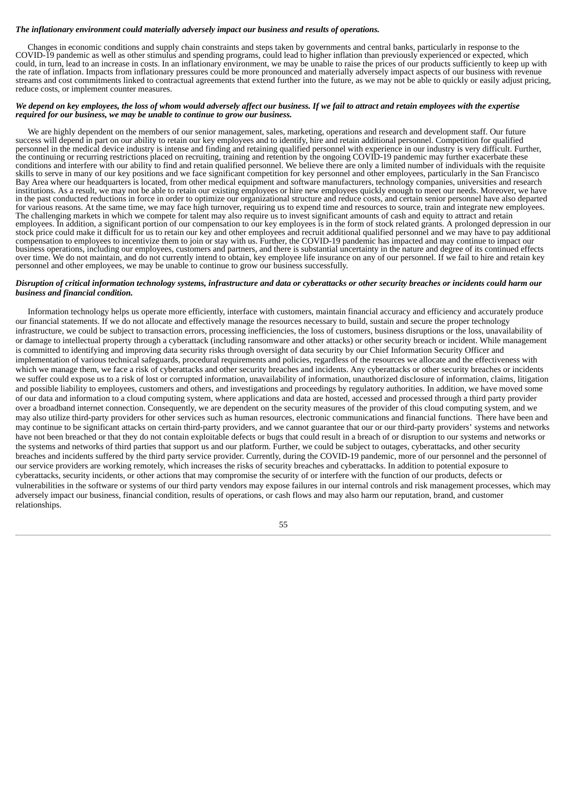## *The inflationary environment could materially adversely impact our business and results of operations.*

Changes in economic conditions and supply chain constraints and steps taken by governments and central banks, particularly in response to the COVID-19 pandemic as well as other stimulus and spending programs, could lead to higher inflation than previously experienced or expected, which could, in turn, lead to an increase in costs. In an inflationary environment, we may be unable to raise the prices of our products sufficiently to keep up with the rate of inflation. Impacts from inflationary pressures could be more pronounced and materially adversely impact aspects of our business with revenue streams and cost commitments linked to contractual agreements that extend further into the future, as we may not be able to quickly or easily adjust pricing, reduce costs, or implement counter measures.

#### We depend on key employees, the loss of whom would adversely affect our business. If we fail to attract and retain employees with the expertise *required for our business, we may be unable to continue to grow our business.*

We are highly dependent on the members of our senior management, sales, marketing, operations and research and development staff. Our future success will depend in part on our ability to retain our key employees and to identify, hire and retain additional personnel. Competition for qualified personnel in the medical device industry is intense and finding and retaining qualified personnel with experience in our industry is very difficult. Further, the continuing or recurring restrictions placed on recruiting, training and retention by the ongoing COVID-19 pandemic may further exacerbate these conditions and interfere with our ability to find and retain qualified personnel. We believe there are only a limited number of individuals with the requisite skills to serve in many of our key positions and we face significant competition for key personnel and other employees, particularly in the San Francisco Bay Area where our headquarters is located, from other medical equipment and software manufacturers, technology companies, universities and research institutions. As a result, we may not be able to retain our existing employees or hire new employees quickly enough to meet our needs. Moreover, we have in the past conducted reductions in force in order to optimize our organizational structure and reduce costs, and certain senior personnel have also departed for various reasons. At the same time, we may face high turnover, requiring us to expend time and resources to source, train and integrate new employees. The challenging markets in which we compete for talent may also require us to invest significant amounts of cash and equity to attract and retain employees. In addition, a significant portion of our compensation to our key employees is in the form of stock related grants. A prolonged depression in our stock price could make it difficult for us to retain our key and other employees and recruit additional qualified personnel and we may have to pay additional compensation to employees to incentivize them to join or stay with us. Further, the COVID-19 pandemic has impacted and may continue to impact our business operations, including our employees, customers and partners, and there is substantial uncertainty in the nature and degree of its continued effects over time. We do not maintain, and do not currently intend to obtain, key employee life insurance on any of our personnel. If we fail to hire and retain key personnel and other employees, we may be unable to continue to grow our business successfully.

## Disruption of critical information technology systems, infrastructure and data or cyberattacks or other security breaches or incidents could harm our *business and financial condition.*

Information technology helps us operate more efficiently, interface with customers, maintain financial accuracy and efficiency and accurately produce our financial statements. If we do not allocate and effectively manage the resources necessary to build, sustain and secure the proper technology infrastructure, we could be subject to transaction errors, processing inefficiencies, the loss of customers, business disruptions or the loss, unavailability of or damage to intellectual property through a cyberattack (including ransomware and other attacks) or other security breach or incident. While management is committed to identifying and improving data security risks through oversight of data security by our Chief Information Security Officer and implementation of various technical safeguards, procedural requirements and policies, regardless of the resources we allocate and the effectiveness with which we manage them, we face a risk of cyberattacks and other security breaches and incidents. Any cyberattacks or other security breaches or incidents we suffer could expose us to a risk of lost or corrupted information, unavailability of information, unauthorized disclosure of information, claims, litigation and possible liability to employees, customers and others, and investigations and proceedings by regulatory authorities. In addition, we have moved some of our data and information to a cloud computing system, where applications and data are hosted, accessed and processed through a third party provider over a broadband internet connection. Consequently, we are dependent on the security measures of the provider of this cloud computing system, and we may also utilize third-party providers for other services such as human resources, electronic communications and financial functions. There have been and may continue to be significant attacks on certain third-party providers, and we cannot guarantee that our or our third-party providers' systems and networks have not been breached or that they do not contain exploitable defects or bugs that could result in a breach of or disruption to our systems and networks or the systems and networks of third parties that support us and our platform. Further, we could be subject to outages, cyberattacks, and other security breaches and incidents suffered by the third party service provider. Currently, during the COVID-19 pandemic, more of our personnel and the personnel of our service providers are working remotely, which increases the risks of security breaches and cyberattacks. In addition to potential exposure to cyberattacks, security incidents, or other actions that may compromise the security of or interfere with the function of our products, defects or vulnerabilities in the software or systems of our third party vendors may expose failures in our internal controls and risk management processes, which may adversely impact our business, financial condition, results of operations, or cash flows and may also harm our reputation, brand, and customer relationships.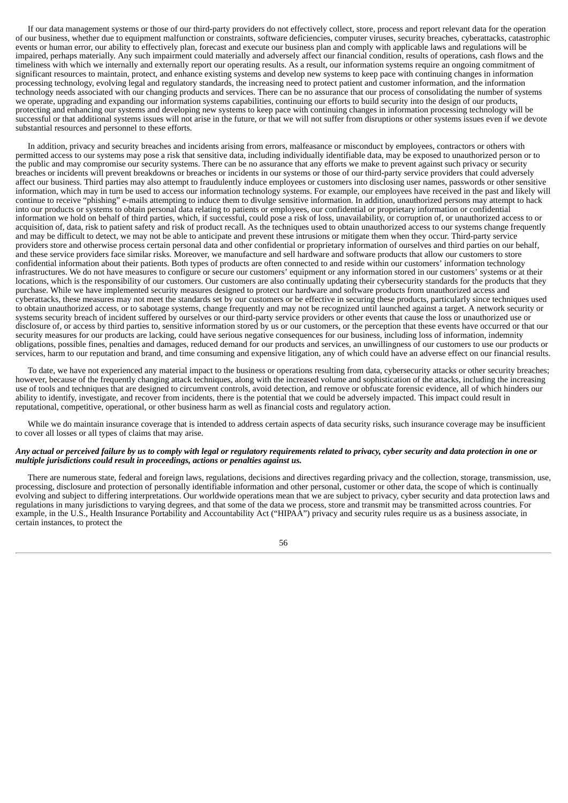If our data management systems or those of our third-party providers do not effectively collect, store, process and report relevant data for the operation of our business, whether due to equipment malfunction or constraints, software deficiencies, computer viruses, security breaches, cyberattacks, catastrophic events or human error, our ability to effectively plan, forecast and execute our business plan and comply with applicable laws and regulations will be impaired, perhaps materially. Any such impairment could materially and adversely affect our financial condition, results of operations, cash flows and the timeliness with which we internally and externally report our operating results. As a result, our information systems require an ongoing commitment of significant resources to maintain, protect, and enhance existing systems and develop new systems to keep pace with continuing changes in information processing technology, evolving legal and regulatory standards, the increasing need to protect patient and customer information, and the information technology needs associated with our changing products and services. There can be no assurance that our process of consolidating the number of systems we operate, upgrading and expanding our information systems capabilities, continuing our efforts to build security into the design of our products, protecting and enhancing our systems and developing new systems to keep pace with continuing changes in information processing technology will be successful or that additional systems issues will not arise in the future, or that we will not suffer from disruptions or other systems issues even if we devote substantial resources and personnel to these efforts.

In addition, privacy and security breaches and incidents arising from errors, malfeasance or misconduct by employees, contractors or others with permitted access to our systems may pose a risk that sensitive data, including individually identifiable data, may be exposed to unauthorized person or to the public and may compromise our security systems. There can be no assurance that any efforts we make to prevent against such privacy or security breaches or incidents will prevent breakdowns or breaches or incidents in our systems or those of our third-party service providers that could adversely affect our business. Third parties may also attempt to fraudulently induce employees or customers into disclosing user names, passwords or other sensitive information, which may in turn be used to access our information technology systems. For example, our employees have received in the past and likely will continue to receive "phishing" e-mails attempting to induce them to divulge sensitive information. In addition, unauthorized persons may attempt to hack into our products or systems to obtain personal data relating to patients or employees, our confidential or proprietary information or confidential information we hold on behalf of third parties, which, if successful, could pose a risk of loss, unavailability, or corruption of, or unauthorized access to or acquisition of, data, risk to patient safety and risk of product recall. As the techniques used to obtain unauthorized access to our systems change frequently and may be difficult to detect, we may not be able to anticipate and prevent these intrusions or mitigate them when they occur. Third-party service providers store and otherwise process certain personal data and other confidential or proprietary information of ourselves and third parties on our behalf, and these service providers face similar risks. Moreover, we manufacture and sell hardware and software products that allow our customers to store confidential information about their patients. Both types of products are often connected to and reside within our customers' information technology infrastructures. We do not have measures to configure or secure our customers' equipment or any information stored in our customers' systems or at their locations, which is the responsibility of our customers. Our customers are also continually updating their cybersecurity standards for the products that they purchase. While we have implemented security measures designed to protect our hardware and software products from unauthorized access and cyberattacks, these measures may not meet the standards set by our customers or be effective in securing these products, particularly since techniques used to obtain unauthorized access, or to sabotage systems, change frequently and may not be recognized until launched against a target. A network security or systems security breach of incident suffered by ourselves or our third-party service providers or other events that cause the loss or unauthorized use or disclosure of, or access by third parties to, sensitive information stored by us or our customers, or the perception that these events have occurred or that our security measures for our products are lacking, could have serious negative consequences for our business, including loss of information, indemnity obligations, possible fines, penalties and damages, reduced demand for our products and services, an unwillingness of our customers to use our products or services, harm to our reputation and brand, and time consuming and expensive litigation, any of which could have an adverse effect on our financial results.

To date, we have not experienced any material impact to the business or operations resulting from data, cybersecurity attacks or other security breaches; however, because of the frequently changing attack techniques, along with the increased volume and sophistication of the attacks, including the increasing use of tools and techniques that are designed to circumvent controls, avoid detection, and remove or obfuscate forensic evidence, all of which hinders our ability to identify, investigate, and recover from incidents, there is the potential that we could be adversely impacted. This impact could result in reputational, competitive, operational, or other business harm as well as financial costs and regulatory action.

While we do maintain insurance coverage that is intended to address certain aspects of data security risks, such insurance coverage may be insufficient to cover all losses or all types of claims that may arise.

#### Any actual or perceived failure by us to comply with legal or regulatory requirements related to privacy, cyber security and data protection in one or *multiple jurisdictions could result in proceedings, actions or penalties against us.*

There are numerous state, federal and foreign laws, regulations, decisions and directives regarding privacy and the collection, storage, transmission, use, processing, disclosure and protection of personally identifiable information and other personal, customer or other data, the scope of which is continually evolving and subject to differing interpretations. Our worldwide operations mean that we are subject to privacy, cyber security and data protection laws and regulations in many jurisdictions to varying degrees, and that some of the data we process, store and transmit may be transmitted across countries. For example, in the U.S., Health Insurance Portability and Accountability Act ("HIPAA") privacy and security rules require us as a business associate, in certain instances, to protect the

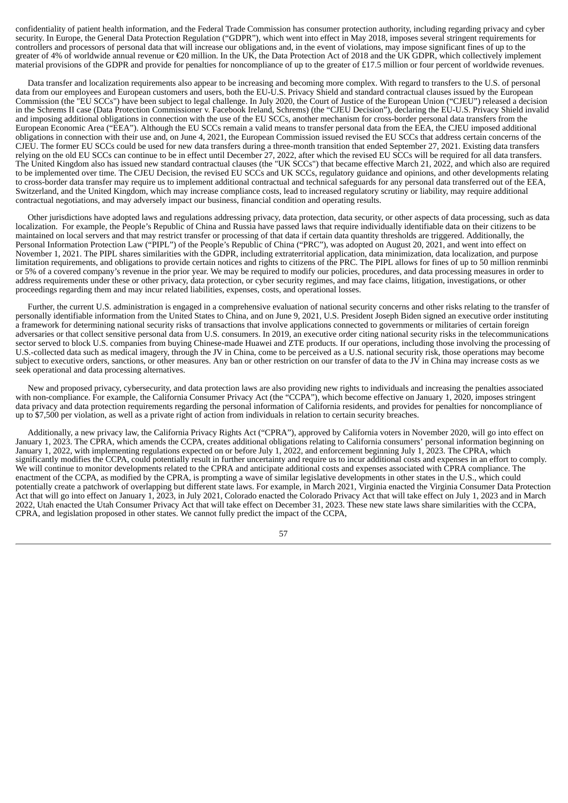confidentiality of patient health information, and the Federal Trade Commission has consumer protection authority, including regarding privacy and cyber security. In Europe, the General Data Protection Regulation ("GDPR"), which went into effect in May 2018, imposes several stringent requirements for controllers and processors of personal data that will increase our obligations and, in the event of violations, may impose significant fines of up to the greater of 4% of worldwide annual revenue or €20 million. In the UK, the Data Protection Act of 2018 and the UK GDPR, which collectively implement material provisions of the GDPR and provide for penalties for noncompliance of up to the greater of £17.5 million or four percent of worldwide revenues.

Data transfer and localization requirements also appear to be increasing and becoming more complex. With regard to transfers to the U.S. of personal data from our employees and European customers and users, both the EU-U.S. Privacy Shield and standard contractual clauses issued by the European Commission (the "EU SCCs") have been subject to legal challenge. In July 2020, the Court of Justice of the European Union ("CJEU") released a decision in the Schrems II case (Data Protection Commissioner v. Facebook Ireland, Schrems) (the "CJEU Decision"), declaring the EU-U.S. Privacy Shield invalid and imposing additional obligations in connection with the use of the EU SCCs, another mechanism for cross-border personal data transfers from the European Economic Area ("EEA"). Although the EU SCCs remain a valid means to transfer personal data from the EEA, the CJEU imposed additional obligations in connection with their use and, on June 4, 2021, the European Commission issued revised the EU SCCs that address certain concerns of the CJEU. The former EU SCCs could be used for new data transfers during a three-month transition that ended September 27, 2021. Existing data transfers relying on the old EU SCCs can continue to be in effect until December 27, 2022, after which the revised EU SCCs will be required for all data transfers. The United Kingdom also has issued new standard contractual clauses (the "UK SCCs") that became effective March 21, 2022, and which also are required to be implemented over time. The CJEU Decision, the revised EU SCCs and UK SCCs, regulatory guidance and opinions, and other developments relating to cross-border data transfer may require us to implement additional contractual and technical safeguards for any personal data transferred out of the EEA, Switzerland, and the United Kingdom, which may increase compliance costs, lead to increased regulatory scrutiny or liability, may require additional contractual negotiations, and may adversely impact our business, financial condition and operating results.

Other jurisdictions have adopted laws and regulations addressing privacy, data protection, data security, or other aspects of data processing, such as data localization. For example, the People's Republic of China and Russia have passed laws that require individually identifiable data on their citizens to be maintained on local servers and that may restrict transfer or processing of that data if certain data quantity thresholds are triggered. Additionally, the Personal Information Protection Law ("PIPL") of the People's Republic of China ("PRC"), was adopted on August 20, 2021, and went into effect on November 1, 2021. The PIPL shares similarities with the GDPR, including extraterritorial application, data minimization, data localization, and purpose limitation requirements, and obligations to provide certain notices and rights to citizens of the PRC. The PIPL allows for fines of up to 50 million renminbi or 5% of a covered company's revenue in the prior year. We may be required to modify our policies, procedures, and data processing measures in order to address requirements under these or other privacy, data protection, or cyber security regimes, and may face claims, litigation, investigations, or other proceedings regarding them and may incur related liabilities, expenses, costs, and operational losses.

Further, the current U.S. administration is engaged in a comprehensive evaluation of national security concerns and other risks relating to the transfer of personally identifiable information from the United States to China, and on June 9, 2021, U.S. President Joseph Biden signed an executive order instituting a framework for determining national security risks of transactions that involve applications connected to governments or militaries of certain foreign adversaries or that collect sensitive personal data from U.S. consumers. In 2019, an executive order citing national security risks in the telecommunications sector served to block U.S. companies from buying Chinese-made Huawei and ZTE products. If our operations, including those involving the processing of U.S.-collected data such as medical imagery, through the JV in China, come to be perceived as a U.S. national security risk, those operations may become subject to executive orders, sanctions, or other measures. Any ban or other restriction on our transfer of data to the JV in China may increase costs as we seek operational and data processing alternatives.

New and proposed privacy, cybersecurity, and data protection laws are also providing new rights to individuals and increasing the penalties associated with non-compliance. For example, the California Consumer Privacy Act (the "CCPA"), which become effective on January 1, 2020, imposes stringent data privacy and data protection requirements regarding the personal information of California residents, and provides for penalties for noncompliance of up to \$7,500 per violation, as well as a private right of action from individuals in relation to certain security breaches.

Additionally, a new privacy law, the California Privacy Rights Act ("CPRA"), approved by California voters in November 2020, will go into effect on January 1, 2023. The CPRA, which amends the CCPA, creates additional obligations relating to California consumers' personal information beginning on January 1, 2022, with implementing regulations expected on or before July 1, 2022, and enforcement beginning July 1, 2023. The CPRA, which significantly modifies the CCPA, could potentially result in further uncertainty and require us to incur additional costs and expenses in an effort to comply. We will continue to monitor developments related to the CPRA and anticipate additional costs and expenses associated with CPRA compliance. The enactment of the CCPA, as modified by the CPRA, is prompting a wave of similar legislative developments in other states in the U.S., which could potentially create a patchwork of overlapping but different state laws. For example, in March 2021, Virginia enacted the Virginia Consumer Data Protection Act that will go into effect on January 1, 2023, in July 2021, Colorado enacted the Colorado Privacy Act that will take effect on July 1, 2023 and in March 2022, Utah enacted the Utah Consumer Privacy Act that will take effect on December 31, 2023. These new state laws share similarities with the CCPA, CPRA, and legislation proposed in other states. We cannot fully predict the impact of the CCPA,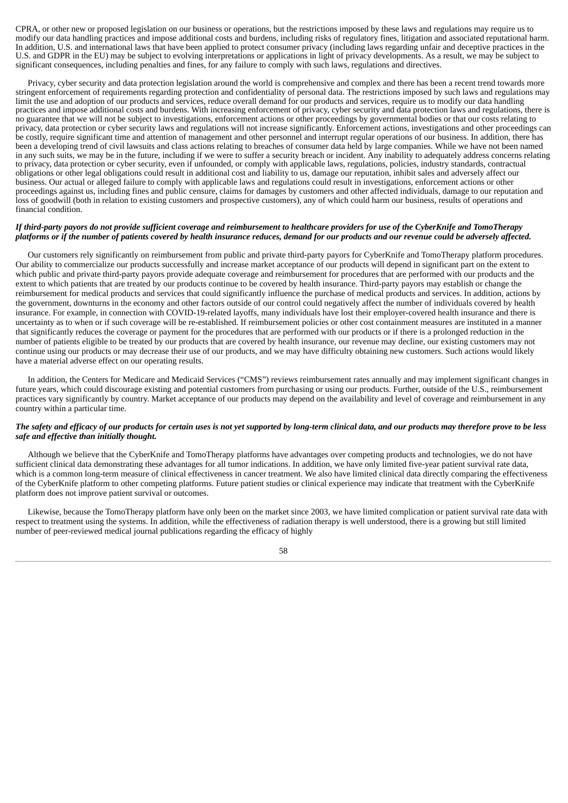CPRA, or other new or proposed legislation on our business or operations, but the restrictions imposed by these laws and regulations may require us to modify our data handling practices and impose additional costs and burdens, including risks of regulatory fines, litigation and associated reputational harm. In addition, U.S. and international laws that have been applied to protect consumer privacy (including laws regarding unfair and deceptive practices in the U.S. and GDPR in the EU) may be subject to evolving interpretations or applications in light of privacy developments. As a result, we may be subject to significant consequences, including penalties and fines, for any failure to comply with such laws, regulations and directives.

Privacy, cyber security and data protection legislation around the world is comprehensive and complex and there has been a recent trend towards more stringent enforcement of requirements regarding protection and confidentiality of personal data. The restrictions imposed by such laws and regulations may limit the use and adoption of our products and services, reduce overall demand for our products and services, require us to modify our data handling practices and impose additional costs and burdens. With increasing enforcement of privacy, cyber security and data protection laws and regulations, there is no guarantee that we will not be subject to investigations, enforcement actions or other proceedings by governmental bodies or that our costs relating to privacy, data protection or cyber security laws and regulations will not increase significantly. Enforcement actions, investigations and other proceedings can be costly, require significant time and attention of management and other personnel and interrupt regular operations of our business. In addition, there has been a developing trend of civil lawsuits and class actions relating to breaches of consumer data held by large companies. While we have not been named in any such suits, we may be in the future, including if we were to suffer a security breach or incident. Any inability to adequately address concerns relating to privacy, data protection or cyber security, even if unfounded, or comply with applicable laws, regulations, policies, industry standards, contractual obligations or other legal obligations could result in additional cost and liability to us, damage our reputation, inhibit sales and adversely affect our business. Our actual or alleged failure to comply with applicable laws and regulations could result in investigations, enforcement actions or other proceedings against us, including fines and public censure, claims for damages by customers and other affected individuals, damage to our reputation and loss of goodwill (both in relation to existing customers and prospective customers), any of which could harm our business, results of operations and financial condition.

## If third-party payors do not provide sufficient coverage and reimbursement to healthcare providers for use of the CyberKnife and TomoTherapy platforms or if the number of patients covered by health insurance reduces, demand for our products and our revenue could be adversely affected.

Our customers rely significantly on reimbursement from public and private third-party payors for CyberKnife and TomoTherapy platform procedures. Our ability to commercialize our products successfully and increase market acceptance of our products will depend in significant part on the extent to which public and private third-party payors provide adequate coverage and reimbursement for procedures that are performed with our products and the extent to which patients that are treated by our products continue to be covered by health insurance. Third-party payors may establish or change the reimbursement for medical products and services that could significantly influence the purchase of medical products and services. In addition, actions by the government, downturns in the economy and other factors outside of our control could negatively affect the number of individuals covered by health insurance. For example, in connection with COVID-19-related layoffs, many individuals have lost their employer-covered health insurance and there is uncertainty as to when or if such coverage will be re-established. If reimbursement policies or other cost containment measures are instituted in a manner that significantly reduces the coverage or payment for the procedures that are performed with our products or if there is a prolonged reduction in the number of patients eligible to be treated by our products that are covered by health insurance, our revenue may decline, our existing customers may not continue using our products or may decrease their use of our products, and we may have difficulty obtaining new customers. Such actions would likely have a material adverse effect on our operating results.

In addition, the Centers for Medicare and Medicaid Services ("CMS") reviews reimbursement rates annually and may implement significant changes in future years, which could discourage existing and potential customers from purchasing or using our products. Further, outside of the U.S., reimbursement practices vary significantly by country. Market acceptance of our products may depend on the availability and level of coverage and reimbursement in any country within a particular time.

## The safety and efficacy of our products for certain uses is not yet supported by long-term clinical data, and our products may therefore prove to be less *safe and effective than initially thought.*

Although we believe that the CyberKnife and TomoTherapy platforms have advantages over competing products and technologies, we do not have sufficient clinical data demonstrating these advantages for all tumor indications. In addition, we have only limited five-year patient survival rate data, which is a common long-term measure of clinical effectiveness in cancer treatment. We also have limited clinical data directly comparing the effectiveness of the CyberKnife platform to other competing platforms. Future patient studies or clinical experience may indicate that treatment with the CyberKnife platform does not improve patient survival or outcomes.

Likewise, because the TomoTherapy platform have only been on the market since 2003, we have limited complication or patient survival rate data with respect to treatment using the systems. In addition, while the effectiveness of radiation therapy is well understood, there is a growing but still limited number of peer‑reviewed medical journal publications regarding the efficacy of highly

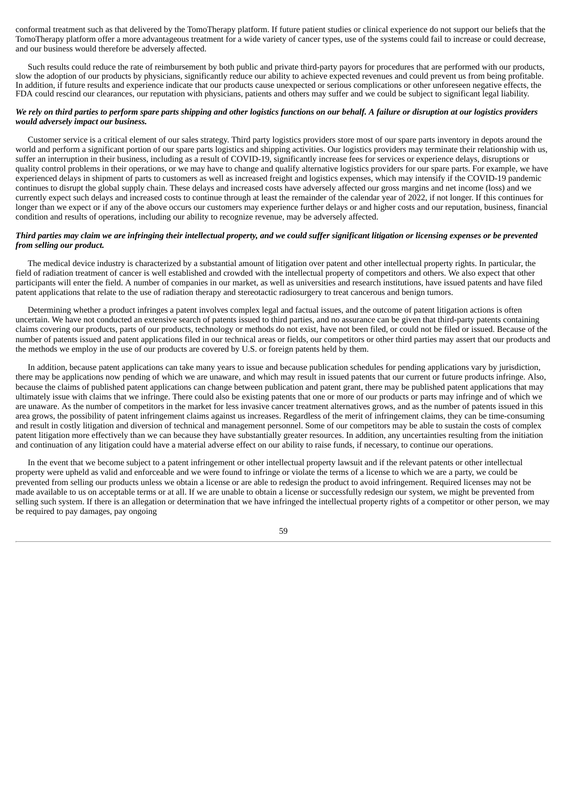conformal treatment such as that delivered by the TomoTherapy platform. If future patient studies or clinical experience do not support our beliefs that the TomoTherapy platform offer a more advantageous treatment for a wide variety of cancer types, use of the systems could fail to increase or could decrease, and our business would therefore be adversely affected.

Such results could reduce the rate of reimbursement by both public and private third-party payors for procedures that are performed with our products, slow the adoption of our products by physicians, significantly reduce our ability to achieve expected revenues and could prevent us from being profitable. In addition, if future results and experience indicate that our products cause unexpected or serious complications or other unforeseen negative effects, the FDA could rescind our clearances, our reputation with physicians, patients and others may suffer and we could be subject to significant legal liability.

## We rely on third parties to perform spare parts shipping and other logistics functions on our behalf. A failure or disruption at our logistics providers *would adversely impact our business.*

Customer service is a critical element of our sales strategy. Third party logistics providers store most of our spare parts inventory in depots around the world and perform a significant portion of our spare parts logistics and shipping activities. Our logistics providers may terminate their relationship with us, suffer an interruption in their business, including as a result of COVID-19, significantly increase fees for services or experience delays, disruptions or quality control problems in their operations, or we may have to change and qualify alternative logistics providers for our spare parts. For example, we have experienced delays in shipment of parts to customers as well as increased freight and logistics expenses, which may intensify if the COVID-19 pandemic continues to disrupt the global supply chain. These delays and increased costs have adversely affected our gross margins and net income (loss) and we currently expect such delays and increased costs to continue through at least the remainder of the calendar year of 2022, if not longer. If this continues for longer than we expect or if any of the above occurs our customers may experience further delays or and higher costs and our reputation, business, financial condition and results of operations, including our ability to recognize revenue, may be adversely affected.

# Third parties may claim we are infringing their intellectual property, and we could suffer significant litigation or licensing expenses or be prevented *from selling our product.*

The medical device industry is characterized by a substantial amount of litigation over patent and other intellectual property rights. In particular, the field of radiation treatment of cancer is well established and crowded with the intellectual property of competitors and others. We also expect that other participants will enter the field. A number of companies in our market, as well as universities and research institutions, have issued patents and have filed patent applications that relate to the use of radiation therapy and stereotactic radiosurgery to treat cancerous and benign tumors.

Determining whether a product infringes a patent involves complex legal and factual issues, and the outcome of patent litigation actions is often uncertain. We have not conducted an extensive search of patents issued to third parties, and no assurance can be given that third-party patents containing claims covering our products, parts of our products, technology or methods do not exist, have not been filed, or could not be filed or issued. Because of the number of patents issued and patent applications filed in our technical areas or fields, our competitors or other third parties may assert that our products and the methods we employ in the use of our products are covered by U.S. or foreign patents held by them.

In addition, because patent applications can take many years to issue and because publication schedules for pending applications vary by jurisdiction, there may be applications now pending of which we are unaware, and which may result in issued patents that our current or future products infringe. Also, because the claims of published patent applications can change between publication and patent grant, there may be published patent applications that may ultimately issue with claims that we infringe. There could also be existing patents that one or more of our products or parts may infringe and of which we are unaware. As the number of competitors in the market for less invasive cancer treatment alternatives grows, and as the number of patents issued in this area grows, the possibility of patent infringement claims against us increases. Regardless of the merit of infringement claims, they can be time-consuming and result in costly litigation and diversion of technical and management personnel. Some of our competitors may be able to sustain the costs of complex patent litigation more effectively than we can because they have substantially greater resources. In addition, any uncertainties resulting from the initiation and continuation of any litigation could have a material adverse effect on our ability to raise funds, if necessary, to continue our operations.

In the event that we become subject to a patent infringement or other intellectual property lawsuit and if the relevant patents or other intellectual property were upheld as valid and enforceable and we were found to infringe or violate the terms of a license to which we are a party, we could be prevented from selling our products unless we obtain a license or are able to redesign the product to avoid infringement. Required licenses may not be made available to us on acceptable terms or at all. If we are unable to obtain a license or successfully redesign our system, we might be prevented from selling such system. If there is an allegation or determination that we have infringed the intellectual property rights of a competitor or other person, we may be required to pay damages, pay ongoing

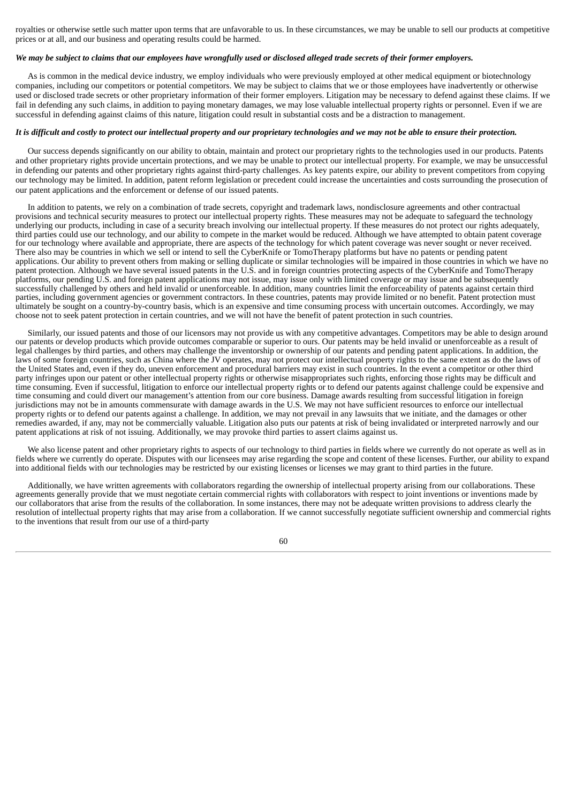royalties or otherwise settle such matter upon terms that are unfavorable to us. In these circumstances, we may be unable to sell our products at competitive prices or at all, and our business and operating results could be harmed.

# We may be subject to claims that our employees have wrongfully used or disclosed alleged trade secrets of their former employers.

As is common in the medical device industry, we employ individuals who were previously employed at other medical equipment or biotechnology companies, including our competitors or potential competitors. We may be subject to claims that we or those employees have inadvertently or otherwise used or disclosed trade secrets or other proprietary information of their former employers. Litigation may be necessary to defend against these claims. If we fail in defending any such claims, in addition to paying monetary damages, we may lose valuable intellectual property rights or personnel. Even if we are successful in defending against claims of this nature, litigation could result in substantial costs and be a distraction to management.

# It is difficult and costly to protect our intellectual property and our proprietary technologies and we may not be able to ensure their protection.

Our success depends significantly on our ability to obtain, maintain and protect our proprietary rights to the technologies used in our products. Patents and other proprietary rights provide uncertain protections, and we may be unable to protect our intellectual property. For example, we may be unsuccessful in defending our patents and other proprietary rights against third-party challenges. As key patents expire, our ability to prevent competitors from copying our technology may be limited. In addition, patent reform legislation or precedent could increase the uncertainties and costs surrounding the prosecution of our patent applications and the enforcement or defense of our issued patents.

In addition to patents, we rely on a combination of trade secrets, copyright and trademark laws, nondisclosure agreements and other contractual provisions and technical security measures to protect our intellectual property rights. These measures may not be adequate to safeguard the technology underlying our products, including in case of a security breach involving our intellectual property. If these measures do not protect our rights adequately, third parties could use our technology, and our ability to compete in the market would be reduced. Although we have attempted to obtain patent coverage for our technology where available and appropriate, there are aspects of the technology for which patent coverage was never sought or never received. There also may be countries in which we sell or intend to sell the CyberKnife or TomoTherapy platforms but have no patents or pending patent applications. Our ability to prevent others from making or selling duplicate or similar technologies will be impaired in those countries in which we have no patent protection. Although we have several issued patents in the U.S. and in foreign countries protecting aspects of the CyberKnife and TomoTherapy platforms, our pending U.S. and foreign patent applications may not issue, may issue only with limited coverage or may issue and be subsequently successfully challenged by others and held invalid or unenforceable. In addition, many countries limit the enforceability of patents against certain third parties, including government agencies or government contractors. In these countries, patents may provide limited or no benefit. Patent protection must ultimately be sought on a country-by-country basis, which is an expensive and time consuming process with uncertain outcomes. Accordingly, we may choose not to seek patent protection in certain countries, and we will not have the benefit of patent protection in such countries.

Similarly, our issued patents and those of our licensors may not provide us with any competitive advantages. Competitors may be able to design around our patents or develop products which provide outcomes comparable or superior to ours. Our patents may be held invalid or unenforceable as a result of legal challenges by third parties, and others may challenge the inventorship or ownership of our patents and pending patent applications. In addition, the laws of some foreign countries, such as China where the JV operates, may not protect our intellectual property rights to the same extent as do the laws of the United States and, even if they do, uneven enforcement and procedural barriers may exist in such countries. In the event a competitor or other third party infringes upon our patent or other intellectual property rights or otherwise misappropriates such rights, enforcing those rights may be difficult and time consuming. Even if successful, litigation to enforce our intellectual property rights or to defend our patents against challenge could be expensive and time consuming and could divert our management's attention from our core business. Damage awards resulting from successful litigation in foreign jurisdictions may not be in amounts commensurate with damage awards in the U.S. We may not have sufficient resources to enforce our intellectual property rights or to defend our patents against a challenge. In addition, we may not prevail in any lawsuits that we initiate, and the damages or other remedies awarded, if any, may not be commercially valuable. Litigation also puts our patents at risk of being invalidated or interpreted narrowly and our patent applications at risk of not issuing. Additionally, we may provoke third parties to assert claims against us.

We also license patent and other proprietary rights to aspects of our technology to third parties in fields where we currently do not operate as well as in fields where we currently do operate. Disputes with our licensees may arise regarding the scope and content of these licenses. Further, our ability to expand into additional fields with our technologies may be restricted by our existing licenses or licenses we may grant to third parties in the future.

Additionally, we have written agreements with collaborators regarding the ownership of intellectual property arising from our collaborations. These agreements generally provide that we must negotiate certain commercial rights with collaborators with respect to joint inventions or inventions made by our collaborators that arise from the results of the collaboration. In some instances, there may not be adequate written provisions to address clearly the resolution of intellectual property rights that may arise from a collaboration. If we cannot successfully negotiate sufficient ownership and commercial rights to the inventions that result from our use of a third-party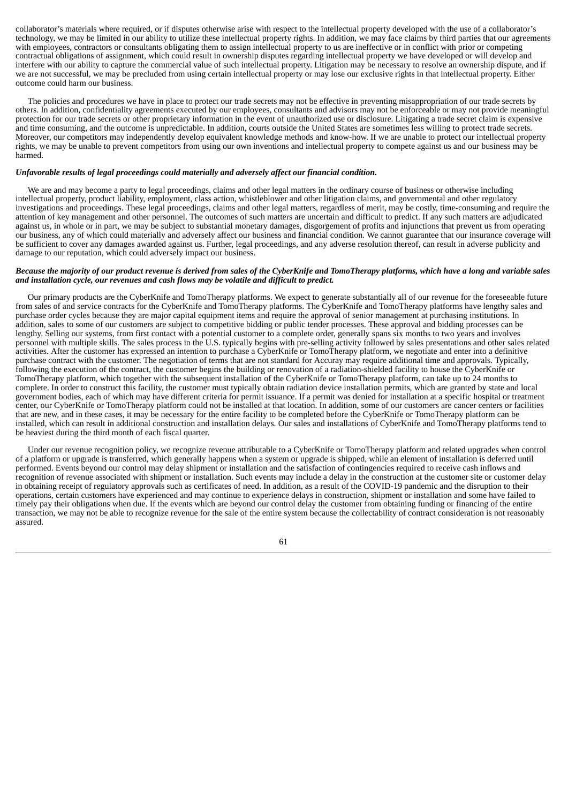collaborator's materials where required, or if disputes otherwise arise with respect to the intellectual property developed with the use of a collaborator's technology, we may be limited in our ability to utilize these intellectual property rights. In addition, we may face claims by third parties that our agreements with employees, contractors or consultants obligating them to assign intellectual property to us are ineffective or in conflict with prior or competing contractual obligations of assignment, which could result in ownership disputes regarding intellectual property we have developed or will develop and interfere with our ability to capture the commercial value of such intellectual property. Litigation may be necessary to resolve an ownership dispute, and if we are not successful, we may be precluded from using certain intellectual property or may lose our exclusive rights in that intellectual property. Either outcome could harm our business.

The policies and procedures we have in place to protect our trade secrets may not be effective in preventing misappropriation of our trade secrets by others. In addition, confidentiality agreements executed by our employees, consultants and advisors may not be enforceable or may not provide meaningful protection for our trade secrets or other proprietary information in the event of unauthorized use or disclosure. Litigating a trade secret claim is expensive and time consuming, and the outcome is unpredictable. In addition, courts outside the United States are sometimes less willing to protect trade secrets. Moreover, our competitors may independently develop equivalent knowledge methods and know‑how. If we are unable to protect our intellectual property rights, we may be unable to prevent competitors from using our own inventions and intellectual property to compete against us and our business may be harmed.

# *Unfavorable results of legal proceedings could materially and adversely affect our financial condition.*

We are and may become a party to legal proceedings, claims and other legal matters in the ordinary course of business or otherwise including intellectual property, product liability, employment, class action, whistleblower and other litigation claims, and governmental and other regulatory investigations and proceedings. These legal proceedings, claims and other legal matters, regardless of merit, may be costly, time-consuming and require the attention of key management and other personnel. The outcomes of such matters are uncertain and difficult to predict. If any such matters are adjudicated against us, in whole or in part, we may be subject to substantial monetary damages, disgorgement of profits and injunctions that prevent us from operating our business, any of which could materially and adversely affect our business and financial condition. We cannot guarantee that our insurance coverage will be sufficient to cover any damages awarded against us. Further, legal proceedings, and any adverse resolution thereof, can result in adverse publicity and damage to our reputation, which could adversely impact our business.

## Because the majority of our product revenue is derived from sales of the CyberKnife and TomoTherapy platforms, which have a long and variable sales *and installation cycle, our revenues and cash flows may be volatile and difficult to predict.*

Our primary products are the CyberKnife and TomoTherapy platforms. We expect to generate substantially all of our revenue for the foreseeable future from sales of and service contracts for the CyberKnife and TomoTherapy platforms. The CyberKnife and TomoTherapy platforms have lengthy sales and purchase order cycles because they are major capital equipment items and require the approval of senior management at purchasing institutions. In addition, sales to some of our customers are subject to competitive bidding or public tender processes. These approval and bidding processes can be lengthy. Selling our systems, from first contact with a potential customer to a complete order, generally spans six months to two years and involves personnel with multiple skills. The sales process in the U.S. typically begins with pre‑selling activity followed by sales presentations and other sales related activities. After the customer has expressed an intention to purchase a CyberKnife or TomoTherapy platform, we negotiate and enter into a definitive purchase contract with the customer. The negotiation of terms that are not standard for Accuray may require additional time and approvals. Typically, following the execution of the contract, the customer begins the building or renovation of a radiation-shielded facility to house the CyberKnife or TomoTherapy platform, which together with the subsequent installation of the CyberKnife or TomoTherapy platform, can take up to 24 months to complete. In order to construct this facility, the customer must typically obtain radiation device installation permits, which are granted by state and local government bodies, each of which may have different criteria for permit issuance. If a permit was denied for installation at a specific hospital or treatment center, our CyberKnife or TomoTherapy platform could not be installed at that location. In addition, some of our customers are cancer centers or facilities that are new, and in these cases, it may be necessary for the entire facility to be completed before the CyberKnife or TomoTherapy platform can be installed, which can result in additional construction and installation delays. Our sales and installations of CyberKnife and TomoTherapy platforms tend to be heaviest during the third month of each fiscal quarter.

Under our revenue recognition policy, we recognize revenue attributable to a CyberKnife or TomoTherapy platform and related upgrades when control of a platform or upgrade is transferred, which generally happens when a system or upgrade is shipped, while an element of installation is deferred until performed. Events beyond our control may delay shipment or installation and the satisfaction of contingencies required to receive cash inflows and recognition of revenue associated with shipment or installation. Such events may include a delay in the construction at the customer site or customer delay in obtaining receipt of regulatory approvals such as certificates of need. In addition, as a result of the COVID-19 pandemic and the disruption to their operations, certain customers have experienced and may continue to experience delays in construction, shipment or installation and some have failed to timely pay their obligations when due. If the events which are beyond our control delay the customer from obtaining funding or financing of the entire transaction, we may not be able to recognize revenue for the sale of the entire system because the collectability of contract consideration is not reasonably assured.

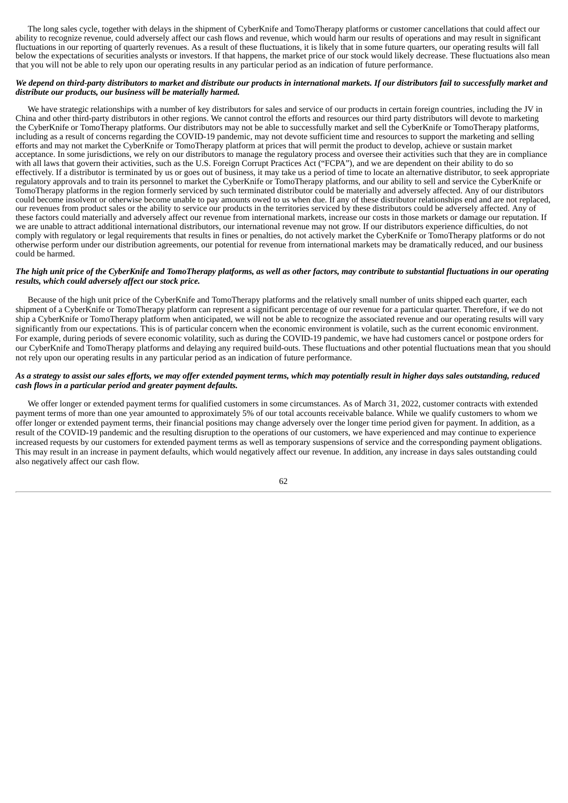The long sales cycle, together with delays in the shipment of CyberKnife and TomoTherapy platforms or customer cancellations that could affect our ability to recognize revenue, could adversely affect our cash flows and revenue, which would harm our results of operations and may result in significant fluctuations in our reporting of quarterly revenues. As a result of these fluctuations, it is likely that in some future quarters, our operating results will fall below the expectations of securities analysts or investors. If that happens, the market price of our stock would likely decrease. These fluctuations also mean that you will not be able to rely upon our operating results in any particular period as an indication of future performance.

### We depend on third-party distributors to market and distribute our products in international markets. If our distributors fail to successfully market and *distribute our products, our business will be materially harmed.*

We have strategic relationships with a number of key distributors for sales and service of our products in certain foreign countries, including the JV in China and other third-party distributors in other regions. We cannot control the efforts and resources our third party distributors will devote to marketing the CyberKnife or TomoTherapy platforms. Our distributors may not be able to successfully market and sell the CyberKnife or TomoTherapy platforms, including as a result of concerns regarding the COVID-19 pandemic, may not devote sufficient time and resources to support the marketing and selling efforts and may not market the CyberKnife or TomoTherapy platform at prices that will permit the product to develop, achieve or sustain market acceptance. In some jurisdictions, we rely on our distributors to manage the regulatory process and oversee their activities such that they are in compliance with all laws that govern their activities, such as the U.S. Foreign Corrupt Practices Act ("FCPA"), and we are dependent on their ability to do so effectively. If a distributor is terminated by us or goes out of business, it may take us a period of time to locate an alternative distributor, to seek appropriate regulatory approvals and to train its personnel to market the CyberKnife or TomoTherapy platforms, and our ability to sell and service the CyberKnife or TomoTherapy platforms in the region formerly serviced by such terminated distributor could be materially and adversely affected. Any of our distributors could become insolvent or otherwise become unable to pay amounts owed to us when due. If any of these distributor relationships end and are not replaced, our revenues from product sales or the ability to service our products in the territories serviced by these distributors could be adversely affected. Any of these factors could materially and adversely affect our revenue from international markets, increase our costs in those markets or damage our reputation. If we are unable to attract additional international distributors, our international revenue may not grow. If our distributors experience difficulties, do not comply with regulatory or legal requirements that results in fines or penalties, do not actively market the CyberKnife or TomoTherapy platforms or do not otherwise perform under our distribution agreements, our potential for revenue from international markets may be dramatically reduced, and our business could be harmed.

### The high unit price of the CyberKnife and TomoTherapy platforms, as well as other factors, may contribute to substantial fluctuations in our operating *results, which could adversely affect our stock price.*

Because of the high unit price of the CyberKnife and TomoTherapy platforms and the relatively small number of units shipped each quarter, each shipment of a CyberKnife or TomoTherapy platform can represent a significant percentage of our revenue for a particular quarter. Therefore, if we do not ship a CyberKnife or TomoTherapy platform when anticipated, we will not be able to recognize the associated revenue and our operating results will vary significantly from our expectations. This is of particular concern when the economic environment is volatile, such as the current economic environment. For example, during periods of severe economic volatility, such as during the COVID-19 pandemic, we have had customers cancel or postpone orders for our CyberKnife and TomoTherapy platforms and delaying any required build‑outs. These fluctuations and other potential fluctuations mean that you should not rely upon our operating results in any particular period as an indication of future performance.

## As a strategy to assist our sales efforts, we may offer extended payment terms, which may potentially result in higher days sales outstanding, reduced *cash flows in a particular period and greater payment defaults.*

We offer longer or extended payment terms for qualified customers in some circumstances. As of March 31, 2022, customer contracts with extended payment terms of more than one year amounted to approximately 5% of our total accounts receivable balance. While we qualify customers to whom we offer longer or extended payment terms, their financial positions may change adversely over the longer time period given for payment. In addition, as a result of the COVID-19 pandemic and the resulting disruption to the operations of our customers, we have experienced and may continue to experience increased requests by our customers for extended payment terms as well as temporary suspensions of service and the corresponding payment obligations. This may result in an increase in payment defaults, which would negatively affect our revenue. In addition, any increase in days sales outstanding could also negatively affect our cash flow.

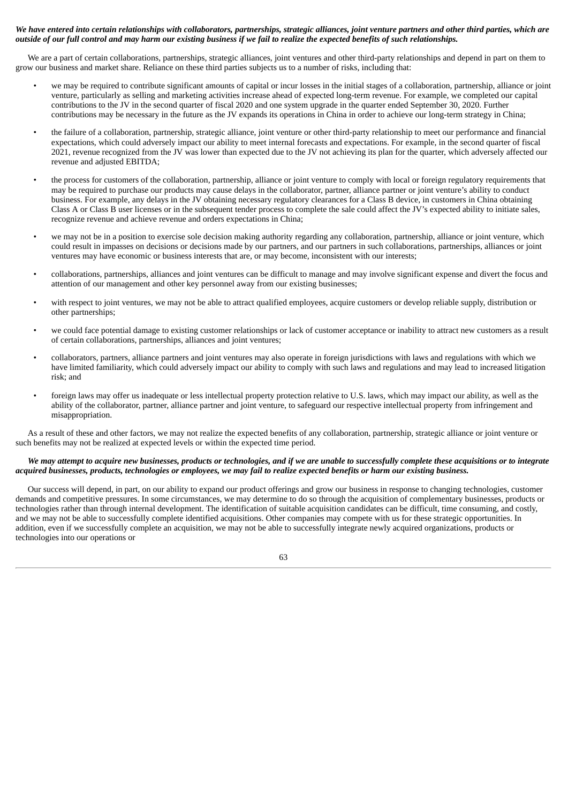# We have entered into certain relationships with collaborators, partnerships, strategic alliances, ioint venture partners and other third parties, which are outside of our full control and may harm our existing business if we fail to realize the expected benefits of such relationships.

We are a part of certain collaborations, partnerships, strategic alliances, joint ventures and other third-party relationships and depend in part on them to grow our business and market share. Reliance on these third parties subjects us to a number of risks, including that:

- we may be required to contribute significant amounts of capital or incur losses in the initial stages of a collaboration, partnership, alliance or joint venture, particularly as selling and marketing activities increase ahead of expected long-term revenue. For example, we completed our capital contributions to the JV in the second quarter of fiscal 2020 and one system upgrade in the quarter ended September 30, 2020. Further contributions may be necessary in the future as the JV expands its operations in China in order to achieve our long-term strategy in China;
- the failure of a collaboration, partnership, strategic alliance, joint venture or other third-party relationship to meet our performance and financial expectations, which could adversely impact our ability to meet internal forecasts and expectations. For example, in the second quarter of fiscal 2021, revenue recognized from the JV was lower than expected due to the JV not achieving its plan for the quarter, which adversely affected our revenue and adjusted EBITDA;
- the process for customers of the collaboration, partnership, alliance or joint venture to comply with local or foreign regulatory requirements that may be required to purchase our products may cause delays in the collaborator, partner, alliance partner or joint venture's ability to conduct business. For example, any delays in the JV obtaining necessary regulatory clearances for a Class B device, in customers in China obtaining Class A or Class B user licenses or in the subsequent tender process to complete the sale could affect the JV's expected ability to initiate sales, recognize revenue and achieve revenue and orders expectations in China;
- we may not be in a position to exercise sole decision making authority regarding any collaboration, partnership, alliance or joint venture, which could result in impasses on decisions or decisions made by our partners, and our partners in such collaborations, partnerships, alliances or joint ventures may have economic or business interests that are, or may become, inconsistent with our interests;
- collaborations, partnerships, alliances and joint ventures can be difficult to manage and may involve significant expense and divert the focus and attention of our management and other key personnel away from our existing businesses;
- with respect to joint ventures, we may not be able to attract qualified employees, acquire customers or develop reliable supply, distribution or other partnerships;
- we could face potential damage to existing customer relationships or lack of customer acceptance or inability to attract new customers as a result of certain collaborations, partnerships, alliances and joint ventures;
- collaborators, partners, alliance partners and joint ventures may also operate in foreign jurisdictions with laws and regulations with which we have limited familiarity, which could adversely impact our ability to comply with such laws and regulations and may lead to increased litigation risk; and
- foreign laws may offer us inadequate or less intellectual property protection relative to U.S. laws, which may impact our ability, as well as the ability of the collaborator, partner, alliance partner and joint venture, to safeguard our respective intellectual property from infringement and misappropriation.

As a result of these and other factors, we may not realize the expected benefits of any collaboration, partnership, strategic alliance or joint venture or such benefits may not be realized at expected levels or within the expected time period.

# We may attempt to acquire new businesses, products or technologies, and if we are unable to successfully complete these acquisitions or to integrate acquired businesses, products, technologies or employees, we may fail to realize expected benefits or harm our existing business.

Our success will depend, in part, on our ability to expand our product offerings and grow our business in response to changing technologies, customer demands and competitive pressures. In some circumstances, we may determine to do so through the acquisition of complementary businesses, products or technologies rather than through internal development. The identification of suitable acquisition candidates can be difficult, time consuming, and costly, and we may not be able to successfully complete identified acquisitions. Other companies may compete with us for these strategic opportunities. In addition, even if we successfully complete an acquisition, we may not be able to successfully integrate newly acquired organizations, products or technologies into our operations or

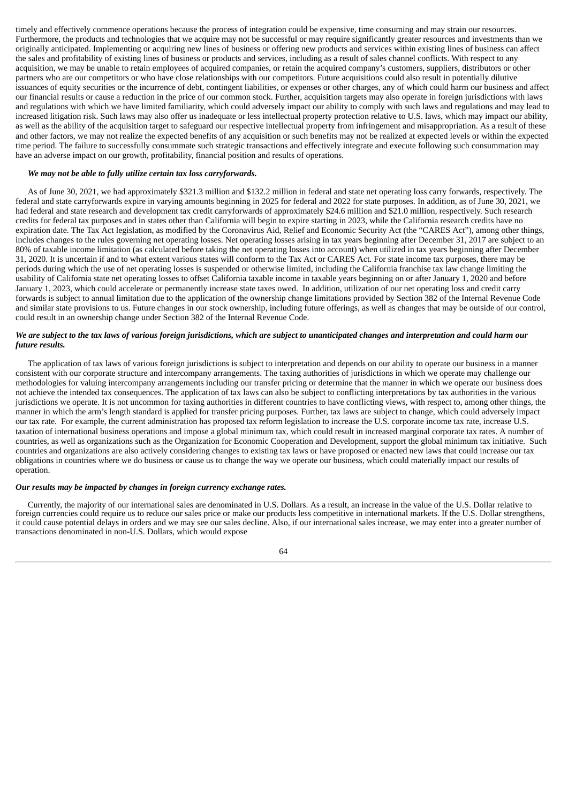timely and effectively commence operations because the process of integration could be expensive, time consuming and may strain our resources. Furthermore, the products and technologies that we acquire may not be successful or may require significantly greater resources and investments than we originally anticipated. Implementing or acquiring new lines of business or offering new products and services within existing lines of business can affect the sales and profitability of existing lines of business or products and services, including as a result of sales channel conflicts. With respect to any acquisition, we may be unable to retain employees of acquired companies, or retain the acquired company's customers, suppliers, distributors or other partners who are our competitors or who have close relationships with our competitors. Future acquisitions could also result in potentially dilutive issuances of equity securities or the incurrence of debt, contingent liabilities, or expenses or other charges, any of which could harm our business and affect our financial results or cause a reduction in the price of our common stock. Further, acquisition targets may also operate in foreign jurisdictions with laws and regulations with which we have limited familiarity, which could adversely impact our ability to comply with such laws and regulations and may lead to increased litigation risk. Such laws may also offer us inadequate or less intellectual property protection relative to U.S. laws, which may impact our ability, as well as the ability of the acquisition target to safeguard our respective intellectual property from infringement and misappropriation. As a result of these and other factors, we may not realize the expected benefits of any acquisition or such benefits may not be realized at expected levels or within the expected time period. The failure to successfully consummate such strategic transactions and effectively integrate and execute following such consummation may have an adverse impact on our growth, profitability, financial position and results of operations.

# *We may not be able to fully utilize certain tax loss carryforwards.*

As of June 30, 2021, we had approximately \$321.3 million and \$132.2 million in federal and state net operating loss carry forwards, respectively. The federal and state carryforwards expire in varying amounts beginning in 2025 for federal and 2022 for state purposes. In addition, as of June 30, 2021, we had federal and state research and development tax credit carryforwards of approximately \$24.6 million and \$21.0 million, respectively. Such research credits for federal tax purposes and in states other than California will begin to expire starting in 2023, while the California research credits have no expiration date. The Tax Act legislation, as modified by the Coronavirus Aid, Relief and Economic Security Act (the "CARES Act"), among other things, includes changes to the rules governing net operating losses. Net operating losses arising in tax years beginning after December 31, 2017 are subject to an 80% of taxable income limitation (as calculated before taking the net operating losses into account) when utilized in tax years beginning after December 31, 2020. It is uncertain if and to what extent various states will conform to the Tax Act or CARES Act. For state income tax purposes, there may be periods during which the use of net operating losses is suspended or otherwise limited, including the California franchise tax law change limiting the usability of California state net operating losses to offset California taxable income in taxable years beginning on or after January 1, 2020 and before January 1, 2023, which could accelerate or permanently increase state taxes owed. In addition, utilization of our net operating loss and credit carry forwards is subject to annual limitation due to the application of the ownership change limitations provided by Section 382 of the Internal Revenue Code and similar state provisions to us. Future changes in our stock ownership, including future offerings, as well as changes that may be outside of our control, could result in an ownership change under Section 382 of the Internal Revenue Code.

# We are subject to the tax laws of various foreign jurisdictions, which are subject to unanticipated changes and interpretation and could harm our *future results.*

The application of tax laws of various foreign jurisdictions is subject to interpretation and depends on our ability to operate our business in a manner consistent with our corporate structure and intercompany arrangements. The taxing authorities of jurisdictions in which we operate may challenge our methodologies for valuing intercompany arrangements including our transfer pricing or determine that the manner in which we operate our business does not achieve the intended tax consequences. The application of tax laws can also be subject to conflicting interpretations by tax authorities in the various jurisdictions we operate. It is not uncommon for taxing authorities in different countries to have conflicting views, with respect to, among other things, the manner in which the arm's length standard is applied for transfer pricing purposes. Further, tax laws are subject to change, which could adversely impact our tax rate. For example, the current administration has proposed tax reform legislation to increase the U.S. corporate income tax rate, increase U.S. taxation of international business operations and impose a global minimum tax, which could result in increased marginal corporate tax rates. A number of countries, as well as organizations such as the Organization for Economic Cooperation and Development, support the global minimum tax initiative. Such countries and organizations are also actively considering changes to existing tax laws or have proposed or enacted new laws that could increase our tax obligations in countries where we do business or cause us to change the way we operate our business, which could materially impact our results of operation.

## *Our results may be impacted by changes in foreign currency exchange rates.*

Currently, the majority of our international sales are denominated in U.S. Dollars. As a result, an increase in the value of the U.S. Dollar relative to foreign currencies could require us to reduce our sales price or make our products less competitive in international markets. If the U.S. Dollar strengthens, it could cause potential delays in orders and we may see our sales decline. Also, if our international sales increase, we may enter into a greater number of transactions denominated in non‑U.S. Dollars, which would expose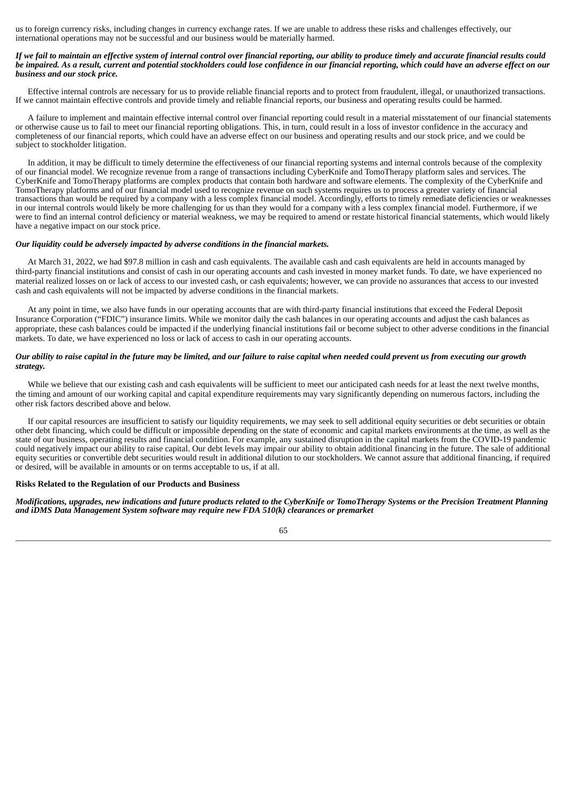us to foreign currency risks, including changes in currency exchange rates. If we are unable to address these risks and challenges effectively, our international operations may not be successful and our business would be materially harmed.

### If we fail to maintain an effective system of internal control over financial reporting, our ability to produce timely and accurate financial results could be impaired. As a result, current and potential stockholders could lose confidence in our financial reporting, which could have an adverse effect on our *business and our stock price.*

Effective internal controls are necessary for us to provide reliable financial reports and to protect from fraudulent, illegal, or unauthorized transactions. If we cannot maintain effective controls and provide timely and reliable financial reports, our business and operating results could be harmed.

A failure to implement and maintain effective internal control over financial reporting could result in a material misstatement of our financial statements or otherwise cause us to fail to meet our financial reporting obligations. This, in turn, could result in a loss of investor confidence in the accuracy and completeness of our financial reports, which could have an adverse effect on our business and operating results and our stock price, and we could be subject to stockholder litigation.

In addition, it may be difficult to timely determine the effectiveness of our financial reporting systems and internal controls because of the complexity of our financial model. We recognize revenue from a range of transactions including CyberKnife and TomoTherapy platform sales and services. The CyberKnife and TomoTherapy platforms are complex products that contain both hardware and software elements. The complexity of the CyberKnife and TomoTherapy platforms and of our financial model used to recognize revenue on such systems requires us to process a greater variety of financial transactions than would be required by a company with a less complex financial model. Accordingly, efforts to timely remediate deficiencies or weaknesses in our internal controls would likely be more challenging for us than they would for a company with a less complex financial model. Furthermore, if we were to find an internal control deficiency or material weakness, we may be required to amend or restate historical financial statements, which would likely have a negative impact on our stock price.

## *Our liquidity could be adversely impacted by adverse conditions in the financial markets.*

At March 31, 2022, we had \$97.8 million in cash and cash equivalents. The available cash and cash equivalents are held in accounts managed by third-party financial institutions and consist of cash in our operating accounts and cash invested in money market funds. To date, we have experienced no material realized losses on or lack of access to our invested cash, or cash equivalents; however, we can provide no assurances that access to our invested cash and cash equivalents will not be impacted by adverse conditions in the financial markets.

At any point in time, we also have funds in our operating accounts that are with third-party financial institutions that exceed the Federal Deposit Insurance Corporation ("FDIC") insurance limits. While we monitor daily the cash balances in our operating accounts and adjust the cash balances as appropriate, these cash balances could be impacted if the underlying financial institutions fail or become subject to other adverse conditions in the financial markets. To date, we have experienced no loss or lack of access to cash in our operating accounts.

# Our ability to raise capital in the future may be limited, and our failure to raise capital when needed could prevent us from executing our growth *strategy.*

While we believe that our existing cash and cash equivalents will be sufficient to meet our anticipated cash needs for at least the next twelve months, the timing and amount of our working capital and capital expenditure requirements may vary significantly depending on numerous factors, including the other risk factors described above and below.

If our capital resources are insufficient to satisfy our liquidity requirements, we may seek to sell additional equity securities or debt securities or obtain other debt financing, which could be difficult or impossible depending on the state of economic and capital markets environments at the time, as well as the state of our business, operating results and financial condition. For example, any sustained disruption in the capital markets from the COVID-19 pandemic could negatively impact our ability to raise capital. Our debt levels may impair our ability to obtain additional financing in the future. The sale of additional equity securities or convertible debt securities would result in additional dilution to our stockholders. We cannot assure that additional financing, if required or desired, will be available in amounts or on terms acceptable to us, if at all.

# **Risks Related to the Regulation of our Products and Business**

Modifications, uparades, new indications and future products related to the CyberKnife or TomoTherapy Systems or the Precision Treatment Plannina *and iDMS Data Management System software may require new FDA 510(k) clearances or premarket*

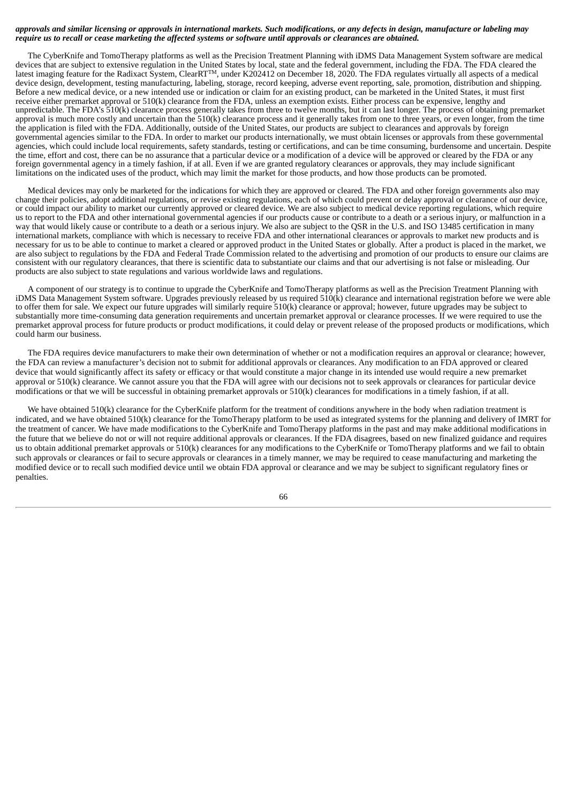### approvals and similar licensing or approvals in international markets. Such modifications, or any defects in design, manufacture or labeling may require us to recall or cease marketing the affected systems or software until approvals or clearances are obtained.

The CyberKnife and TomoTherapy platforms as well as the Precision Treatment Planning with iDMS Data Management System software are medical devices that are subject to extensive regulation in the United States by local, state and the federal government, including the FDA. The FDA cleared the latest imaging feature for the Radixact System, ClearRTTM, under K202412 on December 18, 2020. The FDA regulates virtually all aspects of a medical device design, development, testing manufacturing, labeling, storage, record keeping, adverse event reporting, sale, promotion, distribution and shipping. Before a new medical device, or a new intended use or indication or claim for an existing product, can be marketed in the United States, it must first receive either premarket approval or 510(k) clearance from the FDA, unless an exemption exists. Either process can be expensive, lengthy and unpredictable. The FDA's 510(k) clearance process generally takes from three to twelve months, but it can last longer. The process of obtaining premarket approval is much more costly and uncertain than the 510(k) clearance process and it generally takes from one to three years, or even longer, from the time the application is filed with the FDA. Additionally, outside of the United States, our products are subject to clearances and approvals by foreign governmental agencies similar to the FDA. In order to market our products internationally, we must obtain licenses or approvals from these governmental agencies, which could include local requirements, safety standards, testing or certifications, and can be time consuming, burdensome and uncertain. Despite the time, effort and cost, there can be no assurance that a particular device or a modification of a device will be approved or cleared by the FDA or any foreign governmental agency in a timely fashion, if at all. Even if we are granted regulatory clearances or approvals, they may include significant limitations on the indicated uses of the product, which may limit the market for those products, and how those products can be promoted.

Medical devices may only be marketed for the indications for which they are approved or cleared. The FDA and other foreign governments also may change their policies, adopt additional regulations, or revise existing regulations, each of which could prevent or delay approval or clearance of our device, or could impact our ability to market our currently approved or cleared device. We are also subject to medical device reporting regulations, which require us to report to the FDA and other international governmental agencies if our products cause or contribute to a death or a serious injury, or malfunction in a way that would likely cause or contribute to a death or a serious injury. We also are subject to the QSR in the U.S. and ISO 13485 certification in many international markets, compliance with which is necessary to receive FDA and other international clearances or approvals to market new products and is necessary for us to be able to continue to market a cleared or approved product in the United States or globally. After a product is placed in the market, we are also subject to regulations by the FDA and Federal Trade Commission related to the advertising and promotion of our products to ensure our claims are consistent with our regulatory clearances, that there is scientific data to substantiate our claims and that our advertising is not false or misleading. Our products are also subject to state regulations and various worldwide laws and regulations.

A component of our strategy is to continue to upgrade the CyberKnife and TomoTherapy platforms as well as the Precision Treatment Planning with iDMS Data Management System software. Upgrades previously released by us required  $510(k)$  clearance and international registration before we were able to offer them for sale. We expect our future upgrades will similarly require 510(k) clearance or approval; however, future upgrades may be subject to substantially more time-consuming data generation requirements and uncertain premarket approval or clearance processes. If we were required to use the premarket approval process for future products or product modifications, it could delay or prevent release of the proposed products or modifications, which could harm our business.

The FDA requires device manufacturers to make their own determination of whether or not a modification requires an approval or clearance; however, the FDA can review a manufacturer's decision not to submit for additional approvals or clearances. Any modification to an FDA approved or cleared device that would significantly affect its safety or efficacy or that would constitute a major change in its intended use would require a new premarket approval or 510(k) clearance. We cannot assure you that the FDA will agree with our decisions not to seek approvals or clearances for particular device modifications or that we will be successful in obtaining premarket approvals or 510(k) clearances for modifications in a timely fashion, if at all.

We have obtained 510(k) clearance for the CyberKnife platform for the treatment of conditions anywhere in the body when radiation treatment is indicated, and we have obtained 510(k) clearance for the TomoTherapy platform to be used as integrated systems for the planning and delivery of IMRT for the treatment of cancer. We have made modifications to the CyberKnife and TomoTherapy platforms in the past and may make additional modifications in the future that we believe do not or will not require additional approvals or clearances. If the FDA disagrees, based on new finalized guidance and requires us to obtain additional premarket approvals or 510(k) clearances for any modifications to the CyberKnife or TomoTherapy platforms and we fail to obtain such approvals or clearances or fail to secure approvals or clearances in a timely manner, we may be required to cease manufacturing and marketing the modified device or to recall such modified device until we obtain FDA approval or clearance and we may be subject to significant regulatory fines or penalties.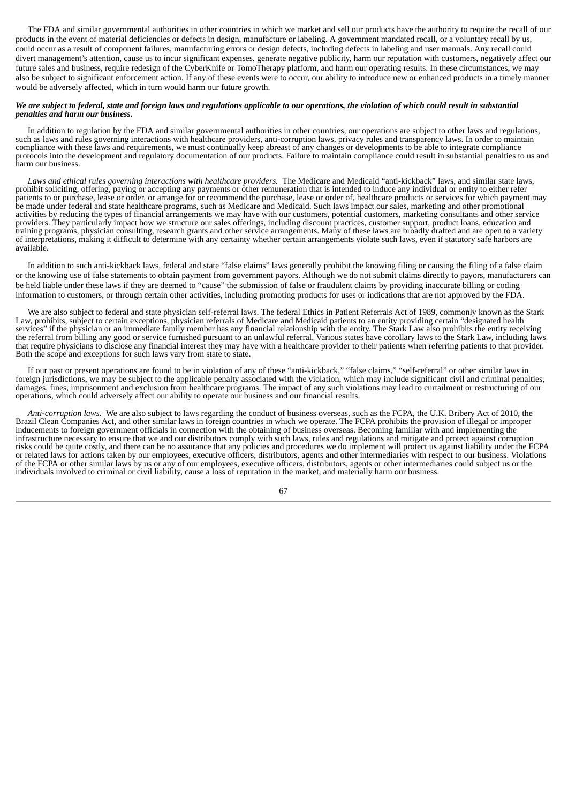The FDA and similar governmental authorities in other countries in which we market and sell our products have the authority to require the recall of our products in the event of material deficiencies or defects in design, manufacture or labeling. A government mandated recall, or a voluntary recall by us, could occur as a result of component failures, manufacturing errors or design defects, including defects in labeling and user manuals. Any recall could divert management's attention, cause us to incur significant expenses, generate negative publicity, harm our reputation with customers, negatively affect our future sales and business, require redesign of the CyberKnife or TomoTherapy platform, and harm our operating results. In these circumstances, we may also be subject to significant enforcement action. If any of these events were to occur, our ability to introduce new or enhanced products in a timely manner would be adversely affected, which in turn would harm our future growth.

#### We are subject to federal, state and foreign laws and regulations applicable to our operations, the violation of which could result in substantial *penalties and harm our business.*

In addition to regulation by the FDA and similar governmental authorities in other countries, our operations are subject to other laws and regulations, such as laws and rules governing interactions with healthcare providers, anti-corruption laws, privacy rules and transparency laws. In order to maintain compliance with these laws and requirements, we must continually keep abreast of any changes or developments to be able to integrate compliance protocols into the development and regulatory documentation of our products. Failure to maintain compliance could result in substantial penalties to us and harm our business.

*Laws and ethical rules governing interactions with healthcare providers.* The Medicare and Medicaid "anti‑kickback" laws, and similar state laws, prohibit soliciting, offering, paying or accepting any payments or other remuneration that is intended to induce any individual or entity to either refer patients to or purchase, lease or order, or arrange for or recommend the purchase, lease or order of, healthcare products or services for which payment may be made under federal and state healthcare programs, such as Medicare and Medicaid. Such laws impact our sales, marketing and other promotional activities by reducing the types of financial arrangements we may have with our customers, potential customers, marketing consultants and other service providers. They particularly impact how we structure our sales offerings, including discount practices, customer support, product loans, education and training programs, physician consulting, research grants and other service arrangements. Many of these laws are broadly drafted and are open to a variety of interpretations, making it difficult to determine with any certainty whether certain arrangements violate such laws, even if statutory safe harbors are available.

In addition to such anti-kickback laws, federal and state "false claims" laws generally prohibit the knowing filing or causing the filing of a false claim or the knowing use of false statements to obtain payment from government payors. Although we do not submit claims directly to payors, manufacturers can be held liable under these laws if they are deemed to "cause" the submission of false or fraudulent claims by providing inaccurate billing or coding information to customers, or through certain other activities, including promoting products for uses or indications that are not approved by the FDA.

We are also subject to federal and state physician self‑referral laws. The federal Ethics in Patient Referrals Act of 1989, commonly known as the Stark Law, prohibits, subject to certain exceptions, physician referrals of Medicare and Medicaid patients to an entity providing certain "designated health services" if the physician or an immediate family member has any financial relationship with the entity. The Stark Law also prohibits the entity receiving the referral from billing any good or service furnished pursuant to an unlawful referral. Various states have corollary laws to the Stark Law, including laws that require physicians to disclose any financial interest they may have with a healthcare provider to their patients when referring patients to that provider. Both the scope and exceptions for such laws vary from state to state.

If our past or present operations are found to be in violation of any of these "anti-kickback," "false claims," "self-referral" or other similar laws in foreign jurisdictions, we may be subject to the applicable penalty associated with the violation, which may include significant civil and criminal penalties, damages, fines, imprisonment and exclusion from healthcare programs. The impact of any such violations may lead to curtailment or restructuring of our operations, which could adversely affect our ability to operate our business and our financial results.

*Anti‑corruption laws.* We are also subject to laws regarding the conduct of business overseas, such as the FCPA, the U.K. Bribery Act of 2010, the Brazil Clean Companies Act, and other similar laws in foreign countries in which we operate. The FCPA prohibits the provision of illegal or improper inducements to foreign government officials in connection with the obtaining of business overseas. Becoming familiar with and implementing the infrastructure necessary to ensure that we and our distributors comply with such laws, rules and regulations and mitigate and protect against corruption risks could be quite costly, and there can be no assurance that any policies and procedures we do implement will protect us against liability under the FCPA or related laws for actions taken by our employees, executive officers, distributors, agents and other intermediaries with respect to our business. Violations of the FCPA or other similar laws by us or any of our employees, executive officers, distributors, agents or other intermediaries could subject us or the individuals involved to criminal or civil liability, cause a loss of reputation in the market, and materially harm our business.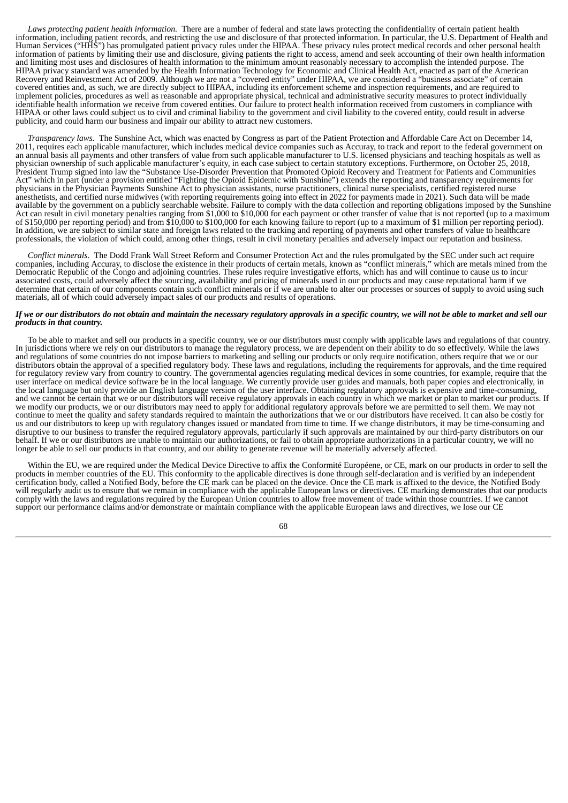*Laws protecting patient health information.* There are a number of federal and state laws protecting the confidentiality of certain patient health information, including patient records, and restricting the use and disclosure of that protected information. In particular, the U.S. Department of Health and Human Services ("HHS") has promulgated patient privacy rules under the HIPAA. These privacy rules protect medical records and other personal health information of patients by limiting their use and disclosure, giving patients the right to access, amend and seek accounting of their own health information and limiting most uses and disclosures of health information to the minimum amount reasonably necessary to accomplish the intended purpose. The HIPAA privacy standard was amended by the Health Information Technology for Economic and Clinical Health Act, enacted as part of the American Recovery and Reinvestment Act of 2009. Although we are not a "covered entity" under HIPAA, we are considered a "business associate" of certain covered entities and, as such, we are directly subject to HIPAA, including its enforcement scheme and inspection requirements, and are required to implement policies, procedures as well as reasonable and appropriate physical, technical and administrative security measures to protect individually identifiable health information we receive from covered entities. Our failure to protect health information received from customers in compliance with HIPAA or other laws could subject us to civil and criminal liability to the government and civil liability to the covered entity, could result in adverse publicity, and could harm our business and impair our ability to attract new customers.

*Transparency laws.* The Sunshine Act, which was enacted by Congress as part of the Patient Protection and Affordable Care Act on December 14, 2011, requires each applicable manufacturer, which includes medical device companies such as Accuray, to track and report to the federal government on an annual basis all payments and other transfers of value from such applicable manufacturer to U.S. licensed physicians and teaching hospitals as well as physician ownership of such applicable manufacturer's equity, in each case subject to certain statutory exceptions. Furthermore, on October 25, 2018, President Trump signed into law the "Substance Use-Disorder Prevention that Promoted Opioid Recovery and Treatment for Patients and Communities Act" which in part (under a provision entitled "Fighting the Opioid Epidemic with Sunshine") extends the reporting and transparency requirements for physicians in the Physician Payments Sunshine Act to physician assistants, nurse practitioners, clinical nurse specialists, certified registered nurse anesthetists, and certified nurse midwives (with reporting requirements going into effect in 2022 for payments made in 2021). Such data will be made available by the government on a publicly searchable website. Failure to comply with the data collection and reporting obligations imposed by the Sunshine Act can result in civil monetary penalties ranging from \$1,000 to \$10,000 for each payment or other transfer of value that is not reported (up to a maximum of \$150,000 per reporting period) and from \$10,000 to \$100,000 for each knowing failure to report (up to a maximum of \$1 million per reporting period). In addition, we are subject to similar state and foreign laws related to the tracking and reporting of payments and other transfers of value to healthcare professionals, the violation of which could, among other things, result in civil monetary penalties and adversely impact our reputation and business.

*Conflict minerals*. The Dodd Frank Wall Street Reform and Consumer Protection Act and the rules promulgated by the SEC under such act require companies, including Accuray, to disclose the existence in their products of certain metals, known as "conflict minerals," which are metals mined from the Democratic Republic of the Congo and adjoining countries. These rules require investigative efforts, which has and will continue to cause us to incur associated costs, could adversely affect the sourcing, availability and pricing of minerals used in our products and may cause reputational harm if we determine that certain of our components contain such conflict minerals or if we are unable to alter our processes or sources of supply to avoid using such materials, all of which could adversely impact sales of our products and results of operations.

#### If we or our distributors do not obtain and maintain the necessary regulatory approvals in a specific country, we will not be able to market and sell our *products in that country.*

To be able to market and sell our products in a specific country, we or our distributors must comply with applicable laws and regulations of that country. In jurisdictions where we rely on our distributors to manage the regulatory process, we are dependent on their ability to do so effectively. While the laws and regulations of some countries do not impose barriers to marketing and selling our products or only require notification, others require that we or our distributors obtain the approval of a specified regulatory body. These laws and regulations, including the requirements for approvals, and the time required for regulatory review vary from country to country. The governmental agencies regulating medical devices in some countries, for example, require that the user interface on medical device software be in the local language. We currently provide user guides and manuals, both paper copies and electronically, in the local language but only provide an English language version of the user interface. Obtaining regulatory approvals is expensive and time‑consuming, and we cannot be certain that we or our distributors will receive regulatory approvals in each country in which we market or plan to market our products. If we modify our products, we or our distributors may need to apply for additional regulatory approvals before we are permitted to sell them. We may not continue to meet the quality and safety standards required to maintain the authorizations that we or our distributors have received. It can also be costly for us and our distributors to keep up with regulatory changes issued or mandated from time to time. If we change distributors, it may be time‑consuming and disruptive to our business to transfer the required regulatory approvals, particularly if such approvals are maintained by our third-party distributors on our behalf. If we or our distributors are unable to maintain our authorizations, or fail to obtain appropriate authorizations in a particular country, we will no longer be able to sell our products in that country, and our ability to generate revenue will be materially adversely affected.

Within the EU, we are required under the Medical Device Directive to affix the Conformité Européene, or CE, mark on our products in order to sell the products in member countries of the EU. This conformity to the applicable directives is done through self-declaration and is verified by an independent certification body, called a Notified Body, before the CE mark can be placed on the device. Once the CE mark is affixed to the device, the Notified Body will regularly audit us to ensure that we remain in compliance with the applicable European laws or directives. CE marking demonstrates that our products comply with the laws and regulations required by the European Union countries to allow free movement of trade within those countries. If we cannot support our performance claims and/or demonstrate or maintain compliance with the applicable European laws and directives, we lose our CE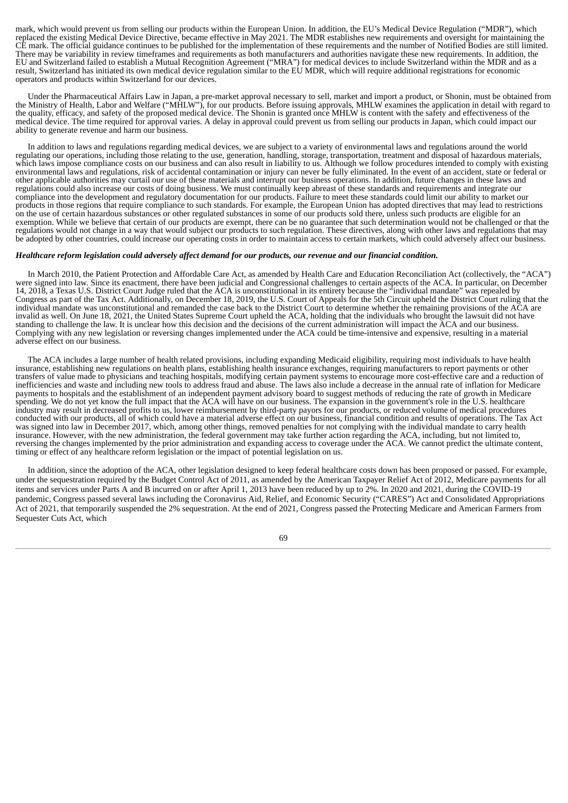mark, which would prevent us from selling our products within the European Union. In addition, the EU's Medical Device Regulation ("MDR"), which replaced the existing Medical Device Directive, became effective in May 2021. The MDR establishes new requirements and oversight for maintaining the CE mark. The official guidance continues to be published for the implementation of these requirements and the number of Notified Bodies are still limited. There may be variability in review timeframes and requirements as both manufacturers and authorities navigate these new requirements. In addition, the EU and Switzerland failed to establish a Mutual Recognition Agreement ("MRA") for medical devices to include Switzerland within the MDR and as a result, Switzerland has initiated its own medical device regulation similar to the EU MDR, which will require additional registrations for economic operators and products within Switzerland for our devices.

Under the Pharmaceutical Affairs Law in Japan, a pre‑market approval necessary to sell, market and import a product, or Shonin, must be obtained from the Ministry of Health, Labor and Welfare ("MHLW"), for our products. Before issuing approvals, MHLW examines the application in detail with regard to the quality, efficacy, and safety of the proposed medical device. The Shonin is granted once MHLW is content with the safety and effectiveness of the medical device. The time required for approval varies. A delay in approval could prevent us from selling our products in Japan, which could impact our ability to generate revenue and harm our business.

In addition to laws and regulations regarding medical devices, we are subject to a variety of environmental laws and regulations around the world regulating our operations, including those relating to the use, generation, handling, storage, transportation, treatment and disposal of hazardous materials, which laws impose compliance costs on our business and can also result in liability to us. Although we follow procedures intended to comply with existing environmental laws and regulations, risk of accidental contamination or injury can never be fully eliminated. In the event of an accident, state or federal or other applicable authorities may curtail our use of these materials and interrupt our business operations. In addition, future changes in these laws and regulations could also increase our costs of doing business. We must continually keep abreast of these standards and requirements and integrate our compliance into the development and regulatory documentation for our products. Failure to meet these standards could limit our ability to market our products in those regions that require compliance to such standards. For example, the European Union has adopted directives that may lead to restrictions on the use of certain hazardous substances or other regulated substances in some of our products sold there, unless such products are eligible for an exemption. While we believe that certain of our products are exempt, there can be no guarantee that such determination would not be challenged or that the regulations would not change in a way that would subject our products to such regulation. These directives, along with other laws and regulations that may be adopted by other countries, could increase our operating costs in order to maintain access to certain markets, which could adversely affect our business.

#### Healthcare reform legislation could adversely affect demand for our products, our revenue and our financial condition.

In March 2010, the Patient Protection and Affordable Care Act, as amended by Health Care and Education Reconciliation Act (collectively, the "ACA") were signed into law. Since its enactment, there have been judicial and Congressional challenges to certain aspects of the ACA. In particular, on December 14, 2018, a Texas U.S. District Court Judge ruled that the ACA is unconstitutional in its entirety because the "individual mandate" was repealed by Congress as part of the Tax Act. Additionally, on December 18, 2019, the U.S. Court of Appeals for the 5th Circuit upheld the District Court ruling that the individual mandate was unconstitutional and remanded the case back to the District Court to determine whether the remaining provisions of the ACA are invalid as well. On June 18, 2021, the United States Supreme Court upheld the ACA, holding that the individuals who brought the lawsuit did not have standing to challenge the law. It is unclear how this decision and the decisions of the current administration will impact the ACA and our business. Complying with any new legislation or reversing changes implemented under the ACA could be time-intensive and expensive, resulting in a material adverse effect on our business.

The ACA includes a large number of health related provisions, including expanding Medicaid eligibility, requiring most individuals to have health insurance, establishing new regulations on health plans, establishing health insurance exchanges, requiring manufacturers to report payments or other transfers of value made to physicians and teaching hospitals, modifying certain payment systems to encourage more cost‑effective care and a reduction of inefficiencies and waste and including new tools to address fraud and abuse. The laws also include a decrease in the annual rate of inflation for Medicare payments to hospitals and the establishment of an independent payment advisory board to suggest methods of reducing the rate of growth in Medicare spending. We do not yet know the full impact that the ACA will have on our business. The expansion in the government's role in the U.S. healthcare industry may result in decreased profits to us, lower reimbursement by third-party payors for our products, or reduced volume of medical procedures conducted with our products, all of which could have a material adverse effect on our business, financial condition and results of operations. The Tax Act was signed into law in December 2017, which, among other things, removed penalties for not complying with the individual mandate to carry health insurance. However, with the new administration, the federal government may take further action regarding the ACA, including, but not limited to, reversing the changes implemented by the prior administration and expanding access to coverage under the ACA. We cannot predict the ultimate content, timing or effect of any healthcare reform legislation or the impact of potential legislation on us.

In addition, since the adoption of the ACA, other legislation designed to keep federal healthcare costs down has been proposed or passed. For example, under the sequestration required by the Budget Control Act of 2011, as amended by the American Taxpayer Relief Act of 2012, Medicare payments for all items and services under Parts A and B incurred on or after April 1, 2013 have been reduced by up to 2%. In 2020 and 2021, during the COVID-19 pandemic, Congress passed several laws including the Coronavirus Aid, Relief, and Economic Security ("CARES") Act and Consolidated Appropriations Act of 2021, that temporarily suspended the 2% sequestration. At the end of 2021, Congress passed the Protecting Medicare and American Farmers from Sequester Cuts Act, which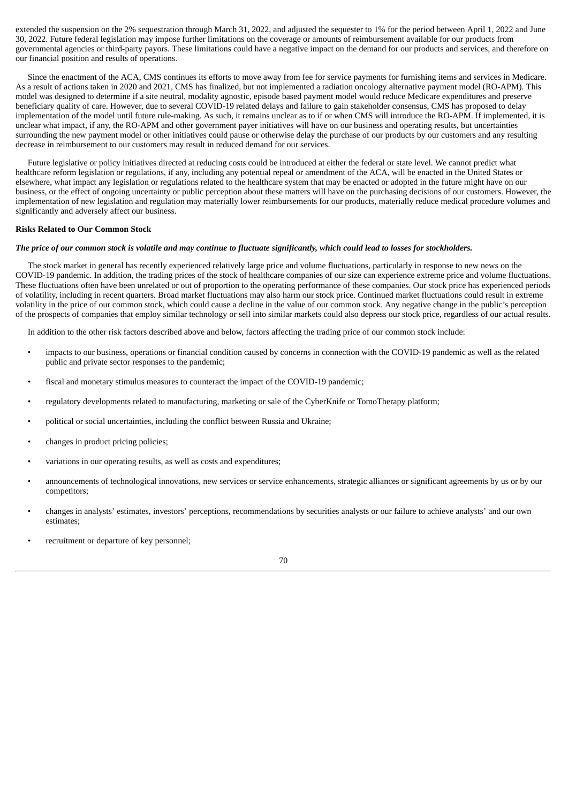extended the suspension on the 2% sequestration through March 31, 2022, and adjusted the sequester to 1% for the period between April 1, 2022 and June 30, 2022. Future federal legislation may impose further limitations on the coverage or amounts of reimbursement available for our products from governmental agencies or third-party payors. These limitations could have a negative impact on the demand for our products and services, and therefore on our financial position and results of operations.

Since the enactment of the ACA, CMS continues its efforts to move away from fee for service payments for furnishing items and services in Medicare. As a result of actions taken in 2020 and 2021, CMS has finalized, but not implemented a radiation oncology alternative payment model (RO-APM). This model was designed to determine if a site neutral, modality agnostic, episode based payment model would reduce Medicare expenditures and preserve beneficiary quality of care. However, due to several COVID-19 related delays and failure to gain stakeholder consensus, CMS has proposed to delay implementation of the model until future rule-making. As such, it remains unclear as to if or when CMS will introduce the RO-APM. If implemented, it is unclear what impact, if any, the RO-APM and other government payer initiatives will have on our business and operating results, but uncertainties surrounding the new payment model or other initiatives could pause or otherwise delay the purchase of our products by our customers and any resulting decrease in reimbursement to our customers may result in reduced demand for our services.

Future legislative or policy initiatives directed at reducing costs could be introduced at either the federal or state level. We cannot predict what healthcare reform legislation or regulations, if any, including any potential repeal or amendment of the ACA, will be enacted in the United States or elsewhere, what impact any legislation or regulations related to the healthcare system that may be enacted or adopted in the future might have on our business, or the effect of ongoing uncertainty or public perception about these matters will have on the purchasing decisions of our customers. However, the implementation of new legislation and regulation may materially lower reimbursements for our products, materially reduce medical procedure volumes and significantly and adversely affect our business.

# **Risks Related to Our Common Stock**

# The price of our common stock is volatile and may continue to fluctuate significantly, which could lead to losses for stockholders.

The stock market in general has recently experienced relatively large price and volume fluctuations, particularly in response to new news on the COVID-19 pandemic. In addition, the trading prices of the stock of healthcare companies of our size can experience extreme price and volume fluctuations. These fluctuations often have been unrelated or out of proportion to the operating performance of these companies. Our stock price has experienced periods of volatility, including in recent quarters. Broad market fluctuations may also harm our stock price. Continued market fluctuations could result in extreme volatility in the price of our common stock, which could cause a decline in the value of our common stock. Any negative change in the public's perception of the prospects of companies that employ similar technology or sell into similar markets could also depress our stock price, regardless of our actual results.

In addition to the other risk factors described above and below, factors affecting the trading price of our common stock include:

- impacts to our business, operations or financial condition caused by concerns in connection with the COVID-19 pandemic as well as the related public and private sector responses to the pandemic;
- fiscal and monetary stimulus measures to counteract the impact of the COVID-19 pandemic;
- regulatory developments related to manufacturing, marketing or sale of the CyberKnife or TomoTherapy platform;
- political or social uncertainties, including the conflict between Russia and Ukraine;
- changes in product pricing policies;
- variations in our operating results, as well as costs and expenditures;
- announcements of technological innovations, new services or service enhancements, strategic alliances or significant agreements by us or by our competitors;
- changes in analysts' estimates, investors' perceptions, recommendations by securities analysts or our failure to achieve analysts' and our own estimates;
- recruitment or departure of key personnel;

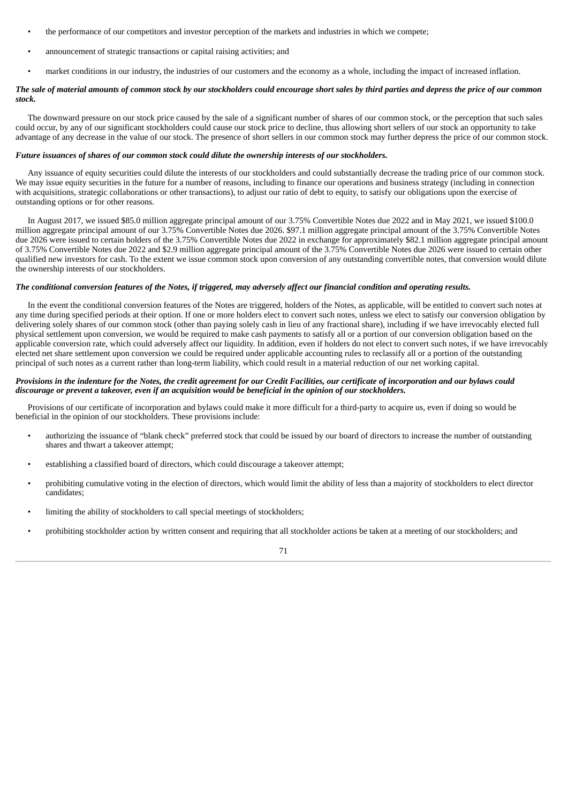- the performance of our competitors and investor perception of the markets and industries in which we compete;
- announcement of strategic transactions or capital raising activities; and
- market conditions in our industry, the industries of our customers and the economy as a whole, including the impact of increased inflation.

# The sale of material amounts of common stock by our stockholders could encourage short sales by third parties and depress the price of our common *stock.*

The downward pressure on our stock price caused by the sale of a significant number of shares of our common stock, or the perception that such sales could occur, by any of our significant stockholders could cause our stock price to decline, thus allowing short sellers of our stock an opportunity to take advantage of any decrease in the value of our stock. The presence of short sellers in our common stock may further depress the price of our common stock.

# *Future issuances of shares of our common stock could dilute the ownership interests of our stockholders.*

Any issuance of equity securities could dilute the interests of our stockholders and could substantially decrease the trading price of our common stock. We may issue equity securities in the future for a number of reasons, including to finance our operations and business strategy (including in connection with acquisitions, strategic collaborations or other transactions), to adjust our ratio of debt to equity, to satisfy our obligations upon the exercise of outstanding options or for other reasons.

In August 2017, we issued \$85.0 million aggregate principal amount of our 3.75% Convertible Notes due 2022 and in May 2021, we issued \$100.0 million aggregate principal amount of our 3.75% Convertible Notes due 2026. \$97.1 million aggregate principal amount of the 3.75% Convertible Notes due 2026 were issued to certain holders of the 3.75% Convertible Notes due 2022 in exchange for approximately \$82.1 million aggregate principal amount of 3.75% Convertible Notes due 2022 and \$2.9 million aggregate principal amount of the 3.75% Convertible Notes due 2026 were issued to certain other qualified new investors for cash. To the extent we issue common stock upon conversion of any outstanding convertible notes, that conversion would dilute the ownership interests of our stockholders.

# The conditional conversion features of the Notes, if triggered, may adversely affect our financial condition and operating results.

In the event the conditional conversion features of the Notes are triggered, holders of the Notes, as applicable, will be entitled to convert such notes at any time during specified periods at their option. If one or more holders elect to convert such notes, unless we elect to satisfy our conversion obligation by delivering solely shares of our common stock (other than paying solely cash in lieu of any fractional share), including if we have irrevocably elected full physical settlement upon conversion, we would be required to make cash payments to satisfy all or a portion of our conversion obligation based on the applicable conversion rate, which could adversely affect our liquidity. In addition, even if holders do not elect to convert such notes, if we have irrevocably elected net share settlement upon conversion we could be required under applicable accounting rules to reclassify all or a portion of the outstanding principal of such notes as a current rather than long-term liability, which could result in a material reduction of our net working capital.

## Provisions in the indenture for the Notes, the credit agreement for our Credit Facilities, our certificate of incorporation and our bylaws could discourage or prevent a takeover, even if an acquisition would be beneficial in the opinion of our stockholders.

Provisions of our certificate of incorporation and bylaws could make it more difficult for a third-party to acquire us, even if doing so would be beneficial in the opinion of our stockholders. These provisions include:

- authorizing the issuance of "blank check" preferred stock that could be issued by our board of directors to increase the number of outstanding shares and thwart a takeover attempt;
- establishing a classified board of directors, which could discourage a takeover attempt;
- prohibiting cumulative voting in the election of directors, which would limit the ability of less than a majority of stockholders to elect director candidates;
- limiting the ability of stockholders to call special meetings of stockholders;
- prohibiting stockholder action by written consent and requiring that all stockholder actions be taken at a meeting of our stockholders; and

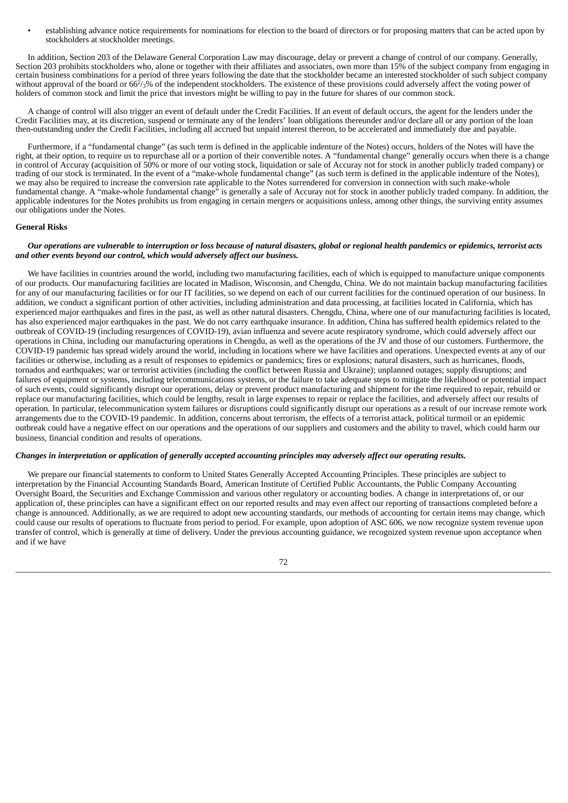• establishing advance notice requirements for nominations for election to the board of directors or for proposing matters that can be acted upon by stockholders at stockholder meetings.

In addition, Section 203 of the Delaware General Corporation Law may discourage, delay or prevent a change of control of our company. Generally, Section 203 prohibits stockholders who, alone or together with their affiliates and associates, own more than 15% of the subject company from engaging in certain business combinations for a period of three years following the date that the stockholder became an interested stockholder of such subject company without approval of the board or  $66\frac{2}{3}\%$  of the independent stockholders. The existence of these provisions could adversely affect the voting power of holders of common stock and limit the price that investors might be willing to pay in the future for shares of our common stock.

A change of control will also trigger an event of default under the Credit Facilities. If an event of default occurs, the agent for the lenders under the Credit Facilities may, at its discretion, suspend or terminate any of the lenders' loan obligations thereunder and/or declare all or any portion of the loan then‑outstanding under the Credit Facilities, including all accrued but unpaid interest thereon, to be accelerated and immediately due and payable.

Furthermore, if a "fundamental change" (as such term is defined in the applicable indenture of the Notes) occurs, holders of the Notes will have the right, at their option, to require us to repurchase all or a portion of their convertible notes. A "fundamental change" generally occurs when there is a change in control of Accuray (acquisition of 50% or more of our voting stock, liquidation or sale of Accuray not for stock in another publicly traded company) or trading of our stock is terminated. In the event of a "make-whole fundamental change" (as such term is defined in the applicable indenture of the Notes), we may also be required to increase the conversion rate applicable to the Notes surrendered for conversion in connection with such make‑whole fundamental change. A "make‑whole fundamental change" is generally a sale of Accuray not for stock in another publicly traded company. In addition, the applicable indentures for the Notes prohibits us from engaging in certain mergers or acquisitions unless, among other things, the surviving entity assumes our obligations under the Notes.

# **General Risks**

# Our operations are vulnerable to interruption or loss because of natural disasters, global or regional health pandemics or epidemics, terrorist acts *and other events beyond our control, which would adversely affect our business.*

We have facilities in countries around the world, including two manufacturing facilities, each of which is equipped to manufacture unique components of our products. Our manufacturing facilities are located in Madison, Wisconsin, and Chengdu, China. We do not maintain backup manufacturing facilities for any of our manufacturing facilities or for our IT facilities, so we depend on each of our current facilities for the continued operation of our business. In addition, we conduct a significant portion of other activities, including administration and data processing, at facilities located in California, which has experienced major earthquakes and fires in the past, as well as other natural disasters. Chengdu, China, where one of our manufacturing facilities is located, has also experienced major earthquakes in the past. We do not carry earthquake insurance. In addition, China has suffered health epidemics related to the outbreak of COVID-19 (including resurgences of COVID-19), avian influenza and severe acute respiratory syndrome, which could adversely affect our operations in China, including our manufacturing operations in Chengdu, as well as the operations of the JV and those of our customers. Furthermore, the COVID-19 pandemic has spread widely around the world, including in locations where we have facilities and operations. Unexpected events at any of our facilities or otherwise, including as a result of responses to epidemics or pandemics; fires or explosions; natural disasters, such as hurricanes, floods, tornados and earthquakes; war or terrorist activities (including the conflict between Russia and Ukraine); unplanned outages; supply disruptions; and failures of equipment or systems, including telecommunications systems, or the failure to take adequate steps to mitigate the likelihood or potential impact of such events, could significantly disrupt our operations, delay or prevent product manufacturing and shipment for the time required to repair, rebuild or replace our manufacturing facilities, which could be lengthy, result in large expenses to repair or replace the facilities, and adversely affect our results of operation. In particular, telecommunication system failures or disruptions could significantly disrupt our operations as a result of our increase remote work arrangements due to the COVID-19 pandemic. In addition, concerns about terrorism, the effects of a terrorist attack, political turmoil or an epidemic outbreak could have a negative effect on our operations and the operations of our suppliers and customers and the ability to travel, which could harm our business, financial condition and results of operations.

# Changes in interpretation or application of generally accepted accounting principles may adversely affect our operating results.

We prepare our financial statements to conform to United States Generally Accepted Accounting Principles. These principles are subject to interpretation by the Financial Accounting Standards Board, American Institute of Certified Public Accountants, the Public Company Accounting Oversight Board, the Securities and Exchange Commission and various other regulatory or accounting bodies. A change in interpretations of, or our application of, these principles can have a significant effect on our reported results and may even affect our reporting of transactions completed before a change is announced. Additionally, as we are required to adopt new accounting standards, our methods of accounting for certain items may change, which could cause our results of operations to fluctuate from period to period. For example, upon adoption of ASC 606, we now recognize system revenue upon transfer of control, which is generally at time of delivery. Under the previous accounting guidance, we recognized system revenue upon acceptance when and if we have

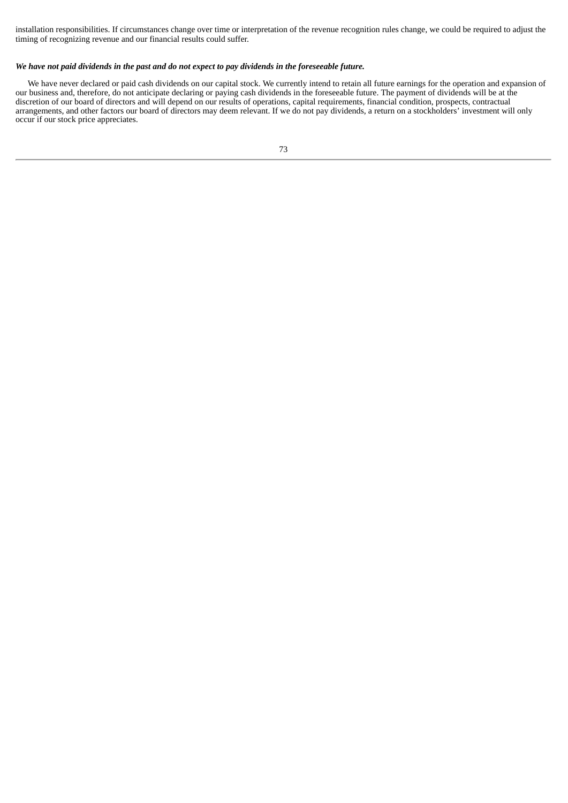installation responsibilities. If circumstances change over time or interpretation of the revenue recognition rules change, we could be required to adjust the timing of recognizing revenue and our financial results could suffer.

#### We have not paid dividends in the past and do not expect to pay dividends in the foreseeable future.

We have never declared or paid cash dividends on our capital stock. We currently intend to retain all future earnings for the operation and expansion of our business and, therefore, do not anticipate declaring or paying cash dividends in the foreseeable future. The payment of dividends will be at the discretion of our board of directors and will depend on our results of operations, capital requirements, financial condition, prospects, contractual arrangements, and other factors our board of directors may deem relevant. If we do not pay dividends, a return on a stockholders' investment will only occur if our stock price appreciates.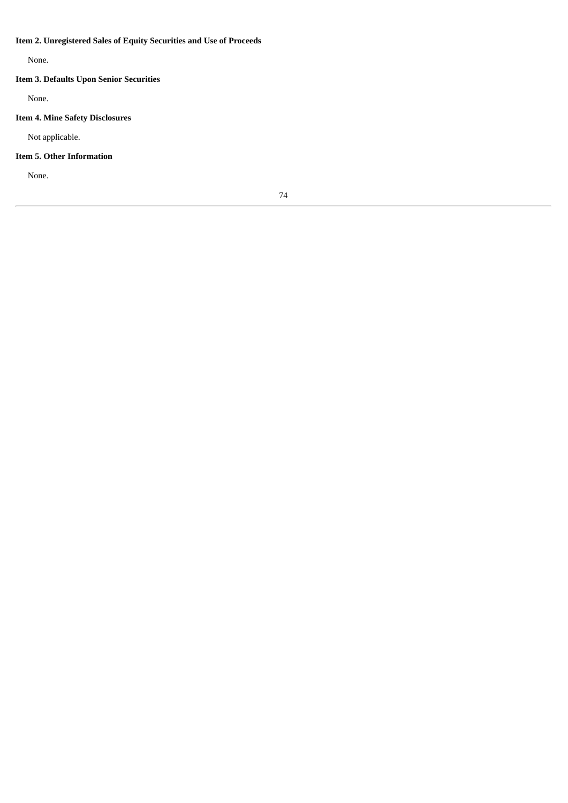# **Item 2. Unregistered Sales of Equity Securities and Use of Proceeds**

None.

# **Item 3. Defaults Upon Senior Securities**

None.

# **Item 4. Mine Safety Disclosures**

Not applicable.

## **Item 5. Other Information**

None.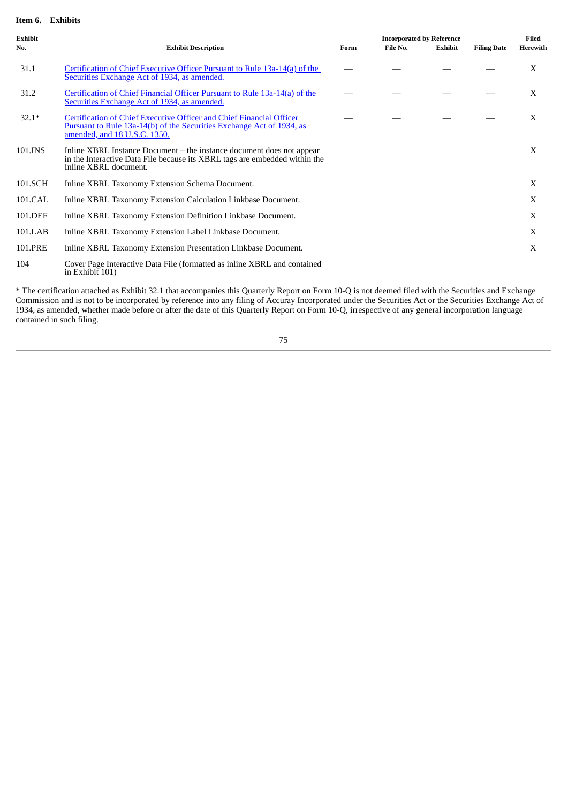### **Item 6. Exhibits**

| <b>Exhibit</b> |                                                                                                                                                                               | <b>Incorporated by Reference</b> |          |         |                    | Filed        |
|----------------|-------------------------------------------------------------------------------------------------------------------------------------------------------------------------------|----------------------------------|----------|---------|--------------------|--------------|
| No.            | <b>Exhibit Description</b>                                                                                                                                                    | Form                             | File No. | Exhibit | <b>Filing Date</b> | Herewith     |
| 31.1           | Certification of Chief Executive Officer Pursuant to Rule 13a-14(a) of the<br>Securities Exchange Act of 1934, as amended.                                                    |                                  |          |         |                    | X            |
| 31.2           | Certification of Chief Financial Officer Pursuant to Rule 13a-14(a) of the<br>Securities Exchange Act of 1934, as amended.                                                    |                                  |          |         |                    | X            |
| $32.1*$        | Certification of Chief Executive Officer and Chief Financial Officer<br>Pursuant to Rule 13a-14(b) of the Securities Exchange Act of 1934, as<br>amended, and 18 U.S.C. 1350. |                                  |          |         |                    | X            |
| 101.INS        | Inline XBRL Instance Document – the instance document does not appear<br>in the Interactive Data File because its XBRL tags are embedded within the<br>Inline XBRL document.  |                                  |          |         |                    | $\mathbf{x}$ |
| 101.SCH        | Inline XBRL Taxonomy Extension Schema Document.                                                                                                                               |                                  |          |         |                    | X            |
| 101.CAL        | Inline XBRL Taxonomy Extension Calculation Linkbase Document.                                                                                                                 |                                  |          |         |                    | $\mathbf{x}$ |
| 101.DEF        | Inline XBRL Taxonomy Extension Definition Linkbase Document.                                                                                                                  |                                  |          |         |                    | $\mathbf{x}$ |
| 101.LAB        | Inline XBRL Taxonomy Extension Label Linkbase Document.                                                                                                                       |                                  |          |         |                    | X            |
| 101.PRE        | Inline XBRL Taxonomy Extension Presentation Linkbase Document.                                                                                                                |                                  |          |         |                    | X            |
| 104            | Cover Page Interactive Data File (formatted as inline XBRL and contained<br>in Exhibit 101)                                                                                   |                                  |          |         |                    |              |

\* The certification attached as Exhibit 32.1 that accompanies this Quarterly Report on Form 10-Q is not deemed filed with the Securities and Exchange Commission and is not to be incorporated by reference into any filing of Accuray Incorporated under the Securities Act or the Securities Exchange Act of 1934, as amended, whether made before or after the date of this Quarterly Report on Form 10-Q, irrespective of any general incorporation language contained in such filing.

75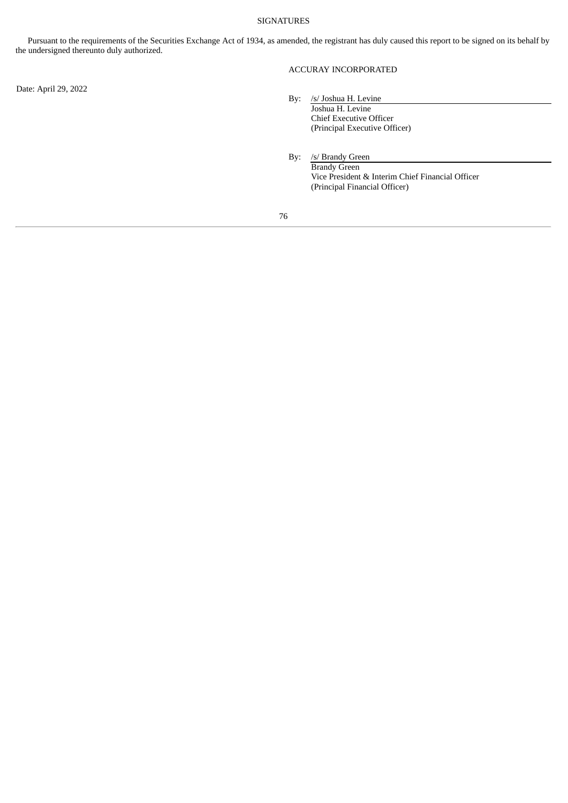Pursuant to the requirements of the Securities Exchange Act of 1934, as amended, the registrant has duly caused this report to be signed on its behalf by the undersigned thereunto duly authorized.

Date: April 29, 2022

## ACCURAY INCORPORATED

| Bv: | /s/ Joshua H. Levine          |
|-----|-------------------------------|
|     | Joshua H. Levine              |
|     | Chief Executive Officer       |
|     | (Principal Executive Officer) |
|     |                               |
|     |                               |

By: /s/ Brandy Green **Brandy Green** Vice President & Interim Chief Financial Officer (Principal Financial Officer)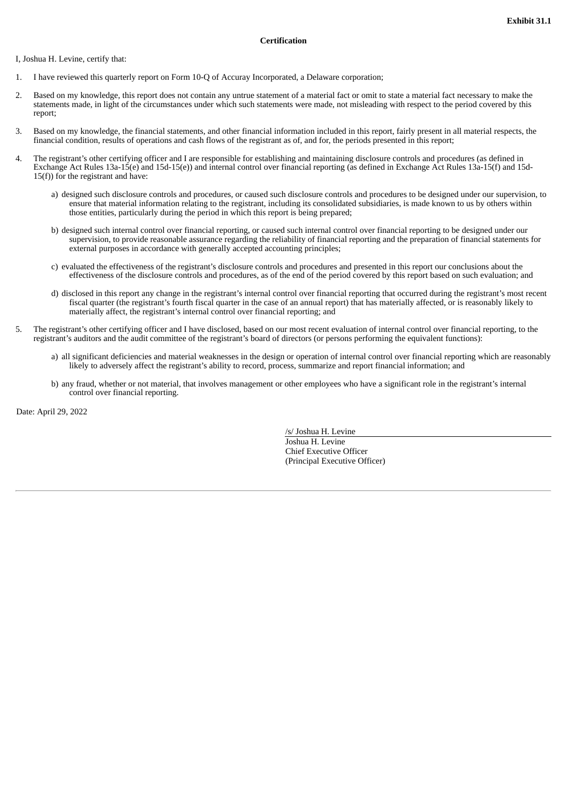<span id="page-76-0"></span>I, Joshua H. Levine, certify that:

- 1. I have reviewed this quarterly report on Form 10-Q of Accuray Incorporated, a Delaware corporation;
- 2. Based on my knowledge, this report does not contain any untrue statement of a material fact or omit to state a material fact necessary to make the statements made, in light of the circumstances under which such statements were made, not misleading with respect to the period covered by this report;
- 3. Based on my knowledge, the financial statements, and other financial information included in this report, fairly present in all material respects, the financial condition, results of operations and cash flows of the registrant as of, and for, the periods presented in this report;
- 4. The registrant's other certifying officer and I are responsible for establishing and maintaining disclosure controls and procedures (as defined in Exchange Act Rules 13a-15(e) and 15d-15(e)) and internal control over financial reporting (as defined in Exchange Act Rules 13a-15(f) and 15d-15(f)) for the registrant and have:
	- a) designed such disclosure controls and procedures, or caused such disclosure controls and procedures to be designed under our supervision, to ensure that material information relating to the registrant, including its consolidated subsidiaries, is made known to us by others within those entities, particularly during the period in which this report is being prepared;
	- b) designed such internal control over financial reporting, or caused such internal control over financial reporting to be designed under our supervision, to provide reasonable assurance regarding the reliability of financial reporting and the preparation of financial statements for external purposes in accordance with generally accepted accounting principles;
	- c) evaluated the effectiveness of the registrant's disclosure controls and procedures and presented in this report our conclusions about the effectiveness of the disclosure controls and procedures, as of the end of the period covered by this report based on such evaluation; and
	- d) disclosed in this report any change in the registrant's internal control over financial reporting that occurred during the registrant's most recent fiscal quarter (the registrant's fourth fiscal quarter in the case of an annual report) that has materially affected, or is reasonably likely to materially affect, the registrant's internal control over financial reporting; and
- 5. The registrant's other certifying officer and I have disclosed, based on our most recent evaluation of internal control over financial reporting, to the registrant's auditors and the audit committee of the registrant's board of directors (or persons performing the equivalent functions):
	- a) all significant deficiencies and material weaknesses in the design or operation of internal control over financial reporting which are reasonably likely to adversely affect the registrant's ability to record, process, summarize and report financial information; and
	- b) any fraud, whether or not material, that involves management or other employees who have a significant role in the registrant's internal control over financial reporting.

Date: April 29, 2022

/s/ Joshua H. Levine Joshua H. Levine Chief Executive Officer (Principal Executive Officer)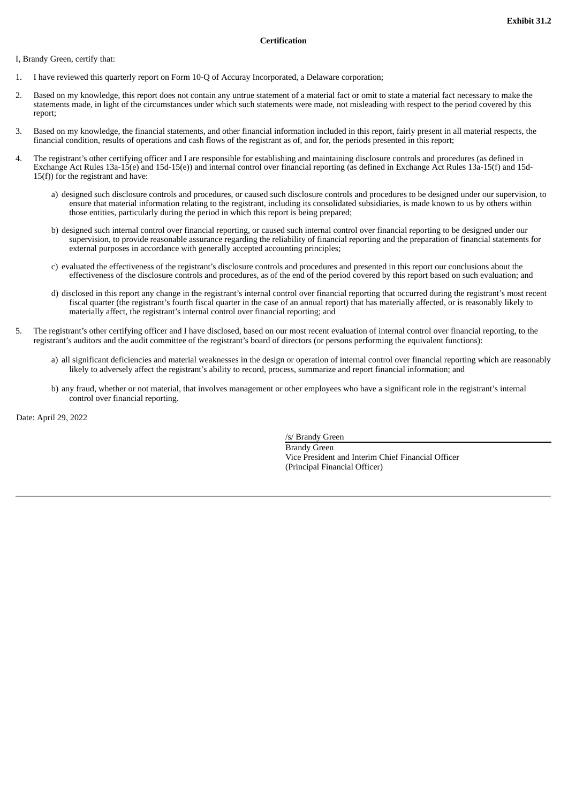<span id="page-77-0"></span>I, Brandy Green, certify that:

- 1. I have reviewed this quarterly report on Form 10-Q of Accuray Incorporated, a Delaware corporation;
- 2. Based on my knowledge, this report does not contain any untrue statement of a material fact or omit to state a material fact necessary to make the statements made, in light of the circumstances under which such statements were made, not misleading with respect to the period covered by this report;
- 3. Based on my knowledge, the financial statements, and other financial information included in this report, fairly present in all material respects, the financial condition, results of operations and cash flows of the registrant as of, and for, the periods presented in this report;
- 4. The registrant's other certifying officer and I are responsible for establishing and maintaining disclosure controls and procedures (as defined in Exchange Act Rules 13a-15(e) and 15d-15(e)) and internal control over financial reporting (as defined in Exchange Act Rules 13a-15(f) and 15d-15(f)) for the registrant and have:
	- a) designed such disclosure controls and procedures, or caused such disclosure controls and procedures to be designed under our supervision, to ensure that material information relating to the registrant, including its consolidated subsidiaries, is made known to us by others within those entities, particularly during the period in which this report is being prepared;
	- b) designed such internal control over financial reporting, or caused such internal control over financial reporting to be designed under our supervision, to provide reasonable assurance regarding the reliability of financial reporting and the preparation of financial statements for external purposes in accordance with generally accepted accounting principles;
	- c) evaluated the effectiveness of the registrant's disclosure controls and procedures and presented in this report our conclusions about the effectiveness of the disclosure controls and procedures, as of the end of the period covered by this report based on such evaluation; and
	- d) disclosed in this report any change in the registrant's internal control over financial reporting that occurred during the registrant's most recent fiscal quarter (the registrant's fourth fiscal quarter in the case of an annual report) that has materially affected, or is reasonably likely to materially affect, the registrant's internal control over financial reporting; and
- 5. The registrant's other certifying officer and I have disclosed, based on our most recent evaluation of internal control over financial reporting, to the registrant's auditors and the audit committee of the registrant's board of directors (or persons performing the equivalent functions):
	- a) all significant deficiencies and material weaknesses in the design or operation of internal control over financial reporting which are reasonably likely to adversely affect the registrant's ability to record, process, summarize and report financial information; and
	- b) any fraud, whether or not material, that involves management or other employees who have a significant role in the registrant's internal control over financial reporting.

Date: April 29, 2022

/s/ Brandy Green Brandy Green Vice President and Interim Chief Financial Officer (Principal Financial Officer)